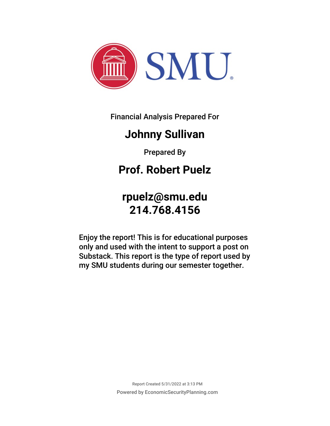

Financial Analysis Prepared For

### **Johnny Sullivan**

Prepared By

### **Prof. Robert Puelz**

### **rpuelz@smu.edu 214.768.4156**

Enjoy the report! This is for educational purposes only and used with the intent to support a post on Substack. This report is the type of report used by my SMU students during our semester together.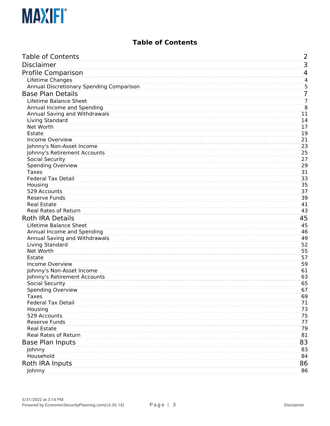

#### **Table of Contents**

<span id="page-2-0"></span>

| <b>Table of Contents</b>                 | 2              |
|------------------------------------------|----------------|
| <b>Disclaimer</b>                        | 3              |
| Profile Comparison                       | 4              |
| Lifetime Changes                         | 4              |
| Annual Discretionary Spending Comparison | 5              |
| <b>Base Plan Details</b>                 | 7              |
| Lifetime Balance Sheet                   | $\overline{7}$ |
| Annual Income and Spending               | $\overline{8}$ |
| Annual Saving and Withdrawals            | 11             |
| Living Standard                          | 14             |
| Net Worth                                | 17             |
| Estate                                   | 19             |
| Income Overview                          | 21             |
| Johnny's Non-Asset Income                | 23             |
| Johnny's Retirement Accounts             | 25             |
| Social Security                          | 27             |
| <b>Spending Overview</b>                 | 29             |
| <b>Taxes</b>                             | 31             |
| <b>Federal Tax Detail</b>                | 33             |
| Housing<br>529 Accounts                  | 35<br>37       |
| <b>Reserve Funds</b>                     | 39             |
| <b>Real Estate</b>                       | 41             |
| Real Rates of Return                     | 43             |
| <b>Roth IRA Details</b>                  | 45             |
| Lifetime Balance Sheet                   | 45             |
| Annual Income and Spending               | 46             |
| Annual Saving and Withdrawals            | 49             |
| Living Standard                          | 52             |
| Net Worth                                | 55             |
| Estate                                   | 57             |
| Income Overview                          | 59             |
| Johnny's Non-Asset Income                | 61             |
| Johnny's Retirement Accounts             | 63             |
| Social Security                          | 65             |
| <b>Spending Overview</b>                 | 67             |
| <b>Taxes</b>                             | 69             |
| <b>Federal Tax Detail</b>                | 71             |
| Housing                                  | 73             |
| 529 Accounts<br><b>Reserve Funds</b>     | 75<br>77       |
| <b>Real Estate</b>                       | 79             |
| Real Rates of Return                     | 81             |
|                                          |                |
| <b>Base Plan Inputs</b>                  | 83             |
| Johnny<br>Household                      | 83<br>84       |
|                                          |                |
| Roth IRA Inputs                          | 86             |
| Johnny                                   | 86             |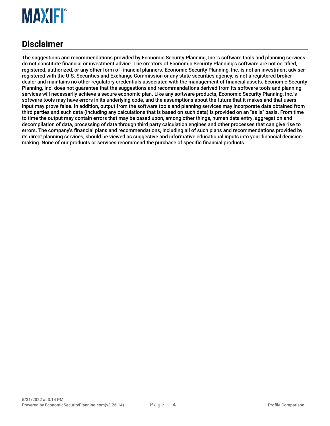

#### <span id="page-3-0"></span>**Disclaimer**

The suggestions and recommendations provided by Economic Security Planning, Inc.'s software tools and planning services do not constitute financial or investment advice. The creators of Economic Security Planning's software are not certified, registered, authorized, or any other form of financial planners. Economic Security Planning, Inc. is not an investment adviser registered with the U.S. Securities and Exchange Commission or any state securities agency, is not a registered brokerdealer and maintains no other regulatory credentials associated with the management of financial assets. Economic Security Planning, Inc. does not guarantee that the suggestions and recommendations derived from its software tools and planning services will necessarily achieve a secure economic plan. Like any software products, Economic Security Planning, Inc.'s software tools may have errors in its underlying code, and the assumptions about the future that it makes and that users input may prove false. In addition, output from the software tools and planning services may incorporate data obtained from third parties and such data (including any calculations that is based on such data) is provided on an "as is" basis. From time to time the output may contain errors that may be based upon, among other things, human data entry, aggregation and decompilation of data, processing of data through third party calculation engines and other processes that can give rise to errors. The company's financial plans and recommendations, including all of such plans and recommendations provided by its direct planning services, should be viewed as suggestive and informative educational inputs into your financial decisionmaking. None of our products or services recommend the purchase of specific financial products.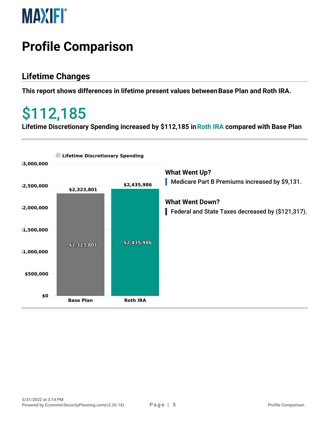

### <span id="page-4-0"></span>**Profile Comparison**

#### <span id="page-4-1"></span>**Lifetime Changes**

**This report shows differences in lifetime present values betweenBase Plan and Roth IRA.**

### \$112,185

**Lifetime Discretionary Spending increased by \$112,185 inRoth IRA compared with Base Plan**

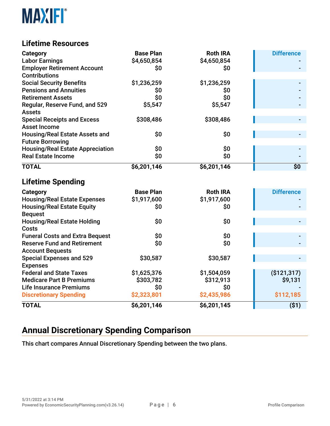

#### **Lifetime Resources**

| <b>Category</b>                                 | <b>Base Plan</b> | <b>Roth IRA</b> | <b>Difference</b> |
|-------------------------------------------------|------------------|-----------------|-------------------|
| <b>Labor Earnings</b>                           | \$4,650,854      | \$4,650,854     |                   |
| <b>Employer Retirement Account</b>              | \$0              | \$0             |                   |
| <b>Contributions</b>                            |                  |                 |                   |
| <b>Social Security Benefits</b>                 | \$1,236,259      | \$1,236,259     |                   |
| <b>Pensions and Annuities</b>                   | \$0              | \$0             |                   |
| <b>Retirement Assets</b>                        | \$0              | \$0             |                   |
| Regular, Reserve Fund, and 529<br><b>Assets</b> | \$5,547          | \$5,547         |                   |
| <b>Special Receipts and Excess</b>              | \$308,486        | \$308,486       |                   |
| <b>Asset Income</b>                             |                  |                 |                   |
| <b>Housing/Real Estate Assets and</b>           | \$0              | \$0             |                   |
| <b>Future Borrowing</b>                         |                  |                 |                   |
| <b>Housing/Real Estate Appreciation</b>         | \$0              | \$0             |                   |
| <b>Real Estate Income</b>                       | \$0              | \$0             |                   |
| <b>TOTAL</b>                                    | \$6,201,146      | \$6,201,146     | \$0               |
| <b>Lifetime Spending</b>                        |                  |                 |                   |
| <b>Category</b>                                 | <b>Base Plan</b> | <b>Roth IRA</b> | <b>Difference</b> |
| <b>Housing/Real Estate Expenses</b>             | \$1,917,600      | \$1,917,600     |                   |
| <b>Housing/Real Estate Equity</b>               | \$0              | \$0             |                   |
| <b>Bequest</b>                                  |                  |                 |                   |
| <b>Housing/Real Estate Holding</b>              | \$0              | \$0             |                   |
| <b>Costs</b>                                    |                  |                 |                   |
| <b>Funeral Costs and Extra Bequest</b>          | \$0              | \$0             |                   |
| <b>Reserve Fund and Retirement</b>              | \$0              | \$0             |                   |
| <b>Account Bequests</b>                         |                  |                 |                   |
| <b>Special Expenses and 529</b>                 | \$30,587         | \$30,587        |                   |
| <b>Expenses</b>                                 |                  |                 |                   |
| <b>Federal and State Taxes</b>                  | \$1,625,376      | \$1,504,059     | (\$121,317)       |
| <b>Medicare Part B Premiums</b>                 | \$303,782        | \$312,913       | \$9,131           |
| <b>Life Insurance Premiums</b>                  | \$0              | \$0             |                   |
| <b>Discretionary Spending</b>                   | \$2,323,801      | \$2,435,986     | \$112,185         |
| <b>TOTAL</b>                                    | \$6,201,146      | \$6,201,145     | ( \$1)            |

#### <span id="page-5-0"></span>**Annual Discretionary Spending Comparison**

This chart compares Annual Discretionary Spending between the two plans.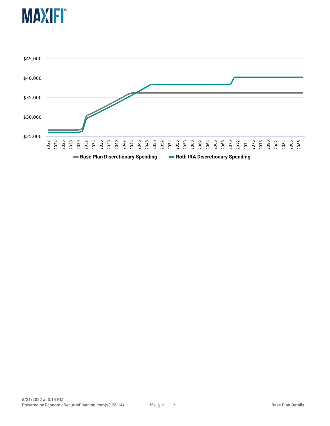

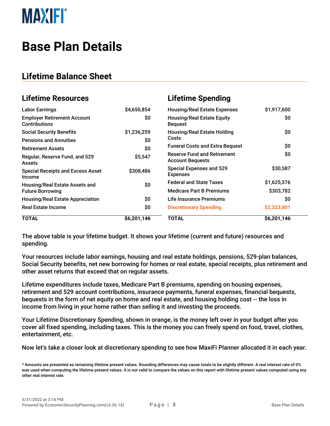

### <span id="page-7-0"></span>**Base Plan Details**

#### <span id="page-7-1"></span>**Lifetime Balance Sheet**

| <b>Lifetime Resources</b>                                  |             | <b>Lifetime Spending</b>                                      |             |
|------------------------------------------------------------|-------------|---------------------------------------------------------------|-------------|
| <b>Labor Earnings</b>                                      | \$4,650,854 | <b>Housing/Real Estate Expenses</b>                           | \$1,917,600 |
| <b>Employer Retirement Account</b><br><b>Contributions</b> | \$0         | <b>Housing/Real Estate Equity</b><br><b>Bequest</b>           | \$0         |
| <b>Social Security Benefits</b>                            | \$1,236,259 | <b>Housing/Real Estate Holding</b>                            | \$0         |
| <b>Pensions and Annuities</b>                              | \$0         | Costs                                                         |             |
| <b>Retirement Assets</b>                                   | \$0         | <b>Funeral Costs and Extra Bequest</b>                        | \$0         |
| Regular, Reserve Fund, and 529<br><b>Assets</b>            | \$5,547     | <b>Reserve Fund and Retirement</b><br><b>Account Bequests</b> | \$0         |
| <b>Special Receipts and Excess Asset</b><br>Income         | \$308,486   | <b>Special Expenses and 529</b><br><b>Expenses</b>            | \$30,587    |
| Housing/Real Estate Assets and                             | \$0         | <b>Federal and State Taxes</b>                                | \$1,625,376 |
| <b>Future Borrowing</b>                                    |             | <b>Medicare Part B Premiums</b>                               | \$303,782   |
| <b>Housing/Real Estate Appreciation</b>                    | \$0         | Life Insurance Premiums                                       | \$0         |
| <b>Real Estate Income</b>                                  | \$0         | <b>Discretionary Spending</b>                                 | \$2,323,801 |
| <b>TOTAL</b>                                               | \$6,201,146 | <b>TOTAL</b>                                                  | \$6,201,146 |

The above table is your lifetime budget. It shows your lifetime (current and future) resources and spending.

Your resources include labor earnings, housing and real estate holdings, pensions, 529-plan balances, Social Security benefits, net new borrowing for homes or real estate, special receipts, plus retirement and other asset returns that exceed that on regular assets.

Lifetime expenditures include taxes, Medicare Part B premiums, spending on housing expenses, retirement and 529 account contributions, insurance payments, funeral expenses, financial bequests, bequests in the form of net equity on home and real estate, and housing holding cost -- the loss in income from living in your home rather than selling it and investing the proceeds.

Your Lifetime Discretionary Spending, shown in orange, is the money left over in your budget after you cover all fixed spending, including taxes. This is the money you can freely spend on food, travel, clothes, entertainment, etc.

Now let's take a closer look at discretionary spending to see how MaxiFi Planner allocated it in each year.

<sup>\*</sup> Amounts are presented as remaining lifetime present values. Rounding differences may cause totals to be slightly different. A real interest rate of 0% was used when computing the lifetime present values. It is not valid to compare the values on this report with lifetime present values computed using any other real interest rate.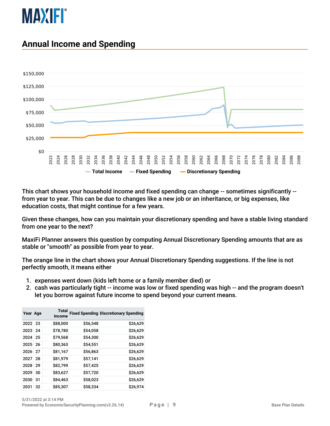

#### <span id="page-8-0"></span>**Annual Income and Spending**



This chart shows your household income and fixed spending can change -- sometimes significantly - from year to year. This can be due to changes like a new job or an inheritance, or big expenses, like education costs, that might continue for a few years.

Given these changes, how can you maintain your discretionary spending and have a stable living standard from one year to the next?

MaxiFi Planner answers this question by computing Annual Discretionary Spending amounts that are as stable or "smooth" as possible from year to year.

The orange line in the chart shows your Annual Discretionary Spending suggestions. If the line is not perfectly smooth, it means either

- 1. expenses went down (kids left home or a family member died) or
- 2. cash was particularly tight -- income was low or fixed spending was high -- and the program doesn't let you borrow against future income to spend beyond your current means.

| Year Age |    | <b>Total</b><br><b>Income</b> |          | <b>Fixed Spending Discretionary Spending</b> |
|----------|----|-------------------------------|----------|----------------------------------------------|
| 2022 23  |    | \$88,000                      | \$56,548 | \$26,629                                     |
| 2023     | 24 | \$78,780                      | \$54,058 | \$26,629                                     |
| 2024     | 25 | \$79,568                      | \$54,300 | \$26,629                                     |
| 2025     | 26 | \$80,363                      | \$54,551 | \$26,629                                     |
| 2026     | 27 | \$81,167                      | \$56,863 | \$26,629                                     |
| 2027     | 28 | \$81,979                      | \$57,141 | \$26,629                                     |
| 2028     | 29 | \$82,799                      | \$57,425 | \$26,629                                     |
| 2029     | 30 | \$83,627                      | \$57,720 | \$26,629                                     |
| 2030     | 31 | \$84,463                      | \$58,023 | \$26,629                                     |
| 2031     | 32 | \$85,307                      | \$58,334 | \$26,974                                     |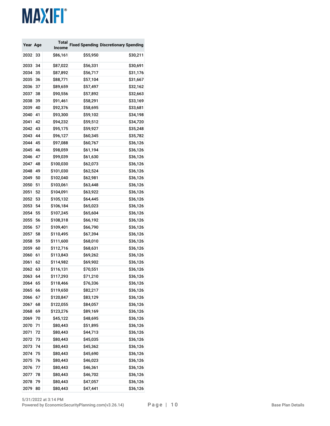| Year Age |    | Total         |          | <b>Fixed Spending Discretionary Spending</b> |
|----------|----|---------------|----------|----------------------------------------------|
|          |    | <b>Income</b> |          |                                              |
| 2032     | 33 | \$86,161      | \$55,950 | \$30,211                                     |
| 2033     | 34 | \$87,022      | \$56,331 | \$30,691                                     |
| 2034     | 35 | \$87,892      | \$56,717 | \$31,176                                     |
| 2035     | 36 | \$88,771      | \$57,104 | \$31,667                                     |
| 2036     | 37 | \$89,659      | \$57,497 | \$32,162                                     |
| 2037     | 38 | \$90,556      | \$57,892 | \$32,663                                     |
| 2038     | 39 | \$91,461      | \$58,291 | \$33,169                                     |
| 2039     | 40 | \$92,376      | \$58,695 | \$33,681                                     |
| 2040     | 41 | \$93,300      | \$59,102 | \$34,198                                     |
| 2041     | 42 | \$94,232      | \$59,512 | \$34,720                                     |
| 2042     | 43 | \$95,175      | \$59,927 | \$35,248                                     |
| 2043     | 44 | \$96,127      | \$60,345 | \$35,782                                     |
| 2044     | 45 | \$97,088      | \$60,767 | \$36,126                                     |
| 2045     | 46 | \$98,059      | \$61,194 | \$36,126                                     |
| 2046     | 47 | \$99,039      | \$61,630 | \$36,126                                     |
| 2047     | 48 | \$100,030     | \$62,073 | \$36,126                                     |
| 2048     | 49 | \$101,030     | \$62,524 | \$36,126                                     |
| 2049     | 50 | \$102,040     | \$62,981 | \$36,126                                     |
| 2050     | 51 | \$103,061     | \$63,448 | \$36,126                                     |
| 2051     | 52 | \$104,091     | \$63,922 | \$36,126                                     |
| 2052     | 53 | \$105,132     | \$64,445 | \$36,126                                     |
| 2053     | 54 | \$106,184     | \$65,023 | \$36,126                                     |
| 2054     | 55 | \$107,245     | \$65,604 | \$36,126                                     |
| 2055     | 56 | \$108,318     | \$66,192 | \$36,126                                     |
| 2056     | 57 | \$109,401     | \$66,790 | \$36,126                                     |
| 2057     | 58 | \$110,495     | \$67,394 | \$36,126                                     |
| 2058     | 59 | \$111,600     | \$68,010 | \$36,126                                     |
| 2059     | 60 | \$112,716     | \$68,631 | \$36,126                                     |
| 2060     | 61 | \$113,843     | \$69,262 | \$36,126                                     |
| 2061     | 62 | \$114,982     | \$69,902 | \$36,126                                     |
| 2062     | 63 | \$116,131     | \$70,551 | \$36,126                                     |
| 2063     | 64 | \$117,293     | \$71,210 | \$36,126                                     |
| 2064     | 65 | \$118,466     | \$76,336 | \$36,126                                     |
| 2065     | 66 | \$119,650     | \$82,217 | \$36,126                                     |
| 2066     | 67 | \$120,847     | \$83,129 | \$36,126                                     |
| 2067     | 68 | \$122,055     | \$84,057 | \$36,126                                     |
| 2068     | 69 | \$123,276     | \$89,169 | \$36,126                                     |
| 2069     | 70 | \$45,122      | \$48,695 | \$36,126                                     |
| 2070     | 71 | \$80,443      | \$51,895 | \$36,126                                     |
| 2071     | 72 | \$80,443      | \$44,713 | \$36,126                                     |
| 2072     | 73 | \$80,443      | \$45,035 | \$36,126                                     |
| 2073     | 74 | \$80,443      | \$45,362 | \$36,126                                     |
| 2074     | 75 | \$80,443      | \$45,690 | \$36,126                                     |
| 2075     | 76 | \$80,443      | \$46,023 | \$36,126                                     |
| 2076     | 77 | \$80,443      | \$46,361 | \$36,126                                     |
| 2077     | 78 | \$80,443      | \$46,702 | \$36,126                                     |
| 2078     | 79 | \$80,443      | \$47,057 | \$36,126                                     |
| 2079     | 80 | \$80,443      | \$47,441 | \$36,126                                     |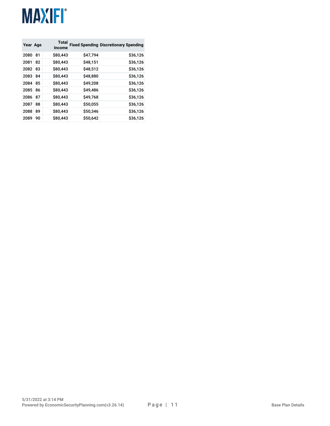| Year Age |    | <b>Total</b><br>Income |          | <b>Fixed Spending Discretionary Spending</b> |
|----------|----|------------------------|----------|----------------------------------------------|
| 2080     | 81 | \$80,443               | \$47.794 | \$36,126                                     |
| 2081     | 82 | \$80,443               | \$48,151 | \$36,126                                     |
| 2082     | 83 | \$80,443               | \$48,512 | \$36,126                                     |
| 2083     | 84 | \$80,443               | \$48,880 | \$36,126                                     |
| 2084     | 85 | \$80,443               | \$49,208 | \$36,126                                     |
| 2085     | 86 | \$80,443               | \$49,486 | \$36,126                                     |
| 2086     | 87 | \$80,443               | \$49,768 | \$36,126                                     |
| 2087     | 88 | \$80,443               | \$50,055 | \$36,126                                     |
| 2088     | 89 | \$80,443               | \$50,346 | \$36,126                                     |
| 2089     | 90 | \$80,443               | \$50,642 | \$36,126                                     |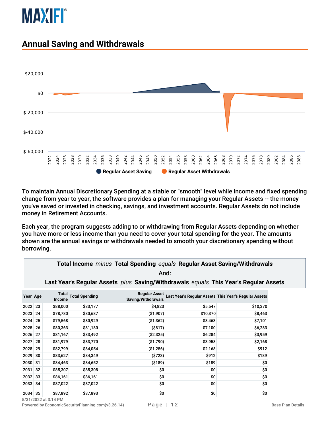

#### <span id="page-11-0"></span>**Annual Saving and Withdrawals**



To maintain Annual Discretionary Spending at a stable or "smooth" level while income and fixed spending change from year to year, the software provides a plan for managing your Regular Assets -- the money you've saved or invested in checking, savings, and investment accounts. Regular Assets do not include money in Retirement Accounts.

Each year, the program suggests adding to or withdrawing from Regular Assets depending on whether you have more or less income than you need to cover your total spending for the year. The amounts shown are the annual savings or withdrawals needed to smooth your discretionary spending without borrowing.

|                                                                                      | <b>Total Income <i>minus</i> Total Spending <i>equals</i> Regular Asset Saving/Withdrawals</b><br>And: |                 |                       |                                            |                                                       |          |  |  |
|--------------------------------------------------------------------------------------|--------------------------------------------------------------------------------------------------------|-----------------|-----------------------|--------------------------------------------|-------------------------------------------------------|----------|--|--|
| Last Year's Regular Assets plus Saving/Withdrawals equals This Year's Regular Assets |                                                                                                        |                 |                       |                                            |                                                       |          |  |  |
| Year Age                                                                             |                                                                                                        | Total<br>Income | <b>Total Spending</b> | <b>Regular Asset</b><br>Saving/Withdrawals | Last Year's Regular Assets This Year's Regular Assets |          |  |  |
| 2022                                                                                 | 23                                                                                                     | \$88,000        | \$83,177              | \$4,823                                    | \$5,547                                               | \$10,370 |  |  |
| 2023                                                                                 | -24                                                                                                    | \$78,780        | \$80,687              | ( \$1,907)                                 | \$10,370                                              | \$8,463  |  |  |
| 2024                                                                                 | 25                                                                                                     | \$79,568        | \$80,929              | ( \$1,362)                                 | \$8,463                                               | \$7,101  |  |  |
| 2025                                                                                 | -26                                                                                                    | \$80,363        | \$81,180              | $($ \$817)                                 | \$7,100                                               | \$6,283  |  |  |
| 2026 27                                                                              |                                                                                                        | \$81,167        | \$83,492              | ( \$2,325)                                 | \$6,284                                               | \$3,959  |  |  |
| 2027                                                                                 | 28                                                                                                     | \$81,979        | \$83,770              | ( \$1,790)                                 | \$3,958                                               | \$2,168  |  |  |
| 2028 29                                                                              |                                                                                                        | \$82,799        | \$84,054              | ( \$1,256)                                 | \$2,168                                               | \$912    |  |  |
| 2029                                                                                 | 30                                                                                                     | \$83,627        | \$84,349              | ( \$723)                                   | \$912                                                 | \$189    |  |  |
| 2030 31                                                                              |                                                                                                        | \$84,463        | \$84,652              | ( \$189)                                   | \$189                                                 | \$0      |  |  |
| 2031 32                                                                              |                                                                                                        | \$85,307        | \$85,308              | \$0                                        | \$0                                                   | \$0      |  |  |
| 2032 33                                                                              |                                                                                                        | \$86,161        | \$86,161              | \$0                                        | \$0                                                   | \$0      |  |  |
| 2033 34                                                                              |                                                                                                        | \$87,022        | \$87,022              | \$0                                        | \$0                                                   | \$0      |  |  |
| 2034 35                                                                              |                                                                                                        | \$87,892        | \$87,893              | \$0                                        | \$0                                                   | \$0      |  |  |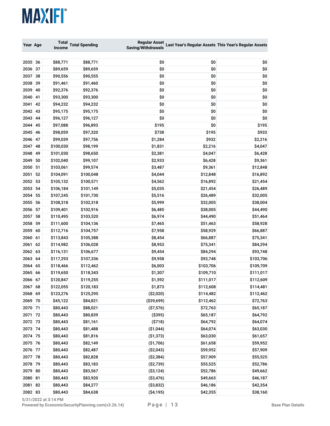| Year Age |    | <b>Total</b><br><b>Income</b> | <b>Total Spending</b> | <b>Regular Asset</b><br>Saving/Withdrawals |           | Last Year's Regular Assets This Year's Regular Assets |  |
|----------|----|-------------------------------|-----------------------|--------------------------------------------|-----------|-------------------------------------------------------|--|
|          |    |                               |                       |                                            |           |                                                       |  |
| 2035     | 36 | \$88,771                      | \$88,771              | \$0                                        | \$0       | \$0                                                   |  |
| 2036     | 37 | \$89,659                      | \$89,659              | \$0                                        | \$0       | \$0                                                   |  |
| 2037     | 38 | \$90,556                      | \$90,555              | \$0                                        | \$0       | \$0                                                   |  |
| 2038     | 39 | \$91,461                      | \$91,460              | \$0                                        | \$0       | \$0                                                   |  |
| 2039     | 40 | \$92,376                      | \$92,376              | \$0                                        | \$0       | \$0                                                   |  |
| 2040     | 41 | \$93,300                      | \$93,300              | \$0                                        | \$0       | \$0                                                   |  |
| 2041     | 42 | \$94,232                      | \$94,232              | \$0                                        | \$0       | \$0                                                   |  |
| 2042     | 43 | \$95,175                      | \$95,175              | \$0                                        | \$0       | \$0                                                   |  |
| 2043     | 44 | \$96,127                      | \$96,127              | \$0                                        | \$0       | \$0                                                   |  |
| 2044     | 45 | \$97,088                      | \$96,893              | \$195                                      | \$0       | \$195                                                 |  |
| 2045     | 46 | \$98,059                      | \$97,320              | \$738                                      | \$195     | \$933                                                 |  |
| 2046     | 47 | \$99,039                      | \$97,756              | \$1,284                                    | \$932     | \$2,216                                               |  |
| 2047     | 48 | \$100,030                     | \$98,199              | \$1,831                                    | \$2,216   | \$4,047                                               |  |
| 2048     | 49 | \$101,030                     | \$98,650              | \$2,381                                    | \$4,047   | \$6,428                                               |  |
| 2049     | 50 | \$102,040                     | \$99,107              | \$2,933                                    | \$6,428   | \$9,361                                               |  |
| 2050 51  |    | \$103,061                     | \$99,574              | \$3,487                                    | \$9,361   | \$12,848                                              |  |
| 2051     | 52 | \$104,091                     | \$100,048             | \$4,044                                    | \$12,848  | \$16,892                                              |  |
| 2052     | 53 | \$105,132                     | \$100,571             | \$4,562                                    | \$16,892  | \$21,454                                              |  |
| 2053     | 54 | \$106,184                     | \$101,149             | \$5,035                                    | \$21,454  | \$26,489                                              |  |
| 2054     | 55 | \$107,245                     | \$101,730             | \$5,516                                    | \$26,489  | \$32,005                                              |  |
| 2055     | 56 | \$108,318                     | \$102,318             | \$5,999                                    | \$32,005  | \$38,004                                              |  |
| 2056     | 57 | \$109,401                     | \$102,916             | \$6,485                                    | \$38,005  | \$44,490                                              |  |
| 2057     | 58 | \$110,495                     | \$103,520             | \$6,974                                    | \$44,490  | \$51,464                                              |  |
| 2058     | 59 | \$111,600                     | \$104,136             | \$7,465                                    | \$51,463  | \$58,928                                              |  |
| 2059     | 60 | \$112,716                     | \$104,757             | \$7,958                                    | \$58,929  | \$66,887                                              |  |
| 2060     | 61 | \$113,843                     | \$105,388             | \$8,454                                    | \$66,887  | \$75,341                                              |  |
| 2061     | 62 | \$114,982                     | \$106,028             | \$8,953                                    | \$75,341  | \$84,294                                              |  |
| 2062 63  |    | \$116,131                     | \$106,677             | \$9,454                                    | \$84,294  | \$93,748                                              |  |
| 2063     | 64 | \$117,293                     | \$107,336             | \$9,958                                    | \$93,748  | \$103,706                                             |  |
| 2064     | 65 | \$118,466                     | \$112,462             | \$6,003                                    | \$103,706 | \$109,709                                             |  |
| 2065     | 66 | \$119,650                     | \$118,343             | \$1,307                                    | \$109,710 | \$111,017                                             |  |
| 2066     | 67 | \$120,847                     | \$119,255             | \$1,592                                    | \$111,017 | \$112,609                                             |  |
| 2067 68  |    | \$122,055                     | \$120,183             | \$1,873                                    | \$112,608 | \$114,481                                             |  |
| 2068 69  |    | \$123,276                     | \$125,295             | (\$2,020)                                  | \$114,482 | \$112,462                                             |  |
| 2069 70  |    | \$45,122                      | \$84,821              | ( \$39,699)                                | \$112,462 | \$72,763                                              |  |
| 2070 71  |    | \$80,443                      | \$88,021              | ( \$7,576)                                 | \$72,763  | \$65,187                                              |  |
| 2071 72  |    | \$80,443                      | \$80,839              | ( \$395)                                   | \$65,187  | \$64,792                                              |  |
| 2072 73  |    | \$80,443                      | \$81,161              | ( \$718)                                   | \$64,792  | \$64,074                                              |  |
| 2073 74  |    | \$80,443                      | \$81,488              | (\$1,044)                                  | \$64,074  | \$63,030                                              |  |
| 2074 75  |    | \$80,443                      | \$81,816              | ( \$1,373)                                 | \$63,030  | \$61,657                                              |  |
| 2075 76  |    | \$80,443                      | \$82,149              | (\$1,706)                                  | \$61,658  | \$59,952                                              |  |
| 2076 77  |    | \$80,443                      | \$82,487              | (\$2,043)                                  | \$59,952  | \$57,909                                              |  |
| 2077 78  |    | \$80,443                      | \$82,828              | (\$2,384)                                  | \$57,909  | \$55,525                                              |  |
| 2078 79  |    | \$80,443                      | \$83,183              | (\$2,739)                                  | \$55,525  | \$52,786                                              |  |
| 2079 80  |    | \$80,443                      | \$83,567              | ( \$3,124)                                 | \$52,786  | \$49,662                                              |  |
| 2080 81  |    | \$80,443                      | \$83,920              | ( \$3,476)                                 | \$49,663  | \$46,187                                              |  |
| 2081     | 82 | \$80,443                      | \$84,277              | ( \$3,832)                                 | \$46,186  | \$42,354                                              |  |
| 2082 83  |    | \$80,443                      | \$84,638              | ( \$4,195)                                 | \$42,355  | \$38,160                                              |  |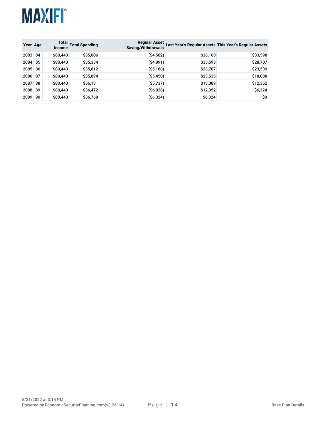

| Year Age |    | <b>Income</b> | Total Total Spending | <b>Regular Asset</b><br>Saving/Withdrawals |          | Last Year's Regular Assets This Year's Regular Assets |
|----------|----|---------------|----------------------|--------------------------------------------|----------|-------------------------------------------------------|
| 2083 84  |    | \$80,443      | \$85,006             | ( \$4,562)                                 | \$38,160 | \$33,598                                              |
| 2084 85  |    | \$80,443      | \$85,334             | ( \$4,891)                                 | \$33,598 | \$28,707                                              |
| 2085 86  |    | \$80,443      | \$85,612             | ( \$5,168)                                 | \$28,707 | \$23,539                                              |
| 2086 87  |    | \$80,443      | \$85,894             | ( \$5,450)                                 | \$23,538 | \$18,088                                              |
| 2087 88  |    | \$80,443      | \$86,181             | ( \$5,737)                                 | \$18,089 | \$12,352                                              |
| 2088 89  |    | \$80,443      | \$86,472             | (\$6,028)                                  | \$12,352 | \$6,324                                               |
| 2089     | 90 | \$80,443      | \$86,768             | ( \$6,324)                                 | \$6,324  | \$0                                                   |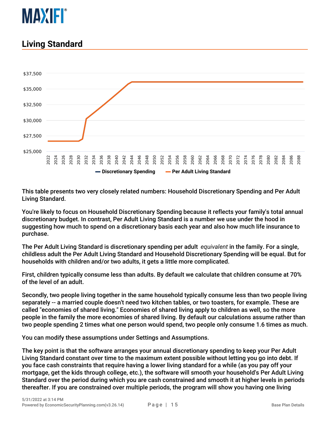

#### <span id="page-14-0"></span>**Living Standard**



This table presents two very closely related numbers: Household Discretionary Spending and Per Adult Living Standard.

You're likely to focus on Household Discretionary Spending because it reflects your family's total annual discretionary budget. In contrast, Per Adult Living Standard is a number we use under the hood in suggesting how much to spend on a discretionary basis each year and also how much life insurance to purchase.

The Per Adult Living Standard is discretionary spending per adult *equivalent* in the family. For a single, childless adult the Per Adult Living Standard and Household Discretionary Spending will be equal. But for households with children and/or two adults, it gets a little more complicated.

First, children typically consume less than adults. By default we calculate that children consume at 70% of the level of an adult.

Secondly, two people living together in the same household typically consume less than two people living separately -- a married couple doesn't need two kitchen tables, or two toasters, for example. These are called "economies of shared living." Economies of shared living apply to children as well, so the more people in the family the more economies of shared living. By default our calculations assume rather than two people spending 2 times what one person would spend, two people only consume 1.6 times as much.

You can modify these assumptions under Settings and Assumptions.

The key point is that the software arranges your annual discretionary spending to keep your Per Adult Living Standard constant over time to the maximum extent possible without letting you go into debt. If you face cash constraints that require having a lower living standard for a while (as you pay off your mortgage, get the kids through college, etc.), the software will smooth your household's Per Adult Living Standard over the period during which you are cash constrained and smooth it at higher levels in periods thereafter. If you are constrained over multiple periods, the program will show you having one living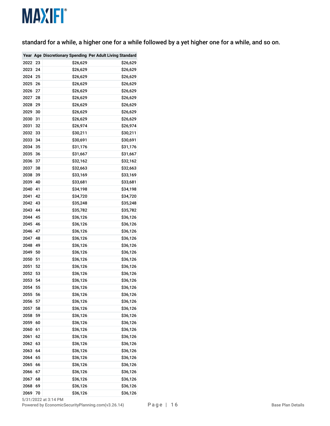standard for a while, a higher one for a while followed by a yet higher one for a while, and so on.

|      |    |          | Year Age Discretionary Spending Per Adult Living Standard |
|------|----|----------|-----------------------------------------------------------|
| 2022 | 23 | \$26,629 | \$26,629                                                  |
| 2023 | 24 | \$26,629 | \$26,629                                                  |
| 2024 | 25 | \$26,629 | \$26,629                                                  |
| 2025 | 26 | \$26,629 | \$26,629                                                  |
| 2026 | 27 | \$26,629 | \$26,629                                                  |
| 2027 | 28 | \$26,629 | \$26,629                                                  |
| 2028 | 29 | \$26,629 | \$26,629                                                  |
| 2029 | 30 | \$26,629 | \$26,629                                                  |
| 2030 | 31 | \$26,629 | \$26,629                                                  |
| 2031 | 32 | \$26,974 | \$26,974                                                  |
| 2032 | 33 | \$30,211 | \$30,211                                                  |
| 2033 | 34 | \$30,691 | \$30,691                                                  |
| 2034 | 35 | \$31,176 | \$31,176                                                  |
| 2035 | 36 | \$31,667 | \$31,667                                                  |
| 2036 | 37 | \$32,162 | \$32,162                                                  |
| 2037 | 38 | \$32,663 | \$32,663                                                  |
| 2038 | 39 | \$33,169 | \$33,169                                                  |
| 2039 | 40 | \$33,681 | \$33,681                                                  |
| 2040 | 41 | \$34,198 | \$34,198                                                  |
| 2041 | 42 | \$34,720 | \$34,720                                                  |
| 2042 | 43 | \$35,248 | \$35,248                                                  |
| 2043 | 44 | \$35,782 | \$35,782                                                  |
| 2044 | 45 | \$36,126 | \$36,126                                                  |
| 2045 | 46 | \$36,126 | \$36,126                                                  |
| 2046 | 47 | \$36,126 | \$36,126                                                  |
| 2047 | 48 | \$36,126 | \$36,126                                                  |
| 2048 | 49 | \$36,126 | \$36,126                                                  |
| 2049 | 50 | \$36,126 | \$36,126                                                  |
| 2050 | 51 | \$36,126 | \$36,126                                                  |
| 2051 | 52 | \$36,126 | \$36,126                                                  |
| 2052 | 53 | \$36,126 | \$36,126                                                  |
| 2053 | 54 | \$36,126 | \$36,126                                                  |
| 2054 | 55 | \$36,126 | \$36,126                                                  |
| 2055 | 56 | \$36,126 | \$36,126                                                  |
| 2056 | 57 | \$36,126 | \$36,126                                                  |
| 2057 | 58 | \$36,126 | \$36,126                                                  |
| 2058 | 59 | \$36,126 | \$36,126                                                  |
| 2059 | 60 | \$36,126 | \$36,126                                                  |
| 2060 | 61 | \$36,126 | \$36,126                                                  |
| 2061 | 62 | \$36,126 | \$36,126                                                  |
| 2062 | 63 | \$36,126 | \$36,126                                                  |
| 2063 | 64 | \$36,126 | \$36,126                                                  |
| 2064 | 65 | \$36,126 | \$36,126                                                  |
| 2065 | 66 | \$36,126 | \$36,126                                                  |
| 2066 | 67 | \$36,126 | \$36,126                                                  |
| 2067 | 68 | \$36,126 | \$36,126                                                  |
| 2068 | 69 | \$36,126 | \$36,126                                                  |
| 2069 | 70 | \$36,126 | \$36,126                                                  |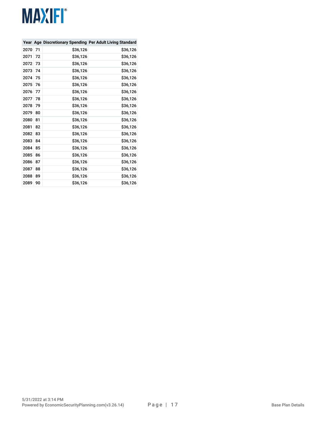|      |    |          | Year Age Discretionary Spending Per Adult Living Standard |
|------|----|----------|-----------------------------------------------------------|
| 2070 | 71 | \$36,126 | \$36,126                                                  |
| 2071 | 72 | \$36,126 | \$36,126                                                  |
| 2072 | 73 | \$36,126 | \$36,126                                                  |
| 2073 | 74 | \$36,126 | \$36,126                                                  |
| 2074 | 75 | \$36,126 | \$36,126                                                  |
| 2075 | 76 | \$36,126 | \$36,126                                                  |
| 2076 | 77 | \$36,126 | \$36,126                                                  |
| 2077 | 78 | \$36,126 | \$36,126                                                  |
| 2078 | 79 | \$36,126 | \$36,126                                                  |
| 2079 | 80 | \$36,126 | \$36,126                                                  |
| 2080 | 81 | \$36,126 | \$36,126                                                  |
| 2081 | 82 | \$36,126 | \$36,126                                                  |
| 2082 | 83 | \$36,126 | \$36,126                                                  |
| 2083 | 84 | \$36,126 | \$36,126                                                  |
| 2084 | 85 | \$36,126 | \$36,126                                                  |
| 2085 | 86 | \$36,126 | \$36,126                                                  |
| 2086 | 87 | \$36,126 | \$36,126                                                  |
| 2087 | 88 | \$36,126 | \$36,126                                                  |
| 2088 | 89 | \$36,126 | \$36,126                                                  |
| 2089 | 90 | \$36,126 | \$36,126                                                  |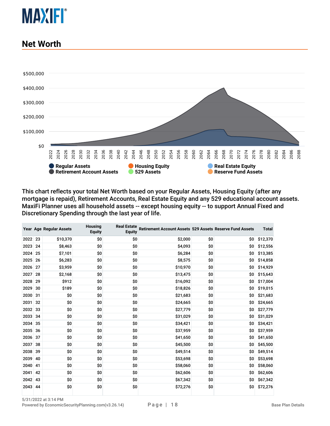

#### <span id="page-17-0"></span>**Net Worth**



This chart reflects your total Net Worth based on your Regular Assets, Housing Equity (after any mortgage is repaid), Retirement Accounts, Real Estate Equity and any 529 educational account assets. MaxiFi Planner uses all household assets -- except housing equity -- to support Annual Fixed and Discretionary Spending through the last year of life.

|         |    | Year Age Regular Assets | <b>Housing</b><br><b>Equity</b> | <b>Real Estate</b><br><b>Equity</b> | Retirement Account Assets 529 Assets Reserve Fund Assets |     |     | <b>Total</b> |
|---------|----|-------------------------|---------------------------------|-------------------------------------|----------------------------------------------------------|-----|-----|--------------|
| 2022 23 |    | \$10,370                | \$0                             | \$0                                 | \$2,000                                                  | \$0 | \$O | \$12,370     |
| 2023    | 24 | \$8,463                 | \$0                             | \$O                                 | \$4,093                                                  | \$0 | \$0 | \$12,556     |
| 2024    | 25 | \$7,101                 | \$0                             | \$0                                 | \$6,284                                                  | \$0 | \$0 | \$13,385     |
| 2025    | 26 | \$6,283                 | \$0                             | \$0                                 | \$8,575                                                  | \$0 | \$0 | \$14,858     |
| 2026    | 27 | \$3,959                 | \$0                             | \$0                                 | \$10,970                                                 | \$0 | \$0 | \$14,929     |
| 2027    | 28 | \$2,168                 | \$0                             | \$0                                 | \$13,475                                                 | \$0 | \$0 | \$15,643     |
| 2028    | 29 | \$912                   | \$0                             | \$0                                 | \$16,092                                                 | \$0 | \$0 | \$17,004     |
| 2029    | 30 | \$189                   | \$0                             | \$0                                 | \$18,826                                                 | \$0 | \$0 | \$19,015     |
| 2030    | 31 | \$0                     | \$0                             | \$0                                 | \$21,683                                                 | \$0 | \$0 | \$21,683     |
| 2031    | 32 | \$0                     | \$0                             | \$0                                 | \$24,665                                                 | \$0 | \$0 | \$24,665     |
| 2032 33 |    | \$0                     | \$0                             | \$0                                 | \$27,779                                                 | \$0 | \$0 | \$27,779     |
| 2033    | 34 | \$0                     | \$0                             | \$0                                 | \$31,029                                                 | \$0 | \$0 | \$31,029     |
| 2034 35 |    | \$0                     | \$0                             | \$0                                 | \$34,421                                                 | \$0 | \$0 | \$34,421     |
| 2035    | 36 | \$0                     | \$0                             | \$0                                 | \$37,959                                                 | \$0 | \$0 | \$37,959     |
| 2036 37 |    | \$0                     | \$0                             | \$0                                 | \$41,650                                                 | \$0 | \$0 | \$41,650     |
| 2037    | 38 | \$0                     | \$0                             | \$0                                 | \$45,500                                                 | \$0 | \$0 | \$45,500     |
| 2038 39 |    | \$0                     | \$0                             | \$0                                 | \$49,514                                                 | \$0 | \$0 | \$49,514     |
| 2039    | 40 | \$0                     | \$0                             | \$0                                 | \$53,698                                                 | \$0 | \$0 | \$53,698     |
| 2040    | 41 | \$0                     | \$0                             | \$0                                 | \$58,060                                                 | \$0 | \$0 | \$58,060     |
| 2041    | 42 | \$0                     | \$0                             | \$0                                 | \$62,606                                                 | \$0 | \$0 | \$62,606     |
| 2042    | 43 | \$0                     | \$0                             | \$0                                 | \$67,342                                                 | \$0 | \$0 | \$67,342     |
| 2043 44 |    | \$0                     | \$0                             | \$0                                 | \$72,276                                                 | \$0 | \$0 | \$72,276     |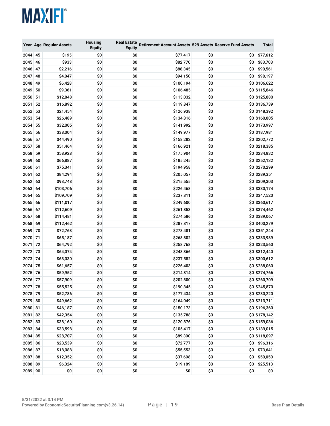|         |    | Year Age Regular Assets | <b>Housing</b><br><b>Equity</b> | <b>Real Estate</b><br><b>Equity</b> | Retirement Account Assets 529 Assets Reserve Fund Assets |     |     | Total         |
|---------|----|-------------------------|---------------------------------|-------------------------------------|----------------------------------------------------------|-----|-----|---------------|
| 2044    | 45 | \$195                   | \$0                             | \$0                                 | \$77,417                                                 | \$0 | \$O | \$77,612      |
| 2045 46 |    | \$933                   | \$0                             | \$0                                 | \$82,770                                                 | \$0 | \$0 | \$83,703      |
| 2046    | 47 | \$2,216                 | \$0                             | \$0                                 | \$88,345                                                 | \$0 | \$0 | \$90,561      |
| 2047    | 48 | \$4,047                 | \$0                             | \$0                                 | \$94,150                                                 | \$0 | \$0 | \$98,197      |
| 2048    | 49 | \$6,428                 | \$0                             | \$0                                 | \$100,194                                                | \$0 |     | \$0 \$106,622 |
| 2049    | 50 | \$9,361                 | \$0                             | \$0                                 | \$106,485                                                | \$0 |     | \$0 \$115,846 |
| 2050    | 51 | \$12,848                | \$0                             | \$0                                 | \$113,032                                                | \$0 |     | \$0 \$125,880 |
| 2051    | 52 | \$16,892                | \$0                             | \$0                                 | \$119,847                                                | \$0 |     | \$0 \$136,739 |
| 2052    | 53 | \$21,454                | \$0                             | \$0                                 | \$126,938                                                | \$0 |     | \$0 \$148,392 |
| 2053    | 54 | \$26,489                | \$0                             | \$0                                 | \$134,316                                                | \$0 |     | \$0 \$160,805 |
| 2054    | 55 | \$32,005                | \$0                             | \$0                                 | \$141,992                                                | \$0 |     | \$0 \$173,997 |
| 2055    | 56 | \$38,004                | \$0                             | \$0                                 | \$149,977                                                | \$0 |     | \$0 \$187,981 |
| 2056    | 57 | \$44,490                | \$0                             | \$0                                 | \$158,282                                                | \$0 |     | \$0 \$202,772 |
| 2057    | 58 | \$51,464                | \$0                             | \$0                                 | \$166,921                                                | \$0 |     | \$0 \$218,385 |
| 2058    | 59 | \$58,928                | \$0                             | \$0                                 | \$175,904                                                | \$0 |     | \$0 \$234,832 |
| 2059    | 60 | \$66,887                | \$0                             | \$0                                 | \$185,245                                                | \$0 |     | \$0 \$252,132 |
| 2060    | 61 | \$75,341                | \$0                             | \$0                                 | \$194,958                                                | \$0 |     | \$0 \$270,299 |
| 2061    | 62 | \$84,294                | \$0                             | \$0                                 | \$205,057                                                | \$0 |     | \$0 \$289,351 |
| 2062    | 63 | \$93,748                | \$0                             | \$0                                 | \$215,555                                                | \$0 |     | \$0 \$309,303 |
| 2063    | 64 | \$103,706               | \$0                             | \$0                                 | \$226,468                                                | \$0 |     | \$0 \$330,174 |
| 2064    | 65 | \$109,709               | \$0                             | \$0                                 | \$237,811                                                | \$0 |     | \$0 \$347,520 |
| 2065    | 66 | \$111,017               | \$0                             | \$0                                 | \$249,600                                                | \$0 |     | \$0 \$360,617 |
| 2066    | 67 | \$112,609               | \$0                             | \$0                                 | \$261,853                                                | \$0 |     | \$0 \$374,462 |
| 2067    | 68 | \$114,481               | \$0                             | \$0                                 | \$274,586                                                | \$0 |     | \$0 \$389,067 |
| 2068    | 69 | \$112,462               | \$0                             | \$0                                 | \$287,817                                                | \$0 |     | \$0 \$400,279 |
| 2069    | 70 | \$72,763                | \$0                             | \$0                                 | \$278,481                                                | \$0 |     | \$0 \$351,244 |
| 2070 71 |    | \$65,187                | \$0                             | \$0                                 | \$268,802                                                | \$0 |     | \$0 \$333,989 |
| 2071    | 72 | \$64,792                | \$0                             | \$0                                 | \$258,768                                                | \$0 |     | \$0 \$323,560 |
| 2072    | 73 | \$64,074                | \$0                             | \$0                                 | \$248,366                                                | \$0 |     | \$0 \$312,440 |
| 2073 74 |    | \$63,030                | \$0                             | \$0                                 | \$237,582                                                | \$0 |     | \$0 \$300,612 |
| 2074 75 |    | \$61,657                | \$0                             | \$0                                 | \$226,403                                                | \$0 |     | \$0 \$288,060 |
| 2075 76 |    | \$59,952                | \$0                             | \$0                                 | \$214,814                                                | \$0 |     | \$0 \$274,766 |
| 2076 77 |    | \$57,909                | \$0                             | \$0                                 | \$202,800                                                | \$0 |     | \$0 \$260,709 |
| 2077 78 |    | \$55,525                | \$0                             | \$0                                 | \$190,345                                                | \$0 |     | \$0 \$245,870 |
| 2078 79 |    | \$52,786                | \$0                             | \$0                                 | \$177,434                                                | \$0 |     | \$0 \$230,220 |
| 2079 80 |    | \$49,662                | \$0                             | \$0                                 | \$164,049                                                | \$0 |     | \$0 \$213,711 |
| 2080 81 |    | \$46,187                | \$0                             | \$0                                 | \$150,173                                                | \$0 |     | \$0 \$196,360 |
| 2081 82 |    | \$42,354                | \$0                             | \$0                                 | \$135,788                                                | \$0 |     | \$0 \$178,142 |
| 2082 83 |    | \$38,160                | \$0                             | \$0                                 | \$120,876                                                | \$0 |     | \$0 \$159,036 |
| 2083 84 |    | \$33,598                | \$0                             | \$0                                 | \$105,417                                                | \$0 |     | \$0 \$139,015 |
| 2084 85 |    | \$28,707                | \$0                             | \$0                                 | \$89,390                                                 | \$0 |     | \$0 \$118,097 |
| 2085 86 |    | \$23,539                | \$0                             | \$0                                 | \$72,777                                                 | \$0 |     | \$0 \$96,316  |
| 2086 87 |    | \$18,088                | \$0                             | \$0                                 | \$55,553                                                 | \$0 | \$0 | \$73,641      |
| 2087 88 |    | \$12,352                | \$0                             | \$0                                 | \$37,698                                                 | \$0 | \$0 | \$50,050      |
| 2088 89 |    | \$6,324                 | \$0                             | \$0                                 | \$19,189                                                 | \$0 | \$0 | \$25,513      |
| 2089 90 |    | \$0                     | \$0                             | \$0                                 | \$0                                                      | \$0 | \$0 | \$0           |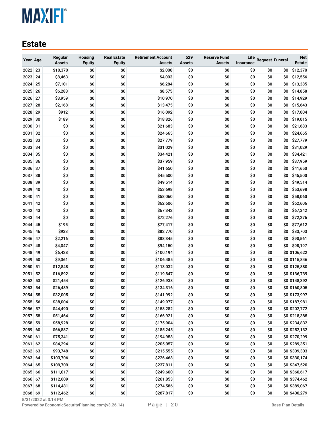#### <span id="page-19-0"></span>**Estate**

| Year Age     |          | Regular<br><b>Assets</b> | <b>Housing</b><br><b>Equity</b> | <b>Real Estate</b><br><b>Equity</b> | <b>Retirement Account</b><br><b>Assets</b> | 529<br>Assets | <b>Reserve Fund</b><br><b>Assets</b> | Life<br><b>Insurance</b> | <b>Bequest Funeral</b> |     | <b>Net</b><br>Estate           |
|--------------|----------|--------------------------|---------------------------------|-------------------------------------|--------------------------------------------|---------------|--------------------------------------|--------------------------|------------------------|-----|--------------------------------|
| 2022 23      |          | \$10,370                 | \$0                             | \$0                                 | \$2,000                                    | \$0           | \$0                                  | \$0                      | \$0                    | \$0 | \$12,370                       |
| 2023         | 24       | \$8,463                  | \$0                             | \$0                                 | \$4,093                                    | \$0           | \$0                                  | \$0                      | \$0                    | \$0 | \$12,556                       |
| 2024         | 25       | \$7,101                  | \$0                             | \$0                                 | \$6,284                                    | \$0           | \$0                                  | \$0                      | \$0                    | \$0 | \$13,385                       |
| 2025         | 26       | \$6,283                  | \$0                             | \$0                                 | \$8,575                                    | \$0           | \$0                                  | \$0                      | \$0                    | \$0 | \$14,858                       |
| 2026         | 27       | \$3,959                  | \$0                             | \$0                                 | \$10,970                                   | \$0           | \$0                                  | \$0                      | \$0                    | \$0 | \$14,929                       |
| 2027         | 28       | \$2,168                  | \$0                             | \$0                                 | \$13,475                                   | \$0           | \$0                                  | \$0                      | \$0                    | \$0 | \$15,643                       |
| 2028         | 29       | \$912                    | \$0                             | \$0                                 | \$16,092                                   | \$0           | \$0                                  | \$0                      | \$0                    | \$0 | \$17,004                       |
| 2029         | 30       | \$189                    | \$0                             | \$0                                 | \$18,826                                   | \$0           | \$0                                  | \$0                      | \$0                    | \$0 | \$19,015                       |
| 2030         | 31       | \$0                      | \$0                             | \$0                                 | \$21,683                                   | \$0           | \$0                                  | \$0                      | \$0                    | \$0 | \$21,683                       |
| 2031         | 32       | \$0                      | \$0                             | \$0                                 | \$24,665                                   | \$0           | \$0                                  | \$0                      | \$0                    | \$0 | \$24,665                       |
| 2032         | 33       | \$0                      | \$0                             | \$0                                 | \$27,779                                   | \$0           | \$0                                  | \$0                      | \$0                    | \$0 | \$27,779                       |
| 2033         | 34       | \$0                      | \$0                             | \$0                                 | \$31,029                                   | \$0           | \$0                                  | \$0                      | \$0                    | \$0 | \$31,029                       |
| 2034         | 35       | \$0                      | \$0                             | \$0                                 | \$34,421                                   | \$0           | \$0                                  | \$0                      | \$0                    | \$0 | \$34,421                       |
| 2035         | 36       | \$0                      | \$0                             | \$0                                 | \$37,959                                   | \$0           | \$0                                  | \$0                      | \$0                    | \$0 | \$37,959                       |
| 2036         | 37       | \$0                      | \$0                             | \$0                                 | \$41,650                                   | \$0           | \$0                                  | \$0                      | \$0                    | \$0 | \$41,650                       |
| 2037         | 38       | \$0                      | \$0                             | \$0                                 | \$45,500                                   | \$0           | \$0                                  | \$0                      | \$0                    | \$0 | \$45,500                       |
| 2038         | 39       | \$0                      | \$0                             | \$0                                 | \$49,514                                   | \$0           | \$0                                  | \$0                      | \$0                    | \$0 | \$49,514                       |
| 2039         | 40       | \$0                      | \$0                             | \$0                                 | \$53,698                                   | \$0           | \$0                                  | \$0                      | \$0                    | \$0 | \$53,698                       |
| 2040         | 41       | \$0                      | \$0                             | \$0                                 | \$58,060                                   | \$0           | \$0                                  | \$0                      | \$0                    | \$0 | \$58,060                       |
| 2041         | 42       | \$0                      | \$0                             | \$0                                 | \$62,606                                   | \$0           | \$0                                  | \$0                      | \$0                    | \$0 | \$62,606                       |
| 2042         | 43       | \$0                      | \$0                             | \$0                                 | \$67,342                                   | \$0           | \$0                                  | \$0                      | \$0                    | \$0 | \$67,342                       |
| 2043         | 44       | \$0                      | \$0                             | \$0                                 | \$72,276                                   | \$0           | \$0                                  | \$0                      | \$0                    | \$0 | \$72,276                       |
| 2044         | 45       | \$195                    | \$0                             | \$0                                 | \$77,417                                   | \$0           | \$0                                  | \$0                      | \$0                    | \$0 | \$77,612                       |
| 2045         | 46       | \$933                    | \$0                             | \$0                                 | \$82,770                                   | \$0           | \$0                                  | \$0                      | \$0                    | \$0 | \$83,703                       |
| 2046         | 47       | \$2,216                  | \$0                             | \$0                                 | \$88,345                                   | \$0           | \$0                                  | \$0                      | \$0                    | \$0 | \$90,561                       |
| 2047         | 48       | \$4,047                  | \$0                             | \$0                                 | \$94,150                                   | \$0           | \$0                                  | \$0                      | \$0                    | \$0 | \$98,197                       |
| 2048         | 49       | \$6,428                  | \$0                             | \$0                                 | \$100,194                                  | \$0           | \$0                                  | \$0                      | \$0                    |     | \$0 \$106,622                  |
| 2049         | 50       | \$9,361                  | \$0                             | \$0                                 | \$106,485                                  | \$0           | \$0                                  | \$0                      | \$0                    |     | \$0 \$115,846                  |
| 2050         | 51       | \$12,848                 | \$0                             | \$0                                 | \$113,032                                  | \$0           | \$0                                  | \$0                      | \$0                    |     | \$0 \$125,880                  |
| 2051<br>2052 | 52<br>53 | \$16,892                 | \$0<br>\$0                      | \$0<br>\$0                          | \$119,847                                  | \$0<br>\$0    | \$0<br>\$0                           | \$0<br>\$0               | \$0<br>\$0             |     | \$0 \$136,739<br>\$0 \$148,392 |
| 2053         | 54       | \$21,454<br>\$26,489     | \$0                             | \$0                                 | \$126,938<br>\$134,316                     | \$0           | \$0                                  | \$0                      | \$0                    |     | \$0 \$160,805                  |
| 2054         | 55       | \$32,005                 | \$0                             | \$0                                 | \$141,992                                  | \$0           | \$0                                  | \$0                      | \$0                    |     | \$0 \$173,997                  |
| 2055 56      |          | \$38,004                 | \$0                             | \$0                                 | \$149,977                                  | \$0           | \$0                                  | \$0                      | \$0                    |     | \$0 \$187,981                  |
| 2056 57      |          | \$44,490                 | \$0                             | \$0                                 | \$158,282                                  | \$0           | \$0                                  | \$0                      | \$0                    |     | \$0 \$202,772                  |
| 2057 58      |          | \$51,464                 | \$0                             | \$0                                 | \$166,921                                  | \$0           | \$0                                  | \$0                      | \$0                    |     | \$0 \$218,385                  |
| 2058 59      |          | \$58,928                 | \$0                             | \$0                                 | \$175,904                                  | \$0           | \$0                                  | \$0                      | \$0                    |     | \$0 \$234,832                  |
| 2059 60      |          | \$66,887                 | \$0                             | \$0                                 | \$185,245                                  | \$0           | \$0                                  | \$0                      | \$0                    |     | \$0 \$252,132                  |
| 2060 61      |          | \$75,341                 | \$0                             | \$0                                 | \$194,958                                  | \$0           | \$0                                  | \$0                      | \$0                    |     | \$0 \$270,299                  |
| 2061 62      |          | \$84,294                 | \$0                             | \$0                                 | \$205,057                                  | \$0           | \$0                                  | \$0                      | \$0                    |     | \$0 \$289,351                  |
| 2062 63      |          | \$93,748                 | \$0                             | \$0                                 | \$215,555                                  | \$0           | \$0                                  | \$0                      | \$0                    |     | \$0 \$309,303                  |
| 2063 64      |          | \$103,706                | \$0                             | \$0                                 | \$226,468                                  | \$0           | \$0                                  | \$0                      | \$0                    |     | \$0 \$330,174                  |
| 2064 65      |          | \$109,709                | \$0                             | \$0                                 | \$237,811                                  | \$0           | \$0                                  | \$0                      | \$0                    |     | \$0 \$347,520                  |
| 2065 66      |          | \$111,017                | \$0                             | \$0                                 | \$249,600                                  | \$0           | \$0                                  | \$0                      | \$0                    |     | \$0 \$360,617                  |
| 2066 67      |          | \$112,609                | \$0                             | \$0                                 | \$261,853                                  | \$0           | \$0                                  | \$0                      | \$0                    |     | \$0 \$374,462                  |
| 2067 68      |          | \$114,481                | \$0                             | \$0                                 | \$274,586                                  | \$0           | \$0                                  | \$0                      | \$0                    |     | \$0 \$389,067                  |
| 2068 69      |          | \$112,462                | \$0                             | \$0                                 | \$287,817                                  | \$0           | \$0                                  | \$0                      | \$0                    |     | \$0 \$400,279                  |
|              |          |                          |                                 |                                     |                                            |               |                                      |                          |                        |     |                                |

5/31/2022 at 3:14 PM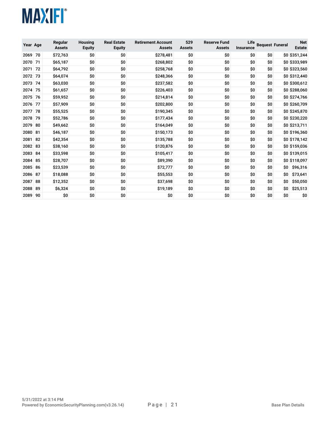

| Year Age |    | Regular<br><b>Assets</b> | <b>Housing</b><br><b>Equity</b> | <b>Real Estate</b><br><b>Equity</b> | <b>Retirement Account</b><br><b>Assets</b> | 529<br><b>Assets</b> | <b>Reserve Fund</b><br><b>Assets</b> | Life<br><b>Insurance</b> | <b>Bequest Funeral</b> |     | <b>Net</b><br><b>Estate</b> |
|----------|----|--------------------------|---------------------------------|-------------------------------------|--------------------------------------------|----------------------|--------------------------------------|--------------------------|------------------------|-----|-----------------------------|
| 2069     | 70 | \$72,763                 | \$0                             | \$0                                 | \$278,481                                  | \$0                  | \$0                                  | \$O                      | \$O                    |     | \$0 \$351,244               |
| 2070     | 71 | \$65,187                 | \$0                             | \$0                                 | \$268,802                                  | \$0                  | \$0                                  | \$0                      | \$O                    |     | \$0 \$333,989               |
| 2071     | 72 | \$64,792                 | \$0                             | \$0                                 | \$258,768                                  | \$0                  | \$0                                  | \$0                      | \$O                    |     | \$0 \$323,560               |
| 2072     | 73 | \$64,074                 | \$0                             | \$0                                 | \$248,366                                  | \$0                  | \$0                                  | \$0                      | \$0                    |     | \$0 \$312,440               |
| 2073     | 74 | \$63,030                 | \$0                             | \$0                                 | \$237,582                                  | \$0                  | \$0                                  | \$0                      | \$O                    |     | \$0 \$300,612               |
| 2074     | 75 | \$61,657                 | \$0                             | \$0                                 | \$226,403                                  | \$0                  | \$0                                  | \$0                      | \$O                    |     | \$0 \$288,060               |
| 2075     | 76 | \$59,952                 | \$0                             | \$0                                 | \$214,814                                  | \$0                  | \$0                                  | \$0                      | \$O                    |     | \$0 \$274,766               |
| 2076     | 77 | \$57,909                 | \$0                             | \$0                                 | \$202,800                                  | \$0                  | \$0                                  | \$0                      | \$O                    |     | \$0 \$260,709               |
| 2077     | 78 | \$55,525                 | \$0                             | \$0                                 | \$190,345                                  | \$0                  | \$0                                  | \$0                      | \$O                    |     | \$0 \$245,870               |
| 2078     | 79 | \$52,786                 | \$0                             | \$0                                 | \$177,434                                  | \$0                  | \$0                                  | \$0                      | \$O                    |     | \$0 \$230,220               |
| 2079     | 80 | \$49,662                 | \$0                             | \$0                                 | \$164,049                                  | \$0                  | \$0                                  | \$0                      | \$O                    |     | \$0 \$213,711               |
| 2080     | 81 | \$46,187                 | \$0                             | \$0                                 | \$150,173                                  | \$0                  | \$0                                  | \$0                      | \$O                    |     | \$0 \$196,360               |
| 2081     | 82 | \$42,354                 | \$0                             | \$0                                 | \$135,788                                  | \$0                  | \$0                                  | \$0                      | \$O                    |     | \$0 \$178,142               |
| 2082     | 83 | \$38,160                 | \$0                             | \$0                                 | \$120,876                                  | \$0                  | \$0                                  | \$0                      | \$O                    |     | \$0 \$159,036               |
| 2083     | 84 | \$33,598                 | \$0                             | \$0                                 | \$105,417                                  | \$0                  | \$0                                  | \$0                      | \$O                    |     | \$0 \$139,015               |
| 2084     | 85 | \$28,707                 | \$0                             | \$0                                 | \$89,390                                   | \$0                  | \$0                                  | \$0                      | \$O                    |     | \$0 \$118,097               |
| 2085     | 86 | \$23,539                 | \$0                             | \$0                                 | \$72,777                                   | \$0                  | \$0                                  | \$0                      | \$0                    | \$0 | \$96,316                    |
| 2086     | 87 | \$18,088                 | \$0                             | \$0                                 | \$55,553                                   | \$0                  | \$0                                  | \$0                      | \$O                    | \$O | \$73,641                    |
| 2087     | 88 | \$12,352                 | \$0                             | \$0                                 | \$37,698                                   | \$0                  | \$0                                  | \$0                      | \$O                    | \$0 | \$50,050                    |
| 2088     | 89 | \$6,324                  | \$0                             | \$0                                 | \$19,189                                   | \$0                  | \$0                                  | \$0                      | \$0                    | \$0 | \$25,513                    |
| 2089     | 90 | \$0                      | \$0                             | \$0                                 | \$0                                        | \$0                  | \$0                                  | \$0                      | \$O                    | \$O | \$0                         |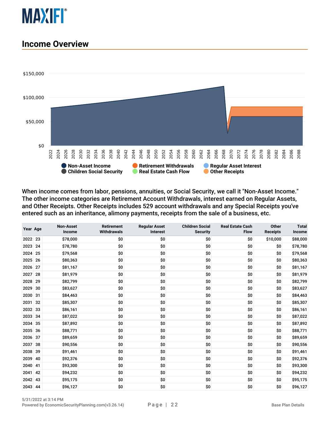

#### <span id="page-21-0"></span>**Income Overview**



When income comes from labor, pensions, annuities, or Social Security, we call it "Non-Asset Income." The other income categories are Retirement Account Withdrawals, interest earned on Regular Assets, and Other Receipts. Other Receipts includes 529 account withdrawals and any Special Receipts you've entered such as an inheritance, alimony payments, receipts from the sale of a business, etc.

| Year Age |    | <b>Non-Asset</b><br>Income | <b>Retirement</b><br><b>Withdrawals</b> | <b>Regular Asset</b><br><b>Interest</b> | <b>Children Social</b><br><b>Security</b> | <b>Real Estate Cash</b><br><b>Flow</b> | <b>Other</b><br><b>Receipts</b> | <b>Total</b><br>Income |
|----------|----|----------------------------|-----------------------------------------|-----------------------------------------|-------------------------------------------|----------------------------------------|---------------------------------|------------------------|
| 2022     | 23 | \$78,000                   | \$0                                     | \$0                                     | \$0                                       | \$0                                    | \$10,000                        | \$88,000               |
| 2023     | 24 | \$78,780                   | \$0                                     | \$0                                     | \$0                                       | \$0                                    | \$0                             | \$78,780               |
| 2024     | 25 | \$79,568                   | \$0                                     | \$0                                     | \$0                                       | \$0                                    | \$0                             | \$79,568               |
| 2025     | 26 | \$80,363                   | \$0                                     | \$0                                     | \$0                                       | \$0                                    | \$0                             | \$80,363               |
| 2026     | 27 | \$81,167                   | \$0                                     | \$0                                     | \$0                                       | \$0                                    | \$0                             | \$81,167               |
| 2027     | 28 | \$81,979                   | \$0                                     | \$0                                     | \$0                                       | \$0                                    | \$0                             | \$81,979               |
| 2028     | 29 | \$82,799                   | \$0                                     | \$0                                     | \$0                                       | \$0                                    | \$0                             | \$82,799               |
| 2029     | 30 | \$83,627                   | \$0                                     | \$0                                     | \$0                                       | \$0                                    | \$0                             | \$83,627               |
| 2030     | 31 | \$84,463                   | \$0                                     | \$0                                     | \$0                                       | \$0                                    | \$0                             | \$84,463               |
| 2031     | 32 | \$85,307                   | \$0                                     | \$0                                     | \$0                                       | \$0                                    | \$0                             | \$85,307               |
| 2032     | 33 | \$86,161                   | \$0                                     | \$0                                     | \$0                                       | \$0                                    | \$0                             | \$86,161               |
| 2033     | 34 | \$87,022                   | \$0                                     | \$0                                     | \$0                                       | \$0                                    | \$0                             | \$87,022               |
| 2034     | 35 | \$87,892                   | \$0                                     | \$0                                     | \$0                                       | \$0                                    | \$0                             | \$87,892               |
| 2035     | 36 | \$88,771                   | \$0                                     | \$0                                     | \$0                                       | \$0                                    | \$0                             | \$88,771               |
| 2036     | 37 | \$89,659                   | \$0                                     | \$0                                     | \$0                                       | \$0                                    | \$0                             | \$89,659               |
| 2037     | 38 | \$90,556                   | \$0                                     | \$0                                     | \$0                                       | \$0                                    | \$0                             | \$90,556               |
| 2038     | 39 | \$91,461                   | \$0                                     | \$0                                     | \$0                                       | \$0                                    | \$0                             | \$91,461               |
| 2039     | 40 | \$92,376                   | \$0                                     | \$0                                     | \$0                                       | \$0                                    | \$0                             | \$92,376               |
| 2040     | 41 | \$93,300                   | \$0                                     | \$0                                     | \$0                                       | \$0                                    | \$0                             | \$93,300               |
| 2041     | 42 | \$94,232                   | \$0                                     | \$0                                     | \$0                                       | \$0                                    | \$0                             | \$94,232               |
| 2042     | 43 | \$95,175                   | \$0                                     | \$0                                     | \$0                                       | \$0                                    | \$0                             | \$95,175               |
| 2043 44  |    | \$96,127                   | \$0                                     | \$0                                     | \$0                                       | \$0                                    | \$0                             | \$96,127               |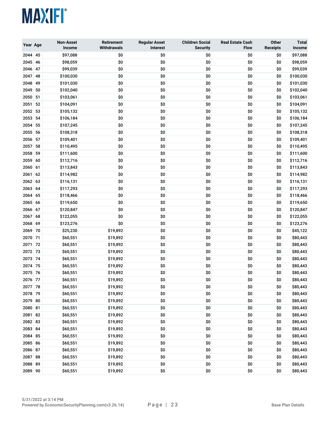

| Year Age     |          | <b>Non-Asset</b><br>Income | <b>Retirement</b><br><b>Withdrawals</b> | <b>Regular Asset</b><br>Interest | <b>Children Social</b><br><b>Security</b> | <b>Real Estate Cash</b><br><b>Flow</b> | Other<br><b>Receipts</b> | <b>Total</b><br>Income |
|--------------|----------|----------------------------|-----------------------------------------|----------------------------------|-------------------------------------------|----------------------------------------|--------------------------|------------------------|
| 2044 45      |          | \$97,088                   | \$0                                     | \$0                              | \$0                                       | \$0                                    | \$0                      | \$97,088               |
| 2045 46      |          | \$98,059                   | \$0                                     | \$0                              | \$0                                       | \$0                                    | \$0                      | \$98,059               |
| 2046         | 47       | \$99,039                   | \$0                                     | \$0                              | \$0                                       | \$0                                    | \$0                      | \$99,039               |
| 2047         | 48       | \$100,030                  | \$0                                     | \$0                              | \$0                                       | \$0                                    | \$0                      | \$100,030              |
| 2048         | 49       | \$101,030                  | \$0                                     | \$0                              | \$0                                       | \$0                                    | \$0                      | \$101,030              |
| 2049         | 50       | \$102,040                  | \$0                                     | \$0                              | \$0                                       | \$0                                    | \$0                      | \$102,040              |
| 2050         | 51       | \$103,061                  | \$0                                     | \$0                              | \$0                                       | \$0                                    | \$0                      | \$103,061              |
| 2051         | 52       | \$104,091                  | \$0                                     | \$0                              | \$0                                       | \$0                                    | \$0                      | \$104,091              |
| 2052         | 53       | \$105,132                  | \$0                                     | \$0                              | \$0                                       | \$0                                    | \$0                      | \$105,132              |
| 2053         | 54       | \$106,184                  | \$0                                     | \$0                              | \$0                                       | \$0                                    | \$0                      | \$106,184              |
| 2054         | 55       | \$107,245                  | \$0                                     | \$0                              | \$0                                       | \$0                                    | \$0                      | \$107,245              |
| 2055         | 56       | \$108,318                  | \$0                                     | \$0                              | \$0                                       | \$0                                    | \$0                      | \$108,318              |
| 2056         | 57       | \$109,401                  | \$0                                     | \$0                              | \$0                                       | \$0                                    | \$0                      | \$109,401              |
| 2057         | 58       | \$110,495                  | \$0                                     | \$0                              | \$0                                       | \$0                                    | \$0                      | \$110,495              |
| 2058         | 59       | \$111,600                  | \$0                                     | \$0                              | \$0                                       | \$0                                    | \$0                      | \$111,600              |
| 2059         | 60       | \$112,716                  | \$0                                     | \$0                              | \$0                                       | \$0                                    | \$0                      | \$112,716              |
| 2060<br>2061 | 61<br>62 | \$113,843<br>\$114,982     | \$0<br>\$0                              | \$0<br>\$0                       | \$0<br>\$0                                | \$0<br>\$0                             | \$0<br>\$0               | \$113,843<br>\$114,982 |
| 2062 63      |          | \$116,131                  | \$0                                     | \$0                              | \$0                                       | \$0                                    | \$0                      | \$116,131              |
| 2063 64      |          | \$117,293                  | \$0                                     | \$0                              | \$0                                       | \$0                                    | \$0                      | \$117,293              |
| 2064         | 65       | \$118,466                  | \$0                                     | \$0                              | \$0                                       | \$0                                    | \$0                      | \$118,466              |
| 2065         | 66       | \$119,650                  | \$0                                     | \$0                              | \$0                                       | \$0                                    | \$0                      | \$119,650              |
| 2066         | 67       | \$120,847                  | \$0                                     | \$0                              | \$0                                       | \$0                                    | \$0                      | \$120,847              |
| 2067         | 68       | \$122,055                  | \$0                                     | \$0                              | \$0                                       | \$0                                    | \$0                      | \$122,055              |
| 2068         | 69       | \$123,276                  | \$0                                     | \$0                              | \$0                                       | \$0                                    | \$0                      | \$123,276              |
| 2069         | 70       | \$25,230                   | \$19,892                                | \$0                              | \$0                                       | \$0                                    | \$0                      | \$45,122               |
| 2070         | 71       | \$60,551                   | \$19,892                                | \$0                              | \$0                                       | \$0                                    | \$0                      | \$80,443               |
| 2071         | 72       | \$60,551                   | \$19,892                                | \$0                              | \$0                                       | \$0                                    | \$0                      | \$80,443               |
| 2072         | 73       | \$60,551                   | \$19,892                                | \$0                              | \$0                                       | \$0                                    | \$0                      | \$80,443               |
| 2073         | 74       | \$60,551                   | \$19,892                                | \$0                              | \$0                                       | \$0                                    | \$0                      | \$80,443               |
| 2074         | 75       | \$60,551                   | \$19,892                                | \$0                              | \$0                                       | \$0                                    | \$0                      | \$80,443               |
| 2075         | -76      | \$60,551                   | \$19,892                                | \$0                              | \$0                                       | \$0                                    | \$0                      | \$80,443               |
| 2076 77      |          | \$60,551                   | \$19,892                                | \$0                              | \$0                                       | \$0                                    | \$0                      | \$80,443               |
| 2077 78      |          | \$60,551                   | \$19,892                                | \$0                              | \$0                                       | \$0                                    | \$0                      | \$80,443               |
| 2078 79      |          | \$60,551                   | \$19,892                                | \$0                              | \$0                                       | \$0                                    | \$0                      | \$80,443               |
| 2079 80      |          | \$60,551                   | \$19,892                                | \$0                              | \$0                                       | \$0                                    | \$0                      | \$80,443               |
| 2080 81      |          | \$60,551                   | \$19,892                                | \$0                              | \$0                                       | \$0                                    | \$0                      | \$80,443               |
| 2081 82      |          | \$60,551                   | \$19,892                                | \$0                              | \$0                                       | \$0                                    | \$0                      | \$80,443               |
| 2082 83      |          | \$60,551                   | \$19,892                                | \$0                              | \$0                                       | \$0                                    | \$0                      | \$80,443               |
| 2083 84      |          | \$60,551                   | \$19,892                                | \$0                              | \$0                                       | \$0                                    | \$0                      | \$80,443               |
| 2084 85      |          | \$60,551                   | \$19,892                                | \$0                              | \$0                                       | \$0                                    | \$0                      | \$80,443               |
| 2085 86      |          | \$60,551                   | \$19,892                                | \$0                              | \$0                                       | \$0                                    | \$0                      | \$80,443               |
| 2086 87      |          | \$60,551                   | \$19,892                                | \$0                              | \$0                                       | \$0                                    | \$0                      | \$80,443               |
| 2087 88      |          | \$60,551                   | \$19,892                                | \$0                              | \$0                                       | \$0                                    | \$0                      | \$80,443               |
| 2088 89      |          | \$60,551                   | \$19,892                                | \$0                              | \$0                                       | \$0                                    | \$0                      | \$80,443               |
| 2089 90      |          | \$60,551                   | \$19,892                                | \$0                              | \$0                                       | \$0                                    | \$0                      | \$80,443               |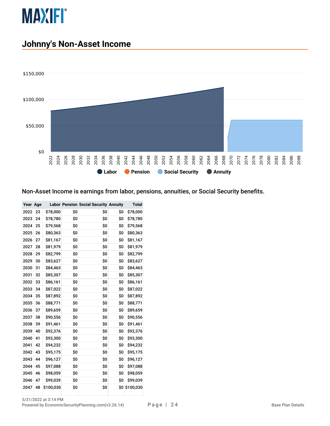

#### <span id="page-23-0"></span>**Johnny's Non-Asset Income**



#### Non-Asset Income is earnings from labor, pensions, annuities, or Social Security benefits.

| Year Age |    |           |     | <b>Labor Pension Social Security Annuity</b> |     | Total     |
|----------|----|-----------|-----|----------------------------------------------|-----|-----------|
| 2022     | 23 | \$78,000  | \$0 | \$O                                          | \$0 | \$78,000  |
| 2023     | 24 | \$78,780  | \$O | \$O                                          | \$O | \$78,780  |
| 2024     | 25 | \$79,568  | \$0 | \$0                                          | \$0 | \$79,568  |
| 2025     | 26 | \$80,363  | \$0 | \$0                                          | \$0 | \$80,363  |
| 2026     | 27 | \$81,167  | \$0 | \$0                                          | \$0 | \$81,167  |
| 2027     | 28 | \$81,979  | \$0 | \$0                                          | \$0 | \$81,979  |
| 2028     | 29 | \$82,799  | \$0 | \$0                                          | \$0 | \$82,799  |
| 2029     | 30 | \$83,627  | \$0 | \$0                                          | \$0 | \$83,627  |
| 2030     | 31 | \$84,463  | \$0 | \$0                                          | \$0 | \$84,463  |
| 2031     | 32 | \$85,307  | \$0 | \$0                                          | \$0 | \$85,307  |
| 2032     | 33 | \$86,161  | \$0 | \$0                                          | \$0 | \$86,161  |
| 2033     | 34 | \$87,022  | \$0 | \$O                                          | \$0 | \$87,022  |
| 2034     | 35 | \$87,892  | \$0 | \$0                                          | \$0 | \$87,892  |
| 2035     | 36 | \$88,771  | \$0 | \$0                                          | \$0 | \$88,771  |
| 2036     | 37 | \$89,659  | \$0 | \$0                                          | \$0 | \$89,659  |
| 2037     | 38 | \$90,556  | \$0 | \$0                                          | \$0 | \$90,556  |
| 2038     | 39 | \$91,461  | \$0 | \$0                                          | \$0 | \$91,461  |
| 2039     | 40 | \$92,376  | \$0 | \$0                                          | \$0 | \$92,376  |
| 2040     | 41 | \$93,300  | \$0 | \$0                                          | \$0 | \$93,300  |
| 2041     | 42 | \$94,232  | \$0 | \$0                                          | \$0 | \$94,232  |
| 2042     | 43 | \$95,175  | \$0 | \$0                                          | \$0 | \$95,175  |
| 2043     | 44 | \$96,127  | \$0 | \$0                                          | \$0 | \$96,127  |
| 2044     | 45 | \$97,088  | \$0 | \$0                                          | \$0 | \$97,088  |
| 2045     | 46 | \$98,059  | \$0 | \$0                                          | \$0 | \$98,059  |
| 2046     | 47 | \$99,039  | \$0 | \$0                                          | \$0 | \$99,039  |
| 2047     | 48 | \$100,030 | \$0 | \$0                                          | \$0 | \$100,030 |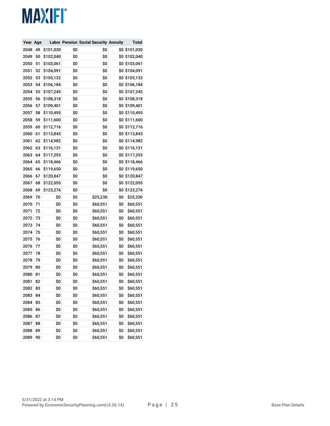| Year Age |    |           |     | <b>Labor Pension Social Security Annuity</b> |     | Total         |
|----------|----|-----------|-----|----------------------------------------------|-----|---------------|
| 2048     | 49 | \$101,030 | \$0 | \$0                                          | \$0 | \$101,030     |
| 2049     | 50 | \$102,040 | \$0 | \$0                                          |     | \$0 \$102,040 |
| 2050     | 51 | \$103,061 | \$0 | \$0                                          | \$0 | \$103,061     |
| 2051     | 52 | \$104,091 | \$0 | \$0                                          |     | \$0 \$104,091 |
| 2052     | 53 | \$105,132 | \$0 | \$0                                          |     | \$0 \$105,132 |
| 2053     | 54 | \$106,184 | \$0 | \$0                                          |     | \$0 \$106,184 |
| 2054     | 55 | \$107,245 | \$0 | \$0                                          |     | \$0 \$107,245 |
| 2055     | 56 | \$108,318 | \$0 | \$0                                          | \$0 | \$108,318     |
| 2056     | 57 | \$109,401 | \$0 | \$0                                          | \$0 | \$109,401     |
| 2057     | 58 | \$110,495 | \$0 | \$0                                          |     | \$0 \$110,495 |
| 2058     | 59 | \$111,600 | \$0 | \$0                                          | \$0 | \$111,600     |
| 2059     | 60 | \$112,716 | \$0 | \$0                                          | \$0 | \$112,716     |
| 2060     | 61 | \$113,843 | \$0 | \$0                                          |     | \$0 \$113,843 |
| 2061     | 62 | \$114,982 | \$0 | \$0                                          | \$0 | \$114,982     |
| 2062     | 63 | \$116,131 | \$0 | \$0                                          |     | \$0 \$116,131 |
| 2063     | 64 | \$117,293 | \$0 | \$0                                          |     | \$0 \$117,293 |
| 2064     | 65 | \$118,466 | \$0 | \$0                                          | \$0 | \$118,466     |
| 2065     | 66 | \$119,650 | \$0 | \$0                                          | \$0 | \$119,650     |
| 2066     | 67 | \$120,847 | \$0 | \$0                                          |     | \$0 \$120,847 |
| 2067     | 68 | \$122,055 | \$0 | \$0                                          | \$0 | \$122,055     |
| 2068     | 69 | \$123,276 | \$0 | \$0                                          | \$0 | \$123,276     |
| 2069     | 70 | \$0       | \$0 | \$25,230                                     | \$0 | \$25,230      |
| 2070     | 71 | \$0       | \$0 | \$60,551                                     | \$0 | \$60,551      |
| 2071     | 72 | \$0       | \$0 | \$60,551                                     | \$0 | \$60,551      |
| 2072     | 73 | \$0       | \$0 | \$60,551                                     | \$0 | \$60,551      |
| 2073     | 74 | \$0       | \$0 | \$60,551                                     | \$0 | \$60,551      |
| 2074     | 75 | \$0       | \$0 | \$60,551                                     | \$0 | \$60,551      |
| 2075     | 76 | \$0       | \$0 | \$60,551                                     | \$0 | \$60,551      |
| 2076     | 77 | \$0       | \$0 | \$60,551                                     | \$0 | \$60,551      |
| 2077     | 78 | \$0       | \$0 | \$60,551                                     | \$0 | \$60,551      |
| 2078     | 79 | \$0       | \$0 | \$60,551                                     | \$0 | \$60,551      |
| 2079     | 80 | \$0       | \$0 | \$60,551                                     | \$0 | \$60,551      |
| 2080     | 81 | \$0       | \$0 | \$60,551                                     | \$0 | \$60,551      |
| 2081     | 82 | \$0       | \$0 | \$60,551                                     | \$0 | \$60,551      |
| 2082     | 83 | \$0       | \$0 | \$60,551                                     | \$0 | \$60,551      |
| 2083     | 84 | \$0       | \$0 | \$60,551                                     | \$0 | \$60,551      |
| 2084     | 85 | \$0       | \$0 | \$60,551                                     | \$0 | \$60,551      |
| 2085     | 86 | \$0       | \$0 | \$60,551                                     | \$0 | \$60,551      |
| 2086     | 87 | \$0       | \$0 | \$60,551                                     | \$0 | \$60,551      |
| 2087     | 88 | \$0       | \$0 | \$60,551                                     | \$0 | \$60,551      |
| 2088     | 89 | \$0       | \$0 | \$60,551                                     | \$0 | \$60,551      |
| 2089     | 90 | \$0       | \$0 | \$60,551                                     | \$0 | \$60,551      |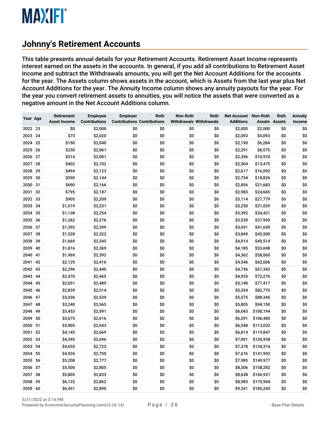#### <span id="page-25-0"></span>**Johnny's Retirement Accounts**

This table presents annual details for your Retirement Accounts. Retirement Asset Income represents interest earned on the assets in the accounts. In general, if you add all contributions to Retirement Asset Income and subtract the Withdrawals amounts, you will get the Net Account Additions for the accounts for the year. The Assets column shows assets in the account, which is Assets from the last year plus Net Account Additions for the year. The Annuity Income column shows any annuity payouts for the year. For the year you convert retirement assets to annuities, you will notice the assets that were converted as a negative amount in the Net Account Additions column.

| Year Age |    | Retirement<br><b>Asset Income</b> | <b>Employee</b><br><b>Contributions</b> | <b>Employer</b><br><b>Contributions Contributions</b> | Roth       | Non-Roth<br><b>Withdrawals Withdrawals</b> | Roth       | <b>Net Account</b><br><b>Additions</b> | <b>Non-Roth</b><br><b>Assets Assets</b> | Roth | <b>Annuity</b><br>Income |
|----------|----|-----------------------------------|-----------------------------------------|-------------------------------------------------------|------------|--------------------------------------------|------------|----------------------------------------|-----------------------------------------|------|--------------------------|
| 2022 23  |    | \$0                               | \$2,000                                 | \$0                                                   | \$0        | \$0                                        | \$0        | \$2,000                                | \$2,000                                 | \$0  | \$0                      |
| 2023     | 24 | \$73                              | \$2,020                                 | \$0                                                   | \$0        | \$0                                        | \$0        | \$2,093                                | \$4,093                                 | \$0  | \$0                      |
| 2024     | 25 | \$150                             | \$2,040                                 | \$0                                                   | \$0        | \$0                                        | \$0        | \$2,190                                | \$6,284                                 | \$0  | \$0                      |
| 2025     | 26 | \$230                             | \$2,061                                 | \$0                                                   | \$0        | \$0                                        | \$0        | \$2,291                                | \$8,575                                 | \$0  | \$0                      |
| 2026     | 27 | \$314                             | \$2,081                                 | \$0                                                   | \$0        | \$0                                        | \$0        | \$2,396                                | \$10,970                                | \$0  | \$0                      |
| 2027     | 28 | \$402                             | \$2,102                                 | \$0                                                   | \$0        | \$0                                        | \$0        | \$2,504                                | \$13,475                                | \$0  | \$0                      |
| 2028     | 29 | \$494                             | \$2,123                                 | \$0                                                   | \$0        | \$0                                        | \$0        | \$2,617                                | \$16,092                                | \$0  | \$0                      |
| 2029     | 30 | \$590                             | \$2,144                                 | \$0                                                   | \$0        | \$0                                        | \$0        | \$2,734                                | \$18,826                                | \$0  | \$0                      |
| 2030     | 31 | \$690                             | \$2,166                                 | \$0                                                   | \$0        | \$0                                        | \$0        | \$2,856                                | \$21,683                                | \$0  | \$0                      |
| 2031     | 32 | \$795                             | \$2,187                                 | \$0                                                   | \$0        | \$0                                        | \$0        | \$2,983                                | \$24,665                                | \$0  | \$0                      |
|          | 33 |                                   |                                         |                                                       |            |                                            |            |                                        | \$27,779                                |      | \$0                      |
| 2032     | 34 | \$905                             | \$2,209                                 | \$0<br>\$0                                            | \$0<br>\$0 | \$0                                        | \$0<br>\$0 | \$3,114                                |                                         | \$0  | \$0                      |
| 2033     |    | \$1,019                           | \$2,231                                 |                                                       |            | \$0                                        |            | \$3,250                                | \$31,029                                | \$0  | \$0                      |
| 2034     | 35 | \$1,138                           | \$2,254                                 | \$0                                                   | \$0        | \$0                                        | \$0        | \$3,392                                | \$34,421                                | \$0  |                          |
| 2035     | 36 | \$1,262                           | \$2,276                                 | \$0                                                   | \$0        | \$0                                        | \$0        | \$3,539                                | \$37,959                                | \$0  | \$0                      |
| 2036     | 37 | \$1,392                           | \$2,299                                 | \$0                                                   | \$0        | \$0                                        | \$0        | \$3,691                                | \$41,650                                | \$0  | \$0                      |
| 2037     | 38 | \$1,528                           | \$2,322                                 | \$0                                                   | \$0        | \$0                                        | \$0        | \$3,849                                | \$45,500                                | \$0  | \$0                      |
| 2038     | 39 | \$1,669                           | \$2,345                                 | \$0                                                   | \$0        | \$0                                        | \$0        | \$4,014                                | \$49,514                                | \$0  | \$0                      |
| 2039     | 40 | \$1,816                           | \$2,369                                 | \$0                                                   | \$0        | \$0                                        | \$0        | \$4,185                                | \$53,698                                | \$0  | \$0                      |
| 2040     | 41 | \$1,969                           | \$2,392                                 | \$0                                                   | \$0        | \$0                                        | \$0        | \$4,362                                | \$58,060                                | \$0  | \$0                      |
| 2041     | 42 | \$2,129                           | \$2,416                                 | \$0                                                   | \$0        | \$0                                        | \$0        | \$4,546                                | \$62,606                                | \$0  | \$0                      |
| 2042     | 43 | \$2,296                           | \$2,440                                 | \$0                                                   | \$0        | \$0                                        | \$0        | \$4,736                                | \$67,342                                | \$0  | \$0                      |
| 2043     | 44 | \$2,470                           | \$2,465                                 | \$0                                                   | \$0        | \$0                                        | \$0        | \$4,935                                | \$72,276                                | \$0  | \$0                      |
| 2044     | 45 | \$2,651                           | \$2,489                                 | \$0                                                   | \$0        | \$0                                        | \$0        | \$5,140                                | \$77,417                                | \$0  | \$0                      |
| 2045     | 46 | \$2,839                           | \$2,514                                 | \$0                                                   | \$0        | \$0                                        | \$0        | \$5,354                                | \$82,770                                | \$0  | \$0                      |
| 2046     | 47 | \$3,036                           | \$2,539                                 | \$0                                                   | \$0        | \$0                                        | \$0        | \$5,575                                | \$88,345                                | \$0  | \$0                      |
| 2047     | 48 | \$3,240                           | \$2,565                                 | \$0                                                   | \$0        | \$0                                        | \$0        | \$5,805                                | \$94,150                                | \$0  | \$0                      |
| 2048     | 49 | \$3,453                           | \$2,591                                 | \$0                                                   | \$0        | \$0                                        | \$0        | \$6,043                                | \$100,194                               | \$0  | \$0                      |
| 2049     | 50 | \$3,675                           | \$2,616                                 | \$0                                                   | \$0        | \$0                                        | \$0        | \$6,291                                | \$106,485                               | \$0  | \$0                      |
| 2050     | 51 | \$3,905                           | \$2,643                                 | \$0                                                   | \$0        | \$0                                        | \$0        | \$6,548                                | \$113,032                               | \$0  | \$0                      |
| 2051     | 52 | \$4,145                           | \$2,669                                 | \$0                                                   | \$0        | \$0                                        | \$0        | \$6,814                                | \$119,847                               | \$0  | \$0                      |
| 2052     | 53 | \$4,395                           | \$2,696                                 | \$0                                                   | \$0        | \$0                                        | \$0        | \$7,091                                | \$126,938                               | \$0  | \$0                      |
| 2053     | 54 | \$4,655                           | \$2,723                                 | \$0                                                   | \$0        | \$0                                        | \$0        | \$7,378                                | \$134,316                               | \$0  | \$0                      |
| 2054     | 55 | \$4,926                           | \$2,750                                 | \$0                                                   | \$0        | \$0                                        | \$0        | \$7,676                                | \$141,992                               | \$0  | \$0                      |
| 2055     | 56 | \$5,208                           | \$2,777                                 | \$0                                                   | \$0        | \$0                                        | \$0        | \$7,985                                | \$149,977                               | \$0  | \$0                      |
| 2056     | 57 | \$5,500                           | \$2,805                                 | \$0                                                   | \$0        | \$0                                        | \$0        | \$8,306                                | \$158,282                               | \$0  | \$0                      |
| 2057     | 58 | \$5,805                           | \$2,833                                 | \$0                                                   | \$0        | \$0                                        | \$0        | \$8,638                                | \$166,921                               | \$0  | \$0                      |
| 2058     | 59 | \$6,122                           | \$2,862                                 | \$0                                                   | \$0        | \$0                                        | \$0        | \$8,983                                | \$175,904                               | \$0  | \$0                      |
| 2059 60  |    | \$6,451                           | \$2,890                                 | \$0                                                   | \$0        | \$0                                        | \$0        | \$9,341                                | \$185,245                               | \$0  | \$0                      |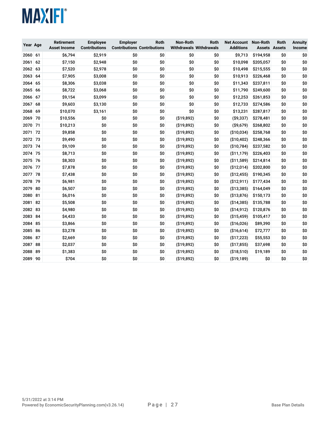| Year Age |    | <b>Retirement</b><br><b>Asset Income</b> | <b>Employee</b><br><b>Contributions</b> | <b>Employer</b><br><b>Contributions Contributions</b> | Roth | Non-Roth<br><b>Withdrawals Withdrawals</b> | Roth | <b>Net Account</b><br><b>Additions</b> | <b>Non-Roth</b><br><b>Assets Assets</b> | Roth | <b>Annuity</b><br><b>Income</b> |
|----------|----|------------------------------------------|-----------------------------------------|-------------------------------------------------------|------|--------------------------------------------|------|----------------------------------------|-----------------------------------------|------|---------------------------------|
| 2060     | 61 | \$6,794                                  | \$2,919                                 | \$0                                                   | \$0  | \$0                                        | \$0  | \$9,713                                | \$194,958                               | \$0  | \$0                             |
| 2061     | 62 | \$7,150                                  | \$2,948                                 | \$0                                                   | \$0  | \$0                                        | \$0  | \$10,098                               | \$205,057                               | \$0  | \$0                             |
| 2062     | 63 | \$7,520                                  | \$2,978                                 | \$0                                                   | \$0  | \$0                                        | \$0  | \$10,498                               | \$215,555                               | \$0  | \$0                             |
| 2063     | 64 | \$7,905                                  | \$3,008                                 | \$0                                                   | \$0  | \$0                                        | \$0  | \$10,913                               | \$226,468                               | \$0  | \$0                             |
| 2064     | 65 | \$8,306                                  | \$3,038                                 | \$0                                                   | \$0  | \$0                                        | \$0  | \$11,343                               | \$237,811                               | \$0  | \$0                             |
| 2065     | 66 | \$8,722                                  | \$3,068                                 | \$O                                                   | \$0  | \$0                                        | \$0  | \$11,790                               | \$249,600                               | \$0  | \$0                             |
| 2066     | 67 | \$9,154                                  | \$3,099                                 | \$0                                                   | \$0  | \$0                                        | \$0  | \$12,253                               | \$261,853                               | \$0  | \$0                             |
| 2067     | 68 | \$9,603                                  | \$3,130                                 | \$0                                                   | \$0  | \$0                                        | \$0  | \$12,733                               | \$274,586                               | \$0  | \$0                             |
| 2068     | 69 | \$10,070                                 | \$3,161                                 | \$0                                                   | \$0  | \$0                                        | \$0  | \$13,231                               | \$287,817                               | \$0  | \$0                             |
| 2069     | 70 | \$10,556                                 | \$0                                     | \$0                                                   | \$0  | ( \$19, 892)                               | \$0  | ( \$9,337)                             | \$278,481                               | \$0  | \$0                             |
| 2070     | 71 | \$10,213                                 | \$0                                     | \$0                                                   | \$0  | ( \$19, 892)                               | \$0  | ( \$9,679)                             | \$268,802                               | \$0  | \$0                             |
| 2071     | 72 | \$9,858                                  | \$O                                     | \$O                                                   | \$0  | ( \$19, 892)                               | \$0  | ( \$10,034)                            | \$258,768                               | \$0  | \$0                             |
| 2072     | 73 | \$9,490                                  | \$0                                     | \$0                                                   | \$0  | ( \$19, 892)                               | \$0  | (\$10,402)                             | \$248,366                               | \$0  | \$0                             |
| 2073     | 74 | \$9,109                                  | \$0                                     | \$0                                                   | \$0  | ( \$19, 892)                               | \$0  | ( \$10, 784)                           | \$237,582                               | \$0  | \$0                             |
| 2074     | 75 | \$8,713                                  | \$0                                     | \$0                                                   | \$0  | (\$19,892)                                 | \$0  | ( \$11, 179)                           | \$226,403                               | \$0  | \$0                             |
| 2075     | 76 | \$8,303                                  | \$0                                     | \$0                                                   | \$0  | ( \$19, 892)                               | \$0  | (S11, 589)                             | \$214,814                               | \$0  | \$0                             |
| 2076     | 77 | \$7,878                                  | \$0                                     | \$0                                                   | \$0  | ( \$19, 892)                               | \$0  | (\$12,014)                             | \$202,800                               | \$0  | \$0                             |
| 2077     | 78 | \$7,438                                  | \$0                                     | \$0                                                   | \$0  | ( \$19,892)                                | \$0  | (\$12,455)                             | \$190,345                               | \$0  | \$0                             |
| 2078     | 79 | \$6,981                                  | \$0                                     | \$0                                                   | \$0  | ( \$19, 892)                               | \$0  | (\$12,911)                             | \$177,434                               | \$0  | \$0                             |
| 2079     | 80 | \$6,507                                  | \$0                                     | \$0                                                   | \$0  | ( \$19, 892)                               | \$0  | ( \$13, 385)                           | \$164,049                               | \$0  | \$0                             |
| 2080     | 81 | \$6,016                                  | \$0                                     | \$0                                                   | \$0  | ( \$19,892)                                | \$0  | (\$13,876)                             | \$150,173                               | \$0  | \$0                             |
| 2081     | 82 | \$5,508                                  | \$0                                     | \$0                                                   | \$0  | ( \$19,892)                                | \$0  | (\$14,385)                             | \$135,788                               | \$0  | \$0                             |
| 2082     | 83 | \$4,980                                  | \$0                                     | \$0                                                   | \$0  | ( \$19,892)                                | \$0  | (\$14,912)                             | \$120,876                               | \$0  | \$0                             |
| 2083     | 84 | \$4,433                                  | \$0                                     | \$0                                                   | \$0  | ( \$19,892)                                | \$0  | (\$15,459)                             | \$105,417                               | \$0  | \$0                             |
| 2084     | 85 | \$3,866                                  | \$0                                     | \$0                                                   | \$0  | ( \$19, 892)                               | \$0  | (\$16,026)                             | \$89,390                                | \$0  | \$0                             |
| 2085     | 86 | \$3,278                                  | \$0                                     | \$0                                                   | \$0  | ( \$19, 892)                               | \$0  | (\$16,614)                             | \$72,777                                | \$0  | \$0                             |
| 2086     | 87 | \$2,669                                  | \$O                                     | \$0                                                   | \$0  | (\$19,892)                                 | \$0  | (\$17,223)                             | \$55,553                                | \$0  | \$0                             |
| 2087     | 88 | \$2,037                                  | \$0                                     | \$0                                                   | \$0  | (\$19,892)                                 | \$0  | (\$17,855)                             | \$37,698                                | \$0  | \$0                             |
| 2088     | 89 | \$1,383                                  | \$0                                     | \$0                                                   | \$0  | ( \$19, 892)                               | \$0  | ( \$18,510)                            | \$19,189                                | \$0  | \$0                             |
| 2089 90  |    | \$704                                    | \$0                                     | \$0                                                   | \$0  | ( \$19, 892)                               | \$0  | ( \$19, 189)                           | \$0                                     | \$0  | \$0                             |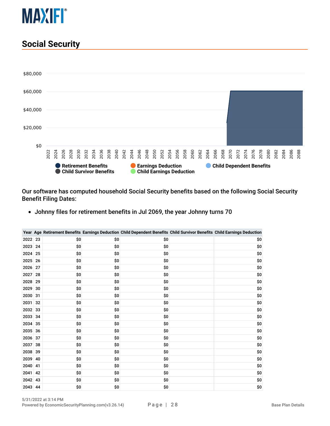

#### <span id="page-27-0"></span>**Social Security**



Our software has computed household Social Security benefits based on the following Social Security Benefit Filing Dates:

Johnny files for retirement benefits in Jul 2069, the year Johnny turns 70

|      |    |     |     | Year Age Retirement Benefits Earnings Deduction Child Dependent Benefits Child Survivor Benefits Child Earnings Deduction |     |
|------|----|-----|-----|---------------------------------------------------------------------------------------------------------------------------|-----|
| 2022 | 23 | \$0 | \$0 | \$0                                                                                                                       | \$0 |
| 2023 | 24 | \$0 | \$0 | \$0                                                                                                                       | \$0 |
| 2024 | 25 | \$0 | \$0 | \$0                                                                                                                       | \$0 |
| 2025 | 26 | \$0 | \$0 | \$0                                                                                                                       | \$0 |
| 2026 | 27 | \$0 | \$0 | \$0                                                                                                                       | \$0 |
| 2027 | 28 | \$O | \$O | \$O                                                                                                                       | \$0 |
| 2028 | 29 | \$0 | \$0 | \$0                                                                                                                       | \$0 |
| 2029 | 30 | \$0 | \$0 | \$0                                                                                                                       | \$0 |
| 2030 | 31 | \$0 | \$0 | \$0                                                                                                                       | \$0 |
| 2031 | 32 | \$0 | \$0 | \$0                                                                                                                       | \$0 |
| 2032 | 33 | \$0 | \$0 | \$0                                                                                                                       | \$0 |
| 2033 | 34 | \$0 | \$0 | \$0                                                                                                                       | \$0 |
| 2034 | 35 | \$0 | \$O | \$0                                                                                                                       | \$0 |
| 2035 | 36 | \$0 | \$0 | \$0                                                                                                                       | \$0 |
| 2036 | 37 | \$0 | \$0 | \$0                                                                                                                       | \$0 |
| 2037 | 38 | \$0 | \$0 | \$0                                                                                                                       | \$0 |
| 2038 | 39 | \$0 | \$0 | \$0                                                                                                                       | \$0 |
| 2039 | 40 | \$0 | \$0 | \$0                                                                                                                       | \$0 |
| 2040 | 41 | \$0 | \$0 | \$0                                                                                                                       | \$0 |
| 2041 | 42 | \$0 | \$0 | \$0                                                                                                                       | \$0 |
| 2042 | 43 | \$0 | \$0 | \$0                                                                                                                       | \$0 |
| 2043 | 44 | \$0 | \$0 | \$0                                                                                                                       | \$0 |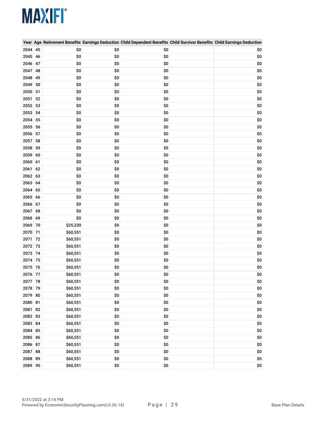|         |    |          |     | Year Age Retirement Benefits Earnings Deduction Child Dependent Benefits Child Survivor Benefits Child Earnings Deduction |     |
|---------|----|----------|-----|---------------------------------------------------------------------------------------------------------------------------|-----|
| 2044    | 45 | \$0      | \$0 | \$0                                                                                                                       | \$0 |
| 2045 46 |    | \$0      | \$0 | \$0                                                                                                                       | \$0 |
| 2046 47 |    | \$0      | \$0 | \$0                                                                                                                       | \$0 |
| 2047    | 48 | \$0      | \$0 | \$0                                                                                                                       | \$0 |
| 2048    | 49 | \$0      | \$0 | \$0                                                                                                                       | \$0 |
| 2049    | 50 | \$0      | \$0 | \$0                                                                                                                       | \$0 |
| 2050 51 |    | \$0      | \$0 | \$0                                                                                                                       | \$0 |
| 2051    | 52 | \$0      | \$0 | \$0                                                                                                                       | \$0 |
| 2052    | 53 | \$0      | \$0 | \$0                                                                                                                       | \$0 |
| 2053 54 |    | \$0      | \$0 | \$0                                                                                                                       | \$0 |
| 2054    | 55 | \$0      | \$0 | \$0                                                                                                                       | \$0 |
| 2055    | 56 | \$0      | \$0 | \$0                                                                                                                       | \$0 |
| 2056    | 57 | \$0      | \$0 | \$0                                                                                                                       | \$0 |
| 2057    | 58 | \$0      | \$0 | \$0                                                                                                                       | \$0 |
| 2058    | 59 | \$0      | \$0 | \$0                                                                                                                       | \$0 |
| 2059 60 |    | \$0      | \$0 | \$0                                                                                                                       | \$0 |
| 2060 61 |    | \$0      | \$0 | \$0                                                                                                                       | \$0 |
| 2061    | 62 | \$0      | \$0 | \$0                                                                                                                       | \$0 |
| 2062 63 |    | \$0      | \$0 | \$0                                                                                                                       | \$0 |
| 2063 64 |    | \$0      | \$0 | \$0                                                                                                                       | \$0 |
| 2064    | 65 | \$0      | \$0 | \$0                                                                                                                       | \$0 |
| 2065 66 |    | \$0      | \$0 | \$0                                                                                                                       | \$0 |
| 2066 67 |    | \$0      | \$0 | \$0                                                                                                                       | \$0 |
| 2067 68 |    | \$0      | \$0 | \$0                                                                                                                       | \$0 |
| 2068 69 |    | \$0      | \$0 | \$0                                                                                                                       | \$0 |
| 2069 70 |    | \$25,230 | \$0 | \$0                                                                                                                       | \$0 |
| 2070 71 |    | \$60,551 | \$0 | \$0                                                                                                                       | \$0 |
| 2071    | 72 | \$60,551 | \$0 | \$0                                                                                                                       | \$0 |
| 2072 73 |    | \$60,551 | \$0 | \$0                                                                                                                       | \$0 |
| 2073 74 |    | \$60,551 | \$0 | \$0                                                                                                                       | \$0 |
| 2074 75 |    | \$60,551 | \$0 | \$0                                                                                                                       | \$0 |
| 2075 76 |    | \$60,551 | \$0 | \$0                                                                                                                       | \$0 |
| 2076 77 |    | \$60,551 | \$0 | \$0                                                                                                                       | \$0 |
| 2077 78 |    | \$60,551 | \$0 | \$0                                                                                                                       | \$0 |
| 2078 79 |    | \$60,551 | \$0 | \$0                                                                                                                       | \$0 |
| 2079 80 |    | \$60,551 | \$0 | \$0                                                                                                                       | \$0 |
| 2080 81 |    | \$60,551 | \$0 | \$0                                                                                                                       | \$0 |
| 2081 82 |    | \$60,551 | \$0 | \$0                                                                                                                       | \$0 |
| 2082 83 |    | \$60,551 | \$0 | \$0                                                                                                                       | \$0 |
| 2083 84 |    | \$60,551 | \$0 | \$0                                                                                                                       | \$0 |
| 2084 85 |    | \$60,551 | \$0 | \$0                                                                                                                       | \$0 |
| 2085 86 |    | \$60,551 | \$0 | \$0                                                                                                                       | \$0 |
| 2086 87 |    | \$60,551 | \$0 | \$0                                                                                                                       | \$0 |
| 2087 88 |    | \$60,551 | \$0 | \$0                                                                                                                       | \$0 |
| 2088 89 |    | \$60,551 | \$0 | \$0                                                                                                                       | \$0 |
| 2089 90 |    | \$60,551 | \$0 | \$0                                                                                                                       | \$0 |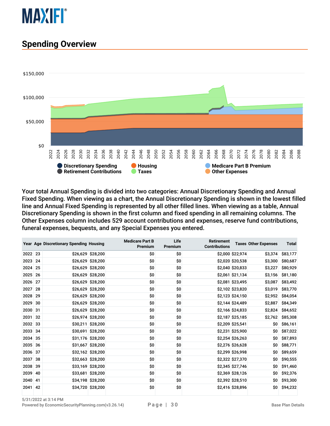

#### <span id="page-29-0"></span>**Spending Overview**



Your total Annual Spending is divided into two categories: Annual Discretionary Spending and Annual Fixed Spending. When viewing as a chart, the Annual Discretionary Spending is shown in the lowest filled line and Annual Fixed Spending is represented by all other filled lines. When viewing as a table, Annual Discretionary Spending is shown in the first column and fixed spending in all remaining columns. The Other Expenses column includes 529 account contributions and expenses, reserve fund contributions, funeral expenses, bequests, and any Special Expenses you entered.

|         |    | Year Age Discretionary Spending Housing |                   | <b>Medicare Part B</b><br>Premium | Life<br>Premium | <b>Retirement</b><br><b>Contributions</b> |                  | <b>Taxes Other Expenses</b> | <b>Total</b> |
|---------|----|-----------------------------------------|-------------------|-----------------------------------|-----------------|-------------------------------------------|------------------|-----------------------------|--------------|
| 2022 23 |    |                                         | \$26,629 \$28,200 | \$0                               | \$0             |                                           | \$2,000 \$22,974 | \$3,374                     | \$83,177     |
| 2023    | 24 |                                         | \$26,629 \$28,200 | \$0                               | \$0             |                                           | \$2,020 \$20,538 | \$3,300                     | \$80,687     |
| 2024 25 |    |                                         | \$26,629 \$28,200 | \$0                               | \$0             |                                           | \$2,040 \$20,833 | \$3,227                     | \$80,929     |
| 2025 26 |    |                                         | \$26,629 \$28,200 | \$0                               | \$0             |                                           | \$2,061 \$21,134 | \$3,156                     | \$81,180     |
| 2026 27 |    |                                         | \$26,629 \$28,200 | \$0                               | \$0             |                                           | \$2,081 \$23,495 | \$3,087                     | \$83,492     |
| 2027 28 |    |                                         | \$26,629 \$28,200 | \$0                               | \$0             |                                           | \$2,102 \$23,820 | \$3,019                     | \$83,770     |
| 2028    | 29 |                                         | \$26,629 \$28,200 | \$0                               | \$0             |                                           | \$2,123 \$24,150 | \$2,952                     | \$84,054     |
| 2029    | 30 |                                         | \$26,629 \$28,200 | \$0                               | \$0             |                                           | \$2,144 \$24,489 | \$2,887                     | \$84,349     |
| 2030 31 |    |                                         | \$26,629 \$28,200 | \$0                               | \$0             |                                           | \$2,166 \$24,833 | \$2,824                     | \$84,652     |
| 2031    | 32 |                                         | \$26,974 \$28,200 | \$0                               | \$0             |                                           | \$2,187 \$25,185 | \$2,762                     | \$85,308     |
| 2032 33 |    |                                         | \$30,211 \$28,200 | \$0                               | \$0             |                                           | \$2,209 \$25,541 | \$0                         | \$86,161     |
| 2033 34 |    |                                         | \$30,691 \$28,200 | \$0                               | \$0             |                                           | \$2,231 \$25,900 | \$0                         | \$87,022     |
| 2034 35 |    |                                         | \$31,176 \$28,200 | \$0                               | \$0             |                                           | \$2,254 \$26,263 | \$0\$                       | \$87,893     |
| 2035 36 |    |                                         | \$31,667 \$28,200 | \$0                               | \$0             |                                           | \$2,276 \$26,628 | \$0                         | \$88,771     |
| 2036 37 |    |                                         | \$32,162 \$28,200 | \$0                               | \$0             |                                           | \$2,299 \$26,998 | \$0                         | \$89,659     |
| 2037    | 38 |                                         | \$32,663 \$28,200 | \$0                               | \$0             |                                           | \$2,322 \$27,370 | \$0                         | \$90,555     |
| 2038 39 |    |                                         | \$33,169 \$28,200 | \$0                               | \$0             |                                           | \$2,345 \$27,746 | \$0                         | \$91,460     |
| 2039    | 40 |                                         | \$33,681 \$28,200 | \$0                               | \$0             |                                           | \$2,369 \$28,126 | \$0                         | \$92,376     |
| 2040    | 41 |                                         | \$34,198 \$28,200 | \$0                               | \$0             |                                           | \$2,392 \$28,510 | \$0                         | \$93,300     |
| 2041 42 |    |                                         | \$34,720 \$28,200 | \$0                               | \$0             |                                           | \$2,416 \$28,896 | \$0                         | \$94,232     |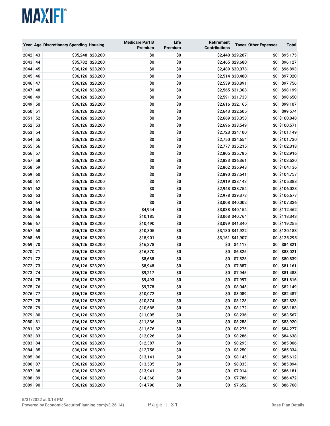|         |    | Year Age Discretionary Spending Housing |                   | <b>Medicare Part B</b><br>Premium | Life<br>Premium | Retirement<br><b>Contributions</b> |                  | <b>Taxes Other Expenses</b> | Total         |
|---------|----|-----------------------------------------|-------------------|-----------------------------------|-----------------|------------------------------------|------------------|-----------------------------|---------------|
| 2042 43 |    |                                         | \$35,248 \$28,200 | \$0                               | \$0             |                                    | \$2,440 \$29,287 | \$0                         | \$95,175      |
| 2043 44 |    |                                         | \$35,782 \$28,200 | \$0                               | \$0             |                                    | \$2,465 \$29,680 | \$0                         | \$96,127      |
| 2044 45 |    |                                         | \$36,126 \$28,200 | \$0                               | \$0             |                                    | \$2,489 \$30,078 | \$0                         | \$96,893      |
| 2045 46 |    |                                         | \$36,126 \$28,200 | \$0                               | \$0             |                                    | \$2,514 \$30,480 | \$0                         | \$97,320      |
| 2046 47 |    |                                         | \$36,126 \$28,200 | \$0                               | \$0             |                                    | \$2,539 \$30,891 | \$0                         | \$97,756      |
| 2047 48 |    |                                         | \$36,126 \$28,200 | \$0                               | \$0             |                                    | \$2,565 \$31,308 | \$0                         | \$98,199      |
| 2048 49 |    |                                         | \$36,126 \$28,200 | \$0                               | \$0             |                                    | \$2,591 \$31,733 | \$0                         | \$98,650      |
| 2049 50 |    |                                         | \$36,126 \$28,200 | \$0                               | \$0             |                                    | \$2,616 \$32,165 | \$0                         | \$99,107      |
| 2050 51 |    |                                         | \$36,126 \$28,200 | \$0                               | \$0             |                                    | \$2,643 \$32,605 | \$0                         | \$99,574      |
| 2051 52 |    |                                         | \$36,126 \$28,200 | \$0                               | \$0             |                                    | \$2,669 \$33,053 |                             | \$0 \$100,048 |
| 2052 53 |    |                                         | \$36,126 \$28,200 | \$0                               | \$0             |                                    | \$2,696 \$33,549 |                             | \$0 \$100,571 |
| 2053 54 |    |                                         | \$36,126 \$28,200 | \$0                               | \$0             |                                    | \$2,723 \$34,100 |                             | \$0 \$101,149 |
| 2054 55 |    |                                         | \$36,126 \$28,200 | \$0                               | \$0             |                                    | \$2,750 \$34,654 |                             | \$0 \$101,730 |
| 2055 56 |    |                                         | \$36,126 \$28,200 | \$0                               | \$0             |                                    | \$2,777 \$35,215 |                             | \$0 \$102,318 |
| 2056 57 |    |                                         | \$36,126 \$28,200 | \$0                               | \$0             |                                    | \$2,805 \$35,785 |                             | \$0 \$102,916 |
| 2057 58 |    |                                         | \$36,126 \$28,200 | \$0                               | \$0             |                                    | \$2,833 \$36,361 |                             | \$0 \$103,520 |
| 2058 59 |    |                                         | \$36,126 \$28,200 | \$0                               | \$0             |                                    | \$2,862 \$36,948 |                             | \$0 \$104,136 |
| 2059 60 |    |                                         | \$36,126 \$28,200 | \$0                               | \$0             |                                    | \$2,890 \$37,541 |                             | \$0 \$104,757 |
| 2060 61 |    |                                         | \$36,126 \$28,200 | \$0                               | \$0             |                                    | \$2,919 \$38,143 |                             | \$0 \$105,388 |
| 2061    | 62 |                                         | \$36,126 \$28,200 | \$0                               | \$0             |                                    | \$2,948 \$38,754 |                             | \$0 \$106,028 |
| 2062 63 |    |                                         | \$36,126 \$28,200 | \$0                               | \$0             |                                    | \$2,978 \$39,373 |                             | \$0 \$106,677 |
| 2063 64 |    |                                         | \$36,126 \$28,200 | \$0                               | \$0             |                                    | \$3,008 \$40,002 |                             | \$0 \$107,336 |
| 2064 65 |    |                                         | \$36,126 \$28,200 | \$4,944                           | \$0             |                                    | \$3,038 \$40,154 |                             | \$0 \$112,462 |
| 2065 66 |    |                                         | \$36,126 \$28,200 | \$10,185                          | \$0             |                                    | \$3,068 \$40,764 |                             | \$0 \$118,343 |
| 2066 67 |    |                                         | \$36,126 \$28,200 | \$10,490                          | \$0             |                                    | \$3,099 \$41,340 |                             | \$0 \$119,255 |
| 2067 68 |    |                                         | \$36,126 \$28,200 | \$10,805                          | \$0             |                                    | \$3,130 \$41,922 |                             | \$0 \$120,183 |
| 2068 69 |    |                                         | \$36,126 \$28,200 | \$15,901                          | \$0             |                                    | \$3,161 \$41,907 |                             | \$0 \$125,295 |
| 2069 70 |    |                                         | \$36,126 \$28,200 | \$16,378                          | \$0             | \$0                                | \$4,117          | \$0                         | \$84,821      |
| 2070 71 |    |                                         | \$36,126 \$28,200 | \$16,870                          | \$0             | \$0                                | \$6,825          | \$0                         | \$88,021      |
| 2071    | 72 |                                         | \$36,126 \$28,200 | \$8,688                           | \$0             | \$0                                | \$7,825          | \$0                         | \$80,839      |
| 2072 73 |    |                                         | \$36,126 \$28,200 | \$8,948                           | \$0             | \$0                                | \$7,887          | \$0                         | \$81,161      |
| 2073 74 |    |                                         | \$36,126 \$28,200 | \$9,217                           | \$0             | \$0                                | \$7,945          | \$0                         | \$81,488      |
| 2074 75 |    |                                         | \$36,126 \$28,200 | \$9,493                           | \$0             | \$0                                | \$7,997          | \$0                         | \$81,816      |
| 2075 76 |    |                                         | \$36,126 \$28,200 | \$9,778                           | \$0             | \$0                                | \$8,045          | \$0                         | \$82,149      |
| 2076 77 |    |                                         | \$36,126 \$28,200 | \$10,072                          | \$0             |                                    | \$0 \$8,089      | 50                          | \$82,487      |
| 2077 78 |    |                                         | \$36,126 \$28,200 | \$10,374                          | \$0             | \$0                                | \$8,128          | \$0                         | \$82,828      |
| 2078 79 |    |                                         | \$36,126 \$28,200 | \$10,685                          | \$0             | \$0                                | \$8,172          | \$0                         | \$83,183      |
| 2079 80 |    |                                         | \$36,126 \$28,200 | \$11,005                          | \$0             | 50                                 | \$8,236          | \$0                         | \$83,567      |
| 2080 81 |    |                                         | \$36,126 \$28,200 | \$11,336                          | \$0             | \$0                                | \$8,258          | \$0                         | \$83,920      |
| 2081 82 |    |                                         | \$36,126 \$28,200 | \$11,676                          | \$0             | \$0                                | \$8,275          | \$0                         | \$84,277      |
| 2082 83 |    |                                         | \$36,126 \$28,200 | \$12,026                          | \$0             |                                    | \$0 \$8,286      | \$0                         | \$84,638      |
| 2083 84 |    |                                         | \$36,126 \$28,200 | \$12,387                          | \$0             | \$0                                | \$8,293          | \$0                         | \$85,006      |
| 2084 85 |    |                                         | \$36,126 \$28,200 | \$12,758                          | \$0             | \$0                                | \$8,250          | \$0                         | \$85,334      |
| 2085 86 |    |                                         | \$36,126 \$28,200 | \$13,141                          | \$0             | \$0                                | \$8,145          | \$0                         | \$85,612      |
| 2086 87 |    |                                         | \$36,126 \$28,200 | \$13,535                          | \$0             | \$0                                | \$8,033          | 50                          | \$85,894      |
| 2087 88 |    |                                         | \$36,126 \$28,200 | \$13,941                          | \$0             |                                    | $$0$ \$7,914     | \$0                         | \$86,181      |
| 2088 89 |    |                                         | \$36,126 \$28,200 | \$14,360                          | \$0             |                                    | \$0 \$7,786      | \$0                         | \$86,472      |
| 2089 90 |    |                                         | \$36,126 \$28,200 | \$14,790                          | \$0             |                                    | \$0 \$7,652      | \$0                         | \$86,768      |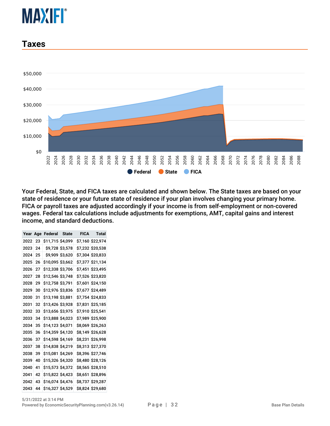#### <span id="page-31-0"></span>**Taxes**



Your Federal, State, and FICA taxes are calculated and shown below. The State taxes are based on your state of residence or your future state of residence if your plan involves changing your primary home. FICA or payroll taxes are adjusted accordingly if your income is from self-employment or non-covered wages. Federal tax calculations include adjustments for exemptions, AMT, capital gains and interest income, and standard deductions.

| Year | Age | Federal State    |  | <b>FICA</b> Total |
|------|-----|------------------|--|-------------------|
| 2022 | 23  | \$11,715 \$4,099 |  | \$7,160 \$22,974  |
| 2023 | 24  | \$9,728 \$3,578  |  | \$7,232 \$20,538  |
| 2024 | 25  | \$9,909 \$3,620  |  | \$7,304 \$20,833  |
| 2025 | 26  | \$10,095 \$3,662 |  | \$7,377 \$21,134  |
| 2026 | 27  | \$12,338 \$3,706 |  | \$7,451 \$23,495  |
| 2027 | 28  | \$12,546 \$3,748 |  | \$7,526 \$23,820  |
| 2028 | 29  | \$12,758 \$3,791 |  | \$7,601 \$24,150  |
| 2029 | 30  | \$12,976 \$3,836 |  | \$7,677 \$24,489  |
| 2030 | 31  | \$13,198 \$3,881 |  | \$7,754 \$24,833  |
| 2031 | 32  | \$13,426 \$3,928 |  | \$7,831 \$25,185  |
| 2032 | 33  | \$13,656 \$3,975 |  | \$7,910 \$25,541  |
| 2033 | 34  | \$13,888 \$4,023 |  | \$7,989 \$25,900  |
| 2034 | 35  | \$14,123 \$4,071 |  | \$8,069 \$26,263  |
| 2035 | 36  | \$14,359 \$4,120 |  | \$8,149 \$26,628  |
| 2036 | 37  | \$14,598 \$4,169 |  | \$8,231 \$26,998  |
| 2037 | 38  | \$14,838 \$4,219 |  | \$8,313 \$27,370  |
| 2038 | 39  | \$15,081 \$4,269 |  | \$8,396 \$27,746  |
| 2039 | 40  | \$15,326 \$4,320 |  | \$8,480 \$28,126  |
| 2040 | 41  | \$15,573 \$4,372 |  | \$8,565 \$28,510  |
| 2041 | 42  | \$15,822 \$4,423 |  | \$8,651 \$28,896  |
| 2042 | 43  | \$16,074 \$4,476 |  | \$8,737 \$29,287  |
| 2043 | 44  | \$16,327 \$4,529 |  | \$8,824 \$29,680  |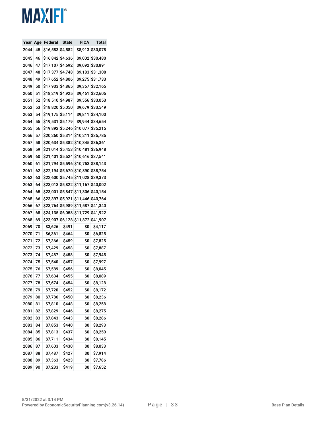| Year | Age | Federal          | State          | <b>FICA</b>    | Total           |
|------|-----|------------------|----------------|----------------|-----------------|
| 2044 | 45  | \$16,583         | <b>\$4,582</b> | \$8,913        | \$30,078        |
| 2045 | 46  | S16,842 S4,636   |                | \$9,002        | \$30,480        |
| 2046 | 47  | \$17,107         | \$4,692        | \$9,092        | \$30,891        |
| 2047 | 48  | \$17,377         | \$4,748        | \$9,183        | \$31,308        |
| 2048 | 49  | \$17,652         | \$4,806        | \$9,275        | \$31,733        |
| 2049 | 50  | \$17,933         | <b>\$4,865</b> | \$9,367        | \$32,165        |
| 2050 | 51  | \$18,219         | \$4,925        | \$9,461        | \$32,605        |
| 2051 | 52  | \$18,510         | Ş4,987         | <b>\$9,556</b> | \$33,053        |
| 2052 | 53  | \$18,820         | <b>\$5,050</b> | S9,679         | \$33,549        |
| 2053 | 54  | \$19,175         | \$5,114        | \$9,811        | \$34,100        |
| 2054 | 55  | \$19,531         | S5,179         | S9,944         | \$34,654        |
| 2055 | 56  | S19,892 S5,246   |                | \$10,077       | \$35,215        |
| 2056 | 57  | \$20,260 \$5,314 |                | \$10,211       | \$35,785        |
| 2057 | 58  | \$20,634         | \$5,382        | \$10,345       | \$36,361        |
| 2058 | 59  | <b>\$21,014</b>  | \$5,453        | \$10,481       | \$36,948        |
| 2059 | 60  | \$21,401         | \$5,524        | \$10,616       | \$37,541        |
| 2060 | 61  | \$21,794         | \$5,596        | \$10,753       | \$38,143        |
| 2061 | 62  | \$22,194         | <b>\$5,670</b> | \$10,890       | \$38,754        |
| 2062 | 63  | \$22,600         | \$5,745        | \$11,028       | \$39,373        |
| 2063 | 64  | \$23,013         | \$5,822        | \$11,167       | \$40,002        |
| 2064 | 65  | \$23,001         | \$5,847        | \$11,306       | \$40,154        |
| 2065 | 66  | \$23,397         | \$5,921        | \$11,446       | <b>\$40,764</b> |
| 2066 | 67  | \$23,764 \$5,989 |                | \$11,587       | \$41,340        |
| 2067 | 68  | \$24,135         | \$6,058        | \$11,729       | \$41,922        |
| 2068 | 69  | \$23,907         | \$6,128        | \$11,872       | \$41,907        |
| 2069 | 70  | \$3,626          | Ş491           | Ş0             | \$4,117         |
| 2070 | 71  | \$6,361          | <b>\$464</b>   | Ş0             | \$6,825         |
| 2071 | 72  | \$7,366          | Ş459           | Ş0             | \$7,825         |
| 2072 | 73  | \$7,429          | <b>\$458</b>   | \$0            | Ş7,887          |
| 2073 | 74  | \$7,487          | Ş458           | Ş0             | \$7,945         |
| 2074 | 75  | <b>\$7,540</b>   | Ş457           | \$0            | \$7,997         |
| 2075 | 76  | \$7,589          | <b>\$456</b>   | \$0            | S8,045          |
| 2076 | 77  | \$7,634          | Ş455           | Ş0             | \$8,089         |
| 2077 | 78  | \$7,674          | <b>\$454</b>   | \$0            | \$8,128         |
| 2078 | 79  | \$7,720          | \$452          | \$0            | \$8,172         |
| 2079 | 80  | \$7,786          | \$450          | \$0            | \$8,236         |
| 2080 | 81  | \$7,810          | \$448          | \$0            | \$8,258         |
| 2081 | 82  | \$7,829          | \$446          | \$0            | \$8,275         |
| 2082 | 83  | \$7,843          | \$443          | \$0            | \$8,286         |
| 2083 | 84  | \$7,853          | \$440          | \$0            | \$8,293         |
| 2084 | 85  | \$7,813          | \$437          | \$0            | \$8,250         |
| 2085 | 86  | \$7,711          | \$434          | \$0            | \$8,145         |
| 2086 | 87  | \$7,603          | \$430          | \$0            | \$8,033         |
| 2087 | 88  | \$7,487          | \$427          | \$0            | \$7,914         |
| 2088 | 89  | \$7,363          | Ş423           | \$0            | <b>\$7,786</b>  |
| 2089 | 90  | \$7,233          | \$419          | \$0            | \$7,652         |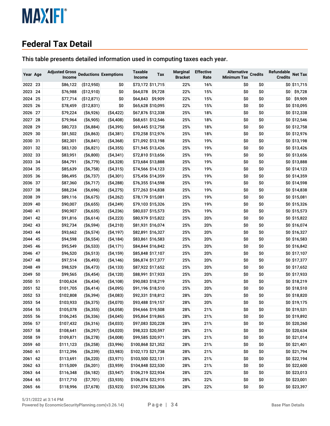#### <span id="page-33-0"></span>**Federal Tax Detail**

This table presents detailed information used in computing taxes each year.

| Year Age |    | <b>Adjusted Gross</b><br>Income |                 | <b>Deductions Exemptions</b> | <b>Taxable</b><br>Income | Tax               | <b>Marginal</b><br><b>Bracket</b> | <b>Effective</b><br>Rate | <b>Alternative</b><br><b>Minimum Tax</b> | <b>Credits</b> | Refundable<br><b>Credits</b> | <b>Net Tax</b>  |
|----------|----|---------------------------------|-----------------|------------------------------|--------------------------|-------------------|-----------------------------------|--------------------------|------------------------------------------|----------------|------------------------------|-----------------|
| 2022 23  |    | \$86,122                        | ( \$12,950)     | \$0                          |                          | \$73,172 \$11,715 | 22%                               | 16%                      | \$0                                      | \$0            |                              | $$0 \, $11,715$ |
| 2023 24  |    | \$76,988                        | (\$12,910)      | \$0                          | \$64,078                 | \$9,728           | 22%                               | 15%                      | \$0                                      | \$0            | \$0                          | \$9,728         |
| 2024     | 25 | \$77,714                        | (\$12,871)      | \$0                          |                          | \$64,843 \$9,909  | 22%                               | 15%                      | \$0                                      | \$0            | \$0                          | \$9,909         |
| 2025     | 26 | \$78,459                        | ( \$12, 831)    | \$0                          |                          | \$65,628 \$10,095 | 22%                               | 15%                      | \$0                                      | \$0            |                              | \$0 \$10,095    |
| 2026     | 27 | \$79,224                        | ( \$6,926)      | ( \$4,422)                   |                          | \$67,876 \$12,338 | 25%                               | 18%                      | \$0                                      | \$0            |                              | \$0 \$12,338    |
| 2027     | 28 | \$79,964                        | ( \$6,905)      | ( \$4,408)                   |                          | \$68,651 \$12,546 | 25%                               | 18%                      | \$0                                      | \$0            |                              | \$0 \$12,546    |
| 2028     | 29 | \$80,723                        | ( \$6,884)      | ( \$4,395)                   |                          | \$69,445 \$12,758 | 25%                               | 18%                      | \$0                                      | \$0            |                              | \$0 \$12,758    |
| 2029     | 30 | \$81,502                        | ( \$6,863)      | ( \$4,381)                   |                          | \$70,258 \$12,976 | 25%                               | 18%                      | \$0                                      | \$0            |                              | \$0 \$12,976    |
| 2030     | 31 | \$82,301                        | $($ \$6,841)    | ( \$4,368)                   |                          | \$71,092 \$13,198 | 25%                               | 19%                      | \$0                                      | \$0            |                              | \$0 \$13,198    |
| 2031     | 32 | \$83,120                        | $($ \$6,821)    | ( \$4,355)                   |                          | \$71,945 \$13,426 | 25%                               | 19%                      | \$0                                      | \$0            |                              | \$0 \$13,426    |
| 2032     | 33 | \$83,951                        | ( \$6,800)      | ( \$4,341)                   |                          | \$72,810 \$13,656 | 25%                               | 19%                      | \$0                                      | \$0            |                              | \$0 \$13,656    |
| 2033     | 34 | \$84,791                        | $($ \$6,779 $)$ | ( \$4,328)                   |                          | \$73,684 \$13,888 | 25%                               | 19%                      | \$0                                      | \$0            |                              | \$0 \$13,888    |
| 2034     | 35 | \$85,639                        | ( \$6,758)      | ( \$4,315)                   |                          | \$74,566 \$14,123 | 25%                               | 19%                      | \$0                                      | \$0            |                              | \$0 \$14,123    |
| 2035 36  |    | \$86,495                        | $($ \$6,737 $)$ | $($ \$4,301)                 |                          | \$75,456 \$14,359 | 25%                               | 19%                      | \$0                                      | \$0            |                              | \$0 \$14,359    |
| 2036     | 37 | \$87,360                        | $($ \$6,717 $)$ | ( \$4,288)                   |                          | \$76,355 \$14,598 | 25%                               | 19%                      | \$0                                      | \$0            |                              | \$0 \$14,598    |
| 2037     | 38 | \$88,234                        | ( \$6,696)      | ( \$4,275)                   |                          | \$77,263 \$14,838 | 25%                               | 19%                      | \$0                                      | \$0            |                              | \$0 \$14,838    |
| 2038     | 39 | \$89,116                        | ( \$6,675)      | ( \$4,262)                   |                          | \$78,179 \$15,081 | 25%                               | 19%                      | \$0                                      | \$0            |                              | \$0 \$15,081    |
| 2039     | 40 | \$90,007                        | ( \$6,655)      | ( \$4,249)                   |                          | \$79,103 \$15,326 | 25%                               | 19%                      | \$0                                      | \$0            |                              | \$0 \$15,326    |
| 2040     | 41 | \$90,907                        | ( \$6,635)      | (\$4,236)                    |                          | \$80,037 \$15,573 | 25%                               | 19%                      | \$0                                      | \$0            |                              | \$0 \$15,573    |
| 2041     | 42 | \$91,816                        | ( \$6,614)      | ( \$4,223)                   |                          | \$80,979 \$15,822 | 25%                               | 20%                      | \$0                                      | \$0            |                              | \$0 \$15,822    |
| 2042     | 43 | \$92,734                        | $($ \$6,594 $)$ | ( \$4,210)                   |                          | \$81,931 \$16,074 | 25%                               | 20%                      | \$0                                      | \$0            |                              | \$0 \$16,074    |
| 2043     | 44 | \$93,662                        | $($ \$6,574 $)$ | ( \$4,197)                   |                          | \$82,891 \$16,327 | 25%                               | 20%                      | \$0                                      | \$0            |                              | \$0 \$16,327    |
| 2044     | 45 | \$94,598                        | ( \$6,554)      | ( \$4,184)                   |                          | \$83,861 \$16,583 | 25%                               | 20%                      | \$0                                      | \$0            |                              | \$0 \$16,583    |
| 2045     | 46 | \$95,549                        | ( \$6,533)      | $($ \$4,171)                 |                          | \$84,844 \$16,842 | 25%                               | 20%                      | \$0                                      | \$0            |                              | \$0 \$16,842    |
| 2046     | 47 | \$96,520                        | ( \$6,513)      | ( \$4,159)                   |                          | \$85,848 \$17,107 | 25%                               | 20%                      | \$0                                      | \$0            |                              | \$0 \$17,107    |
| 2047     | 48 | \$97,514                        | $($ \$6,493)    | ( \$4,146)                   |                          | \$86,874 \$17,377 | 25%                               | 20%                      | \$0                                      | \$0            |                              | \$0 \$17,377    |
| 2048     | 49 | \$98,529                        | ( \$6,473)      | ( \$4,133)                   |                          | \$87,922 \$17,652 | 25%                               | 20%                      | \$0                                      | \$0            |                              | \$0 \$17,652    |
| 2049     | 50 | \$99,565                        | $($ \$6,454 $)$ | ( \$4,120)                   |                          | \$88,991 \$17,933 | 25%                               | 20%                      | \$0                                      | \$0            |                              | \$0 \$17,933    |
| 2050     | 51 | \$100,624                       | ( \$6,434)      | ( \$4,108)                   |                          | \$90,083 \$18,219 | 25%                               | 20%                      | \$0                                      | \$0            |                              | \$0 \$18,219    |
| 2051     | 52 | \$101,705                       | $($ \$6,414 $)$ | ( \$4,095)                   |                          | \$91,196 \$18,510 | 25%                               | 20%                      | \$0                                      | \$0            |                              | \$0 \$18,510    |
| 2052     | 53 | \$102,808                       | ( \$6,394)      | ( \$4,083)                   |                          | \$92,331 \$18,812 | 28%                               | 20%                      | \$0                                      | \$0            |                              | \$0 \$18,820    |
| 2053     | 54 | \$103,933                       | ( \$6,375)      | ( \$4,070)                   |                          | \$93,488 \$19,157 | 28%                               | 20%                      | \$0                                      | \$0            |                              | \$0 \$19,175    |
| 2054     | 55 | \$105,078                       | ( \$6,355)      | ( \$4,058)                   |                          | \$94,666 \$19,508 | 28%                               | 21%                      | \$0                                      | \$0            |                              | \$0 \$19,531    |
| 2055 56  |    | \$106,245                       | ( \$6,336)      | ( \$4,045)                   |                          | \$95,864 \$19,865 | 28%                               | 21%                      | \$0                                      | \$0            |                              | \$0 \$19,892    |
| 2056 57  |    | \$107,432                       | ( \$6,316)      | ( \$4,033)                   |                          | \$97,083 \$20,228 | 28%                               | 21%                      | \$0                                      | \$0            |                              | \$0 \$20,260    |
| 2057 58  |    | \$108,641                       | ( \$6,297)      | (\$4,020)                    |                          | \$98,323 \$20,597 | 28%                               | 21%                      | \$0                                      | \$0            |                              | \$0 \$20,634    |
| 2058 59  |    | \$109,871                       | ( \$6,278)      | ( \$4,008)                   |                          | \$99,585 \$20,971 | 28%                               | 21%                      | \$0                                      | \$0            |                              | \$0 \$21,014    |
| 2059 60  |    | \$111,123                       | ( \$6,258)      | ( \$3,996)                   | \$100,868 \$21,352       |                   | 28%                               | 21%                      | \$0                                      | \$0            |                              | \$0 \$21,401    |
| 2060 61  |    | \$112,396                       | ( \$6,239)      | ( \$3,983)                   | \$102,173 \$21,738       |                   | 28%                               | 21%                      | \$0                                      | \$0            |                              | \$0 \$21,794    |
| 2061 62  |    | \$113,691                       | (\$6,220)       | ( \$3,971)                   | \$103,500 \$22,131       |                   | 28%                               | 21%                      | \$0                                      | \$0            |                              | \$0 \$22,194    |
| 2062 63  |    | \$115,009                       | ( \$6,201)      | ( \$3,959)                   | \$104,848 \$22,530       |                   | 28%                               | 21%                      | \$0                                      | \$0            |                              | \$0 \$22,600    |
| 2063 64  |    | \$116,348                       | ( \$6,182)      | ( \$3,947)                   | \$106,219 \$22,934       |                   | 28%                               | 22%                      | \$0                                      | \$0            |                              | \$0 \$23,013    |
| 2064 65  |    | \$117,710                       | ( \$7,701)      | ( \$3,935)                   | \$106,074 \$22,915       |                   | 28%                               | 22%                      | \$0                                      | \$0            |                              | \$0 \$23,001    |
| 2065 66  |    | \$118,996                       | ( \$7,678)      | ( \$3,923)                   | \$107,396 \$23,306       |                   | 28%                               | 22%                      | \$0                                      | \$0            |                              | \$0 \$23,397    |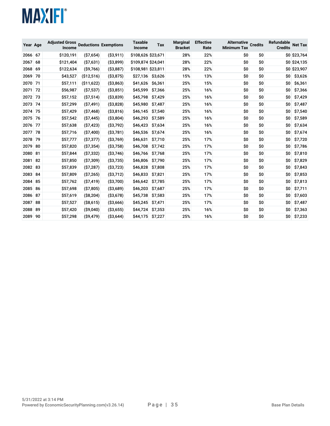| Year Age |    | <b>Adjusted Gross</b><br>Income |              | <b>Deductions Exemptions</b> | <b>Taxable</b><br>Income | Tax     | <b>Marginal</b><br><b>Bracket</b> | <b>Effective</b><br>Rate | <b>Alternative</b><br><b>Minimum Tax</b> | <b>Credits</b> | <b>Refundable</b><br><b>Credits</b> | <b>Net Tax</b> |
|----------|----|---------------------------------|--------------|------------------------------|--------------------------|---------|-----------------------------------|--------------------------|------------------------------------------|----------------|-------------------------------------|----------------|
| 2066     | 67 | \$120,191                       | ( \$7,654)   | ( \$3,911)                   | \$108,626 \$23,671       |         | 28%                               | 22%                      | \$0                                      | \$0            |                                     | \$0 \$23,764   |
| 2067     | 68 | \$121,404                       | ( \$7,631)   | (S3, 899)                    | \$109,874 \$24,041       |         | 28%                               | 22%                      | \$0                                      | \$0            |                                     | \$0 \$24,135   |
| 2068     | 69 | \$122,634                       | $($ \$9,766) | ( \$3,887)                   | \$108,981 \$23,811       |         | 28%                               | 22%                      | \$0                                      | \$0            |                                     | \$0 \$23,907   |
| 2069     | 70 | \$43,527                        | (\$12,516)   | ( \$3,875)                   | \$27,136                 | \$3,626 | 15%                               | 13%                      | \$0                                      | \$0            | \$0                                 | \$3,626        |
| 2070     | 71 | \$57,111                        | ( \$11,622)  | ( \$3,863)                   | \$41,626                 | \$6,361 | 25%                               | 15%                      | \$0                                      | \$0            | \$0                                 | \$6,361        |
| 2071     | 72 | \$56,987                        | ( \$7,537)   | ( \$3,851)                   | \$45,599                 | \$7,366 | 25%                               | 16%                      | \$0                                      | \$0            | \$O                                 | \$7,366        |
| 2072     | 73 | \$57,152                        | ( \$7,514)   | ( \$3,839)                   | \$45,798                 | \$7,429 | 25%                               | 16%                      | \$0                                      | \$0            | \$O                                 | \$7,429        |
| 2073     | 74 | \$57,299                        | ( \$7,491)   | ( \$3,828)                   | \$45,980                 | \$7,487 | 25%                               | 16%                      | \$0                                      | \$0            | \$0                                 | \$7,487        |
| 2074     | 75 | \$57,429                        | ( \$7,468)   | ( \$3,816)                   | \$46,145                 | \$7,540 | 25%                               | 16%                      | \$0                                      | \$0            | \$O                                 | \$7,540        |
| 2075     | 76 | \$57,542                        | ( \$7,445)   | ( \$3,804)                   | \$46,293                 | \$7,589 | 25%                               | 16%                      | \$0                                      | \$0            | \$0                                 | \$7,589        |
| 2076     | 77 | \$57,638                        | ( \$7,423)   | ( \$3,792)                   | \$46,423                 | \$7,634 | 25%                               | 16%                      | \$0                                      | \$0            | \$0                                 | \$7,634        |
| 2077     | 78 | \$57,716                        | (S7,400)     | ( \$3,781)                   | \$46,536                 | \$7,674 | 25%                               | 16%                      | \$0                                      | \$0            | \$0                                 | \$7,674        |
| 2078     | 79 | \$57,777                        | ( \$7,377)   | ( \$3,769)                   | \$46,631                 | \$7,710 | 25%                               | 17%                      | \$0                                      | \$0            | \$0                                 | \$7,720        |
| 2079     | 80 | \$57,820                        | ( \$7,354)   | ( \$3,758)                   | \$46,708                 | \$7,742 | 25%                               | 17%                      | \$0                                      | \$0            | \$0                                 | \$7,786        |
| 2080     | 81 | \$57,844                        | ( \$7,332)   | ( \$3,746)                   | \$46,766                 | \$7,768 | 25%                               | 17%                      | \$0                                      | \$0            | \$0                                 | \$7,810        |
| 2081     | 82 | \$57,850                        | ( \$7,309)   | ( \$3,735)                   | \$46,806                 | \$7,790 | 25%                               | 17%                      | \$0                                      | \$0            | \$O                                 | \$7,829        |
| 2082     | 83 | \$57,839                        | ( \$7,287)   | ( \$3,723)                   | \$46,828                 | \$7,808 | 25%                               | 17%                      | \$0                                      | \$0            | \$0                                 | \$7,843        |
| 2083     | 84 | \$57,809                        | ( \$7,265)   | ( \$3,712)                   | \$46,833                 | \$7,821 | 25%                               | 17%                      | \$0                                      | \$0            | \$O                                 | \$7,853        |
| 2084     | 85 | \$57,762                        | ( \$7,419)   | ( \$3,700)                   | \$46,642                 | \$7,785 | 25%                               | 17%                      | \$0                                      | \$0            | \$0                                 | \$7,813        |
| 2085     | 86 | \$57,698                        | ( \$7,805)   | ( \$3,689)                   | \$46,203                 | \$7,687 | 25%                               | 17%                      | \$0                                      | \$0            | \$0                                 | \$7,711        |
| 2086     | 87 | \$57,619                        | (S8, 204)    | ( \$3,678)                   | \$45,738                 | \$7,583 | 25%                               | 17%                      | \$0                                      | \$0            | \$0                                 | \$7,603        |
| 2087     | 88 | \$57,527                        | ( \$8,615)   | ( \$3,666)                   | \$45,245                 | \$7,471 | 25%                               | 17%                      | \$0                                      | \$0            | \$O                                 | \$7,487        |
| 2088     | 89 | \$57,420                        | ( \$9,040)   | ( \$3,655)                   | \$44,724                 | \$7,353 | 25%                               | 16%                      | \$0                                      | \$0            | \$0                                 | \$7,363        |
| 2089     | 90 | \$57,298                        | $($ \$9,479) | ( \$3,644)                   | \$44,175                 | \$7,227 | 25%                               | 16%                      | \$0                                      | \$0            | \$O                                 | \$7,233        |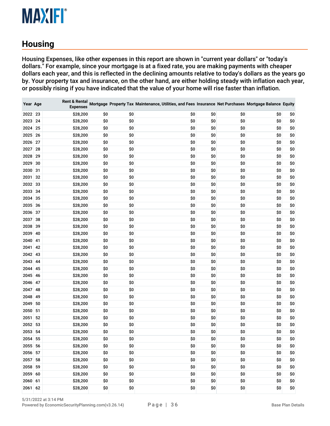#### <span id="page-35-0"></span>**Housing**

Housing Expenses, like other expenses in this report are shown in "current year dollars" or "today's dollars." For example, since your mortgage is at a fixed rate, you are making payments with cheaper dollars each year, and this is reflected in the declining amounts relative to today's dollars as the years go by. Your property tax and insurance, on the other hand, are either holding steady with inflation each year, or possibly rising if you have indicated that the value of your home will rise faster than inflation.

| Year Age |    | <b>Rent &amp; Rental</b><br><b>Expenses</b> |     |     | Mortgage Property Tax Maintenance, Utilities, and Fees Insurance Net Purchases Mortgage Balance Equity |     |     |     |     |
|----------|----|---------------------------------------------|-----|-----|--------------------------------------------------------------------------------------------------------|-----|-----|-----|-----|
| 2022 23  |    | \$28,200                                    | \$0 | \$0 | \$0                                                                                                    | \$0 | \$0 | \$0 | \$0 |
| 2023 24  |    | \$28,200                                    | \$0 | \$0 | \$0                                                                                                    | \$0 | \$0 | \$0 | \$0 |
| 2024     | 25 | \$28,200                                    | \$0 | \$0 | \$0                                                                                                    | \$0 | \$0 | \$0 | \$0 |
| 2025 26  |    | \$28,200                                    | \$0 | \$0 | \$0                                                                                                    | \$0 | \$0 | \$0 | \$0 |
| 2026     | 27 | \$28,200                                    | \$0 | \$0 | \$0                                                                                                    | \$0 | \$0 | \$0 | \$0 |
| 2027     | 28 | \$28,200                                    | \$0 | \$0 | \$0                                                                                                    | \$0 | \$0 | \$0 | \$0 |
| 2028     | 29 | \$28,200                                    | \$0 | \$0 | \$0                                                                                                    | \$0 | \$0 | \$0 | \$0 |
| 2029     | 30 | \$28,200                                    | \$0 | \$0 | \$0                                                                                                    | \$0 | \$0 | \$0 | \$0 |
| 2030     | 31 | \$28,200                                    | \$0 | \$0 | \$0                                                                                                    | \$0 | \$0 | \$0 | \$0 |
| 2031     | 32 | \$28,200                                    | \$0 | \$0 | \$0                                                                                                    | \$0 | \$0 | \$0 | \$0 |
| 2032 33  |    | \$28,200                                    | \$0 | \$0 | \$0                                                                                                    | \$0 | \$0 | \$0 | \$0 |
| 2033     | 34 | \$28,200                                    | \$0 | \$0 | \$0                                                                                                    | \$0 | \$0 | \$0 | \$0 |
| 2034     | 35 | \$28,200                                    | \$0 | \$0 | \$0                                                                                                    | \$0 | \$0 | \$0 | \$0 |
| 2035 36  |    | \$28,200                                    | \$0 | \$0 | \$0                                                                                                    | \$0 | \$0 | \$0 | \$0 |
| 2036     | 37 | \$28,200                                    | \$0 | \$0 | \$0                                                                                                    | \$0 | \$0 | \$0 | \$0 |
| 2037     | 38 | \$28,200                                    | \$0 | \$0 | \$0                                                                                                    | \$0 | \$0 | \$0 | \$0 |
| 2038     | 39 | \$28,200                                    | \$0 | \$0 | \$0                                                                                                    | \$0 | \$0 | \$0 | \$0 |
| 2039     | 40 | \$28,200                                    | \$0 | \$0 | \$0                                                                                                    | \$0 | \$0 | \$0 | \$0 |
| 2040     | 41 | \$28,200                                    | \$0 | \$0 | \$0                                                                                                    | \$0 | \$0 | \$0 | \$0 |
| 2041     | 42 | \$28,200                                    | \$0 | \$0 | \$0                                                                                                    | \$0 | \$0 | \$0 | \$0 |
| 2042     | 43 | \$28,200                                    | \$0 | \$0 | \$0                                                                                                    | \$0 | \$0 | \$0 | \$0 |
| 2043 44  |    | \$28,200                                    | \$0 | \$0 | \$0                                                                                                    | \$0 | \$0 | \$0 | \$0 |
| 2044     | 45 | \$28,200                                    | \$0 | \$0 | \$0                                                                                                    | \$0 | \$0 | \$0 | \$0 |
| 2045     | 46 | \$28,200                                    | \$0 | \$0 | \$0                                                                                                    | \$0 | \$0 | \$0 | \$0 |
| 2046     | 47 | \$28,200                                    | \$0 | \$0 | \$0                                                                                                    | \$0 | \$0 | \$0 | \$0 |
| 2047     | 48 | \$28,200                                    | \$0 | \$0 | \$0                                                                                                    | \$0 | \$0 | \$0 | \$0 |
| 2048     | 49 | \$28,200                                    | \$0 | \$0 | \$0                                                                                                    | \$0 | \$0 | \$0 | \$0 |
| 2049     | 50 | \$28,200                                    | \$0 | \$0 | \$0                                                                                                    | \$0 | \$0 | \$0 | \$0 |
| 2050     | 51 | \$28,200                                    | \$0 | \$0 | \$0                                                                                                    | \$0 | \$0 | \$0 | \$0 |
| 2051     | 52 | \$28,200                                    | \$0 | \$0 | \$0                                                                                                    | \$0 | \$0 | \$0 | \$0 |
| 2052     | 53 | \$28,200                                    | \$0 | \$0 | \$0                                                                                                    | \$0 | \$0 | \$0 | \$0 |
| 2053     | 54 | \$28,200                                    | \$0 | \$0 | \$0                                                                                                    | \$0 | \$0 | \$0 | \$0 |
| 2054 55  |    | \$28,200                                    | \$0 | \$0 | \$0                                                                                                    | \$0 | \$0 | \$0 | \$0 |
| 2055 56  |    | \$28,200                                    | \$0 | \$0 | \$0                                                                                                    | \$0 | \$0 | \$0 | \$0 |
| 2056 57  |    | \$28,200                                    | \$0 | \$0 | \$0                                                                                                    | \$0 | \$0 | \$0 | \$0 |
| 2057 58  |    | \$28,200                                    | \$0 | \$0 | \$0                                                                                                    | \$0 | \$0 | \$0 | \$0 |
| 2058 59  |    | \$28,200                                    | \$0 | \$0 | \$0                                                                                                    | \$0 | \$0 | \$0 | \$0 |
| 2059 60  |    | \$28,200                                    | \$0 | \$0 | \$0                                                                                                    | \$0 | \$0 | \$0 | \$0 |
| 2060 61  |    | \$28,200                                    | \$0 | \$0 | \$0                                                                                                    | \$0 | \$0 | \$0 | \$0 |
| 2061 62  |    | \$28,200                                    | \$0 | \$0 | \$0                                                                                                    | \$0 | \$0 | \$0 | \$0 |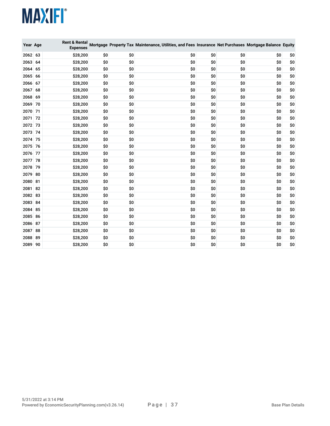| Year Age |    | <b>Rent &amp; Rental</b><br><b>Expenses</b> |     |     | Mortgage Property Tax Maintenance, Utilities, and Fees Insurance Net Purchases Mortgage Balance Equity |     |     |     |     |
|----------|----|---------------------------------------------|-----|-----|--------------------------------------------------------------------------------------------------------|-----|-----|-----|-----|
| 2062 63  |    | \$28,200                                    | \$0 | \$0 | \$0                                                                                                    | \$0 | \$0 | \$0 | \$0 |
| 2063     | 64 | \$28,200                                    | \$0 | \$0 | \$0                                                                                                    | \$0 | \$0 | \$0 | \$0 |
| 2064     | 65 | \$28,200                                    | \$0 | \$0 | \$0                                                                                                    | \$0 | \$0 | \$0 | \$0 |
| 2065     | 66 | \$28,200                                    | \$0 | \$0 | \$0                                                                                                    | \$0 | \$0 | \$0 | \$0 |
| 2066     | 67 | \$28,200                                    | \$0 | \$0 | \$0                                                                                                    | \$0 | \$0 | \$0 | \$0 |
| 2067     | 68 | \$28,200                                    | \$0 | \$0 | \$0                                                                                                    | \$0 | \$0 | \$0 | \$0 |
| 2068     | 69 | \$28,200                                    | \$0 | \$0 | \$0                                                                                                    | \$0 | \$0 | \$0 | \$0 |
| 2069     | 70 | \$28,200                                    | \$0 | \$0 | \$0                                                                                                    | \$0 | \$0 | \$0 | \$0 |
| 2070     | 71 | \$28,200                                    | \$0 | \$0 | \$0                                                                                                    | \$0 | \$0 | \$0 | \$0 |
| 2071     | 72 | \$28,200                                    | \$0 | \$0 | \$0                                                                                                    | \$0 | \$0 | \$0 | \$0 |
| 2072 73  |    | \$28,200                                    | \$0 | \$0 | \$0                                                                                                    | \$0 | \$0 | \$0 | \$0 |
| 2073     | 74 | \$28,200                                    | \$0 | \$0 | \$0                                                                                                    | \$0 | \$0 | \$0 | \$0 |
| 2074 75  |    | \$28,200                                    | \$0 | \$0 | \$0                                                                                                    | \$0 | \$0 | \$0 | \$0 |
| 2075     | 76 | \$28,200                                    | \$0 | \$0 | \$0                                                                                                    | \$0 | \$0 | \$0 | \$0 |
| 2076     | 77 | \$28,200                                    | \$0 | \$0 | \$0                                                                                                    | \$0 | \$0 | \$0 | \$0 |
| 2077     | 78 | \$28,200                                    | \$0 | \$0 | \$0                                                                                                    | \$0 | \$0 | \$0 | \$0 |
| 2078     | 79 | \$28,200                                    | \$0 | \$0 | \$0                                                                                                    | \$0 | \$0 | \$0 | \$0 |
| 2079     | 80 | \$28,200                                    | \$0 | \$0 | \$0                                                                                                    | \$0 | \$0 | \$0 | \$0 |
| 2080     | 81 | \$28,200                                    | \$0 | \$0 | \$0                                                                                                    | \$0 | \$0 | \$0 | \$0 |
| 2081     | 82 | \$28,200                                    | \$0 | \$0 | \$0                                                                                                    | \$0 | \$0 | \$0 | \$0 |
| 2082     | 83 | \$28,200                                    | \$0 | \$0 | \$0                                                                                                    | \$0 | \$0 | \$0 | \$0 |
| 2083     | 84 | \$28,200                                    | \$0 | \$0 | \$0                                                                                                    | \$0 | \$0 | \$0 | \$0 |
| 2084     | 85 | \$28,200                                    | \$0 | \$0 | \$0                                                                                                    | \$0 | \$0 | \$0 | \$0 |
| 2085     | 86 | \$28,200                                    | \$0 | \$0 | \$0                                                                                                    | \$0 | \$0 | \$0 | \$0 |
| 2086     | 87 | \$28,200                                    | \$0 | \$0 | \$0                                                                                                    | \$0 | \$0 | \$0 | \$0 |
| 2087     | 88 | \$28,200                                    | \$0 | \$0 | \$0                                                                                                    | \$0 | \$0 | \$0 | \$0 |
| 2088     | 89 | \$28,200                                    | \$0 | \$0 | \$0                                                                                                    | \$0 | \$0 | \$0 | \$0 |
| 2089     | 90 | \$28,200                                    | \$0 | \$0 | \$0                                                                                                    | \$0 | \$0 | \$0 | \$0 |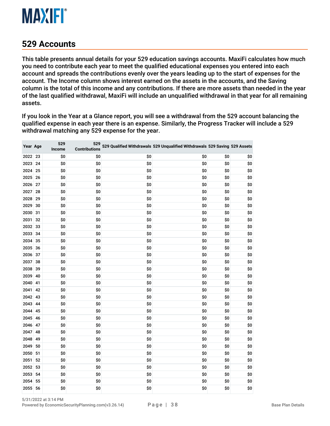

#### **Accounts**

This table presents annual details for your 529 education savings accounts. MaxiFi calculates how much you need to contribute each year to meet the qualified educational expenses you entered into each account and spreads the contributions evenly over the years leading up to the start of expenses for the account. The Income column shows interest earned on the assets in the accounts, and the Saving column is the total of this income and any contributions. If there are more assets than needed in the year of the last qualified withdrawal, MaxiFi will include an unqualified withdrawal in that year for all remaining assets.

If you look in the Year at a Glance report, you will see a withdrawal from the 529 account balancing the qualified expense in each year there is an expense. Similarly, the Progress Tracker will include a 529 withdrawal matching any 529 expense for the year.

| Year Age |    | 529<br>Income | 529<br><b>Contributions</b> |     | 529 Qualified Withdrawals 529 Unqualified Withdrawals 529 Saving 529 Assets |     |     |
|----------|----|---------------|-----------------------------|-----|-----------------------------------------------------------------------------|-----|-----|
| 2022 23  |    | \$0           | \$0                         | \$0 | \$0                                                                         | \$0 | \$0 |
| 2023     | 24 | \$0           | \$0                         | \$0 | \$0                                                                         | \$0 | \$0 |
| 2024 25  |    | \$0           | \$0                         | \$0 | \$0                                                                         | \$0 | \$0 |
| 2025     | 26 | \$0           | \$0                         | \$0 | \$0                                                                         | \$0 | \$0 |
| 2026     | 27 | \$0           | \$0                         | \$0 | \$0                                                                         | \$0 | \$0 |
| 2027     | 28 | \$0           | \$0                         | \$0 | \$0                                                                         | \$0 | \$0 |
| 2028     | 29 | \$0           | \$0                         | \$0 | \$0                                                                         | \$0 | \$0 |
| 2029     | 30 | \$0           | \$0                         | \$0 | \$0                                                                         | \$0 | \$0 |
| 2030     | 31 | \$0           | \$0                         | \$0 | \$0                                                                         | \$0 | \$0 |
| 2031     | 32 | \$0           | \$0                         | \$0 | \$0                                                                         | \$0 | \$0 |
| 2032     | 33 | \$0           | \$0                         | \$0 | \$0                                                                         | \$0 | \$0 |
| 2033     | 34 | \$0           | \$0                         | \$0 | \$0                                                                         | \$0 | \$0 |
| 2034     | 35 | \$0           | \$0                         | \$0 | \$0                                                                         | \$0 | \$0 |
| 2035 36  |    | \$0           | \$0                         | \$0 | \$0                                                                         | \$0 | \$0 |
| 2036 37  |    | \$0           | \$0                         | \$0 | \$0                                                                         | \$0 | \$0 |
| 2037     | 38 | \$0           | \$0                         | \$0 | \$0                                                                         | \$0 | \$0 |
| 2038     | 39 | \$0           | \$0                         | \$0 | \$0                                                                         | \$0 | \$0 |
| 2039     | 40 | \$0           | \$0                         | \$0 | \$0                                                                         | \$0 | \$0 |
| 2040     | 41 | \$0           | \$0                         | \$0 | \$0                                                                         | \$0 | \$0 |
| 2041     | 42 | \$0           | \$0                         | \$0 | \$0                                                                         | \$0 | \$0 |
| 2042     | 43 | \$0           | \$0                         | \$0 | \$0                                                                         | \$0 | \$0 |
| 2043     | 44 | \$0           | \$0                         | \$0 | \$0                                                                         | \$0 | \$0 |
| 2044     | 45 | \$0           | \$0                         | \$0 | \$0                                                                         | \$0 | \$0 |
| 2045     | 46 | \$0           | \$0                         | \$0 | \$0                                                                         | \$0 | \$0 |
| 2046     | 47 | \$0           | \$0                         | \$0 | \$0                                                                         | \$0 | \$0 |
| 2047     | 48 | \$0           | \$0                         | \$0 | \$0                                                                         | \$0 | \$0 |
| 2048     | 49 | \$0           | \$0                         | \$0 | \$0                                                                         | \$0 | \$0 |
| 2049     | 50 | \$0           | \$0                         | \$0 | \$0                                                                         | \$0 | \$0 |
| 2050     | 51 | \$0           | \$0                         | \$0 | \$0                                                                         | \$0 | \$0 |
| 2051     | 52 | \$0           | \$0                         | \$0 | \$0                                                                         | \$0 | \$0 |
| 2052     | 53 | \$0           | \$0                         | \$0 | \$0                                                                         | \$0 | \$0 |
| 2053     | 54 | \$0           | \$0                         | \$0 | \$0                                                                         | \$0 | \$0 |
| 2054     | 55 | \$0           | \$0                         | \$0 | \$0                                                                         | \$0 | \$0 |
| 2055     | 56 | \$0           | \$0                         | \$0 | \$0                                                                         | \$0 | \$0 |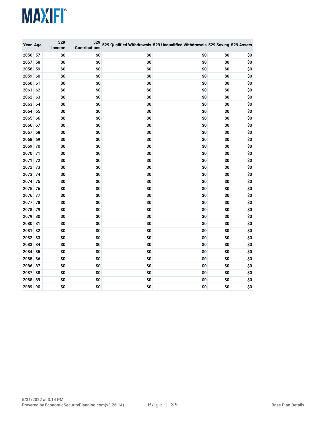| Year Age |    | 529<br>Income | 529<br><b>Contributions</b> |     | 529 Qualified Withdrawals 529 Unqualified Withdrawals 529 Saving 529 Assets |     |     |
|----------|----|---------------|-----------------------------|-----|-----------------------------------------------------------------------------|-----|-----|
| 2056     | 57 | \$0           | \$0                         | \$0 | \$0                                                                         | \$0 | \$0 |
| 2057     | 58 | \$0           | \$0                         | \$0 | \$0                                                                         | \$0 | \$0 |
| 2058     | 59 | \$0           | \$0                         | \$0 | \$0                                                                         | \$0 | \$0 |
| 2059     | 60 | \$0           | \$0                         | \$0 | \$0                                                                         | \$0 | \$0 |
| 2060     | 61 | \$0           | \$0                         | \$0 | \$0                                                                         | \$0 | \$0 |
| 2061     | 62 | \$0           | \$0                         | \$0 | \$0                                                                         | \$0 | \$0 |
| 2062     | 63 | \$0           | \$0                         | \$0 | \$0                                                                         | \$0 | \$0 |
| 2063     | 64 | \$0           | \$0                         | \$0 | \$0                                                                         | \$0 | \$0 |
| 2064     | 65 | \$0           | \$0                         | \$0 | \$0                                                                         | \$0 | \$0 |
| 2065     | 66 | \$0           | \$0                         | \$0 | \$0                                                                         | \$0 | \$0 |
| 2066     | 67 | \$0           | \$0                         | \$0 | \$0                                                                         | \$0 | \$0 |
| 2067     | 68 | \$0           | \$0                         | \$0 | \$0                                                                         | \$0 | \$0 |
| 2068     | 69 | \$0           | \$0                         | \$0 | \$0                                                                         | \$0 | \$0 |
| 2069     | 70 | \$0           | \$0                         | \$0 | \$0                                                                         | \$0 | \$0 |
| 2070     | 71 | \$0           | \$0                         | \$0 | \$0                                                                         | \$0 | \$0 |
| 2071     | 72 | \$0           | \$0                         | \$0 | \$0                                                                         | \$0 | \$0 |
| 2072     | 73 | \$0           | \$0                         | \$0 | \$0                                                                         | \$0 | \$0 |
| 2073     | 74 | \$0           | \$0                         | \$0 | \$0                                                                         | \$0 | \$0 |
| 2074     | 75 | \$0           | \$0                         | \$0 | \$0                                                                         | \$0 | \$0 |
| 2075     | 76 | \$0           | \$0                         | \$0 | \$0                                                                         | \$0 | \$0 |
| 2076     | 77 | \$0           | \$0                         | \$0 | \$0                                                                         | \$0 | \$0 |
| 2077     | 78 | \$0           | \$0                         | \$0 | \$0                                                                         | \$0 | \$0 |
| 2078     | 79 | \$0           | \$0                         | \$0 | \$0                                                                         | \$0 | \$0 |
| 2079     | 80 | \$0           | \$0                         | \$0 | \$0                                                                         | \$0 | \$0 |
| 2080     | 81 | \$0           | \$0                         | \$0 | \$0                                                                         | \$0 | \$0 |
| 2081     | 82 | \$0           | \$0                         | \$0 | \$0                                                                         | \$0 | \$0 |
| 2082     | 83 | \$0           | \$0                         | \$0 | \$0                                                                         | \$0 | \$0 |
| 2083     | 84 | \$0           | \$0                         | \$0 | \$0                                                                         | \$0 | \$0 |
| 2084     | 85 | \$0           | \$0                         | \$0 | \$0                                                                         | \$0 | \$0 |
| 2085     | 86 | \$0           | \$0                         | \$0 | \$0                                                                         | \$0 | \$0 |
| 2086     | 87 | \$0           | \$0                         | \$0 | \$0                                                                         | \$0 | \$0 |
| 2087     | 88 | \$0           | \$0                         | \$0 | \$0                                                                         | \$0 | \$0 |
| 2088     | 89 | \$0           | \$0                         | \$0 | \$0                                                                         | \$0 | \$0 |
| 2089 90  |    | \$0           | \$0                         | \$0 | \$0                                                                         | \$0 | \$0 |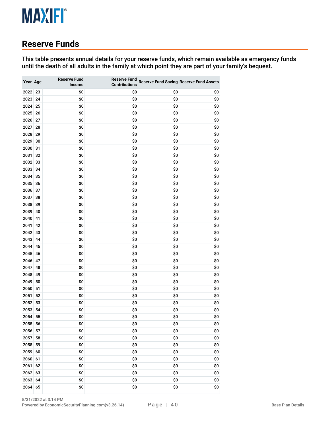#### **Reserve Funds**

This table presents annual details for your reserve funds, which remain available as emergency funds until the death of all adults in the family at which point they are part of your family's bequest.

| Year Age |    | <b>Reserve Fund</b><br>Income | <b>Reserve Fund</b><br><b>Contributions</b> |     | <b>Reserve Fund Saving Reserve Fund Assets</b> |
|----------|----|-------------------------------|---------------------------------------------|-----|------------------------------------------------|
| 2022     | 23 | \$0                           | \$0                                         | \$0 | \$0                                            |
| 2023     | 24 | \$0                           | \$0                                         | \$0 | \$0                                            |
| 2024     | 25 | \$0                           | \$0                                         | \$0 | \$0                                            |
| 2025     | 26 | \$0                           | \$0                                         | \$0 | \$0                                            |
| 2026     | 27 | \$0                           | \$0                                         | \$0 | \$0                                            |
| 2027     | 28 | \$0                           | \$0                                         | \$0 | \$0                                            |
| 2028     | 29 | \$0                           | \$0                                         | \$0 | \$0                                            |
| 2029     | 30 | \$0                           | \$0                                         | \$0 | \$0                                            |
| 2030     | 31 | \$0                           | \$0                                         | \$0 | \$0                                            |
| 2031     | 32 | \$0                           | \$0                                         | \$0 | \$0                                            |
| 2032     | 33 | \$0                           | \$0                                         | \$0 | \$0                                            |
| 2033     | 34 | \$0                           | \$0                                         | \$0 | \$0                                            |
| 2034     | 35 | \$0                           | \$0                                         | \$0 | \$0                                            |
| 2035     | 36 | \$0                           | \$0                                         | \$0 | \$0                                            |
| 2036     | 37 | \$0                           | \$0                                         | \$0 | \$0                                            |
| 2037     | 38 | \$0                           | \$0                                         | \$0 | \$0                                            |
| 2038     | 39 | \$0                           | \$0                                         | \$0 | \$0                                            |
| 2039     | 40 | \$0                           | \$0                                         | \$0 | \$0                                            |
| 2040     | 41 | \$0                           | \$0                                         | \$0 | \$0                                            |
| 2041     | 42 | \$0                           | \$0                                         | \$0 | \$0                                            |
| 2042     | 43 | \$0                           | \$0                                         | \$0 | \$0                                            |
| 2043     | 44 | \$0                           | \$0                                         | \$0 | \$0                                            |
| 2044     | 45 | \$0                           | \$0                                         | \$0 | \$0                                            |
| 2045     | 46 | \$0                           | \$0                                         | \$0 | \$0                                            |
| 2046     | 47 | \$0                           | \$0                                         | \$0 | \$0                                            |
| 2047     | 48 | \$0                           | \$0                                         | \$0 | \$0                                            |
| 2048     | 49 | \$0                           | \$0                                         | \$0 | \$0                                            |
| 2049     | 50 | \$0                           | \$0                                         | \$0 | \$0                                            |
| 2050     | 51 | \$0                           | \$0                                         | \$0 | \$0                                            |
| 2051     | 52 | \$0                           | \$0                                         | \$0 | \$0                                            |
| 2052     | 53 | \$0                           | \$0                                         | \$0 | \$0                                            |
| 2053     | 54 | \$0                           | \$0                                         | \$0 | \$0                                            |
| 2054     | 55 | \$0                           | \$0                                         | \$0 | \$0                                            |
| 2055     | 56 | \$0                           | \$0                                         | \$0 | \$0                                            |
| 2056     | 57 | \$0                           | \$0                                         | \$0 | \$0                                            |
| 2057     | 58 | \$0                           | \$0                                         | \$0 | \$0                                            |
| 2058     | 59 | \$0                           | \$0                                         | \$0 | \$0                                            |
| 2059     | 60 | \$0                           | \$0                                         | \$0 | \$0                                            |
| 2060     | 61 | \$0                           | \$0                                         | \$0 | \$0                                            |
| 2061     | 62 | \$0                           | \$0                                         | \$0 | \$0                                            |
| 2062     | 63 | \$0                           | \$0                                         | \$0 | \$0                                            |
| 2063     | 64 | \$0                           | \$0                                         | \$0 | \$0                                            |
| 2064     | 65 | \$0                           | \$0                                         | \$0 | \$0                                            |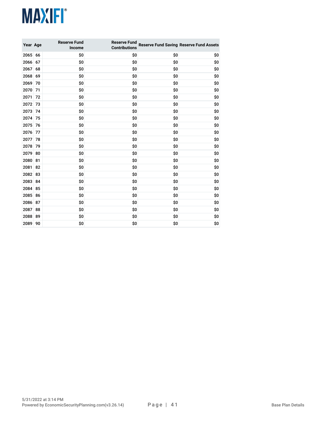| Year Age |    | <b>Reserve Fund</b><br>Income | <b>Reserve Fund</b><br><b>Contributions</b> |     | <b>Reserve Fund Saving Reserve Fund Assets</b> |
|----------|----|-------------------------------|---------------------------------------------|-----|------------------------------------------------|
| 2065 66  |    | \$0                           | \$0                                         | \$0 | \$0                                            |
| 2066     | 67 | \$0                           | \$0                                         | \$0 | \$0                                            |
| 2067     | 68 | \$0                           | \$0                                         | \$0 | \$0                                            |
| 2068     | 69 | \$0                           | \$0                                         | \$0 | \$0                                            |
| 2069     | 70 | \$0                           | \$0                                         | \$0 | \$0                                            |
| 2070     | 71 | \$0                           | \$0                                         | \$0 | \$0                                            |
| 2071     | 72 | \$0                           | \$0                                         | \$0 | \$0                                            |
| 2072     | 73 | \$0                           | \$0                                         | \$0 | \$0                                            |
| 2073     | 74 | \$0                           | \$0                                         | \$0 | \$0                                            |
| 2074     | 75 | \$0                           | \$0                                         | \$0 | \$0                                            |
| 2075     | 76 | \$0                           | \$0                                         | \$0 | \$0                                            |
| 2076     | 77 | \$0                           | \$0                                         | \$0 | \$0                                            |
| 2077     | 78 | \$0                           | \$0                                         | \$0 | \$0                                            |
| 2078     | 79 | \$0                           | \$0                                         | \$0 | \$0                                            |
| 2079     | 80 | \$0                           | \$0                                         | \$0 | \$0                                            |
| 2080     | 81 | \$0                           | \$0                                         | \$0 | \$0                                            |
| 2081     | 82 | \$0                           | \$0                                         | \$0 | \$0                                            |
| 2082     | 83 | \$0                           | \$0                                         | \$0 | \$0                                            |
| 2083     | 84 | \$0                           | \$0                                         | \$0 | \$0                                            |
| 2084     | 85 | \$0                           | \$0                                         | \$0 | \$0                                            |
| 2085     | 86 | \$0                           | \$0                                         | \$0 | \$0                                            |
| 2086     | 87 | \$0                           | \$0                                         | \$0 | \$0                                            |
| 2087     | 88 | \$0                           | \$0                                         | \$0 | \$0                                            |
| 2088     | 89 | \$0                           | \$0                                         | \$0 | \$0                                            |
| 2089     | 90 | \$0                           | \$0                                         | \$0 | \$0                                            |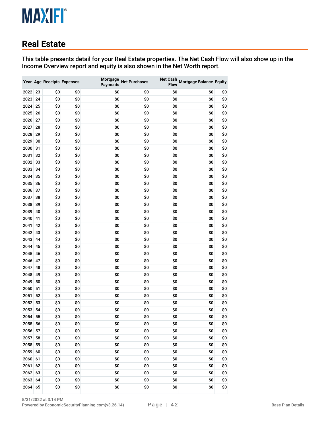#### **Real Estate**

This table presents detail for your Real Estate properties. The Net Cash Flow will also show up in the Income Overview report and equity is also shown in the Net Worth report.

|      |    |     | Year Age Receipts Expenses | Mortgage<br><b>Payments</b> | <b>Net Purchases</b> | <b>Net Cash</b><br><b>Flow</b> | <b>Mortgage Balance Equity</b> |     |
|------|----|-----|----------------------------|-----------------------------|----------------------|--------------------------------|--------------------------------|-----|
| 2022 | 23 | \$0 | \$0                        | \$0                         | \$0                  | \$0                            | \$0                            | \$0 |
| 2023 | 24 | \$0 | \$0                        | \$0                         | \$0                  | \$0                            | \$0                            | \$0 |
| 2024 | 25 | \$0 | \$0                        | \$0                         | \$0                  | \$0                            | \$0                            | \$0 |
| 2025 | 26 | \$0 | \$0                        | \$0                         | \$0                  | \$0                            | \$0                            | \$0 |
| 2026 | 27 | \$0 | \$0                        | \$0                         | \$0                  | \$0                            | \$0                            | \$0 |
| 2027 | 28 | \$0 | \$0                        | \$0                         | \$0                  | \$0                            | \$0                            | \$0 |
| 2028 | 29 | \$0 | \$0                        | \$0                         | \$0                  | \$0                            | \$0                            | \$0 |
| 2029 | 30 | \$0 | \$0                        | \$0                         | \$0                  | \$0                            | \$0                            | \$0 |
| 2030 | 31 | \$0 | \$0                        | \$0                         | \$0                  | \$0                            | \$0                            | \$0 |
| 2031 | 32 | \$0 | \$0                        | \$0                         | \$0                  | \$0                            | \$0                            | \$0 |
| 2032 | 33 | \$0 | \$0                        | \$0                         | \$0                  | \$0                            | \$0                            | \$0 |
| 2033 | 34 | \$0 | \$0                        | \$0                         | \$0                  | \$0                            | \$0                            | \$0 |
| 2034 | 35 | \$0 | \$0                        | \$0                         | \$0                  | \$0                            | \$0                            | \$0 |
| 2035 | 36 | \$0 | \$0                        | \$0                         | \$0                  | \$0                            | \$0                            | \$0 |
| 2036 | 37 | \$0 | \$0                        | \$0                         | \$0                  | \$0                            | \$0                            | \$0 |
| 2037 | 38 | \$0 | \$0                        | \$0                         | \$0                  | \$0                            | \$0                            | \$0 |
| 2038 | 39 | \$0 | \$0                        | \$0                         | \$0                  | \$0                            | \$0                            | \$0 |
| 2039 | 40 | \$0 | \$0                        | \$0                         | \$0                  | \$0                            | \$0                            | \$0 |
| 2040 | 41 | \$0 | \$0                        | \$0                         | \$0                  | \$0                            | \$0                            | \$0 |
| 2041 | 42 | \$0 | \$0                        | \$0                         | \$0                  | \$0                            | \$0                            | \$0 |
| 2042 | 43 | \$0 | \$0                        | \$0                         | \$0                  | \$0                            | \$0                            | \$0 |
| 2043 | 44 | \$0 | \$0                        | \$0                         | \$0                  | \$0                            | \$0                            | \$0 |
| 2044 | 45 | \$0 | \$0                        | \$0                         | \$0                  | \$0                            | \$0                            | \$0 |
| 2045 | 46 | \$0 | \$0                        | \$0                         | \$0                  | \$0                            | \$0                            | \$0 |
| 2046 | 47 | \$0 | \$0                        | \$0                         | \$0                  | \$0                            | \$0                            | \$0 |
| 2047 | 48 | \$0 | \$0                        | \$0                         | \$0                  | \$0                            | \$0                            | \$0 |
| 2048 | 49 | \$0 | \$0                        | \$0                         | \$0                  | \$0                            | \$0                            | \$0 |
| 2049 | 50 | \$0 | \$0                        | \$0                         | \$0                  | \$0                            | \$0                            | \$0 |
| 2050 | 51 | \$0 | \$0                        | \$0                         | \$0                  | \$0                            | \$0                            | \$0 |
| 2051 | 52 | \$0 | \$0                        | \$0                         | \$0                  | \$0                            | \$0                            | \$0 |
| 2052 | 53 | \$0 | \$0                        | \$0                         | \$0                  | \$0                            | \$0                            | \$0 |
| 2053 | 54 | \$0 | \$0                        | \$0                         | \$0                  | \$0                            | \$0                            | \$0 |
| 2054 | 55 | \$0 | \$0                        | \$0                         | \$0                  | \$0                            | \$0                            | \$0 |
| 2055 | 56 | \$0 | \$0                        | \$0                         | \$0                  | \$0                            | \$0                            | \$0 |
| 2056 | 57 | \$0 | \$0                        | \$0                         | \$0                  | \$0                            | \$0                            | \$0 |
| 2057 | 58 | \$0 | \$0                        | \$0                         | \$0                  | \$0                            | \$0                            | \$0 |
| 2058 | 59 | \$0 | \$0                        | \$0                         | \$0                  | \$0                            | \$0                            | \$0 |
| 2059 | 60 | \$0 | \$0                        | \$0                         | \$0                  | \$0                            | \$0                            | \$0 |
| 2060 | 61 | \$0 | \$0                        | \$0                         | \$0                  | \$0                            | \$0                            | \$0 |
| 2061 | 62 | \$0 | \$0                        | \$0                         | \$0                  | \$0                            | \$0                            | \$0 |
| 2062 | 63 | \$0 | \$0                        | \$0                         | \$0                  | \$0                            | \$0                            | \$0 |
| 2063 | 64 | \$0 | \$0                        | \$0                         | \$0                  | \$0                            | \$0                            | \$0 |
| 2064 | 65 | \$0 | \$0                        | \$0                         | \$0                  | \$0                            | \$0                            | \$0 |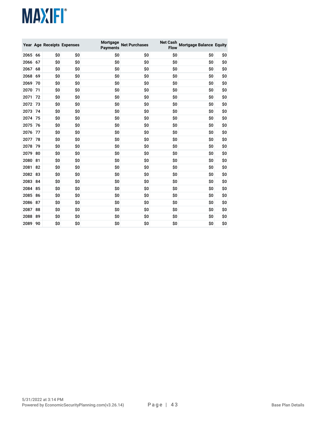|      |    |     | Year Age Receipts Expenses | Mortgage<br>Payments | <b>Net Purchases</b> | <b>Net Cash</b><br><b>Flow</b> | <b>Mortgage Balance Equity</b> |     |
|------|----|-----|----------------------------|----------------------|----------------------|--------------------------------|--------------------------------|-----|
| 2065 | 66 | \$0 | \$0                        | \$0                  | \$0                  | \$0                            | \$0                            | \$0 |
| 2066 | 67 | \$0 | \$0                        | \$0                  | \$0                  | \$0                            | \$O                            | \$0 |
| 2067 | 68 | \$0 | \$0                        | \$0                  | \$0                  | \$0                            | \$0                            | \$0 |
| 2068 | 69 | \$0 | \$0                        | \$0                  | \$0                  | \$0                            | \$0                            | \$0 |
| 2069 | 70 | \$0 | \$0                        | \$0                  | \$0                  | \$0                            | \$0                            | \$0 |
| 2070 | 71 | \$0 | \$0                        | \$0                  | \$0                  | \$0                            | \$O                            | \$0 |
| 2071 | 72 | \$0 | \$0                        | \$0                  | \$0                  | \$0                            | \$0                            | \$0 |
| 2072 | 73 | \$0 | \$0                        | \$0                  | \$0                  | \$0                            | \$0                            | \$0 |
| 2073 | 74 | \$0 | \$0                        | \$0                  | \$0                  | \$0                            | \$0                            | \$0 |
| 2074 | 75 | \$0 | \$0                        | \$0                  | \$0                  | \$0                            | \$0                            | \$0 |
| 2075 | 76 | \$0 | \$0                        | \$0                  | \$0                  | \$0                            | \$O                            | \$0 |
| 2076 | 77 | \$0 | \$0                        | \$0                  | \$0                  | \$0                            | \$O                            | \$0 |
| 2077 | 78 | \$0 | \$0                        | \$0                  | \$0                  | \$0                            | \$O                            | \$0 |
| 2078 | 79 | \$0 | \$0                        | \$0                  | \$0                  | \$0                            | \$O                            | \$0 |
| 2079 | 80 | \$0 | \$0                        | \$0                  | \$0                  | \$0                            | \$0                            | \$0 |
| 2080 | 81 | \$0 | \$0                        | \$0                  | \$0                  | \$0                            | \$O                            | \$0 |
| 2081 | 82 | \$0 | \$0                        | \$0                  | \$0                  | \$0                            | \$0                            | \$0 |
| 2082 | 83 | \$0 | \$0                        | \$0                  | \$0                  | \$0                            | \$0                            | \$0 |
| 2083 | 84 | \$0 | \$0                        | \$0                  | \$0                  | \$0                            | \$O                            | \$0 |
| 2084 | 85 | \$0 | \$0                        | \$0                  | \$0                  | \$0                            | \$0                            | \$0 |
| 2085 | 86 | \$0 | \$0                        | \$0                  | \$0                  | \$0                            | \$0                            | \$0 |
| 2086 | 87 | \$0 | \$0                        | \$0                  | \$0                  | \$0                            | \$0                            | \$0 |
| 2087 | 88 | \$0 | \$0                        | \$0                  | \$0                  | \$0                            | \$O                            | \$0 |
| 2088 | 89 | \$0 | \$0                        | \$0                  | \$0                  | \$0                            | \$0                            | \$0 |
| 2089 | 90 | \$0 | \$0                        | \$0                  | \$0                  | \$0                            | \$0                            | \$0 |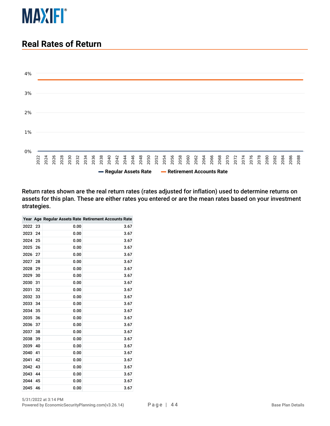

#### **Real Rates of Return**



Return rates shown are the real return rates (rates adjusted for inflation) used to determine returns on assets for this plan. These are either rates you entered or are the mean rates based on your investment strategies.

|      |    |      | Year Age Regular Assets Rate Retirement Accounts Rate |
|------|----|------|-------------------------------------------------------|
| 2022 | 23 | 0.00 | 3.67                                                  |
| 2023 | 24 | 0.00 | 3.67                                                  |
| 2024 | 25 | 0.00 | 3.67                                                  |
| 2025 | 26 | 0.00 | 3.67                                                  |
| 2026 | 27 | 0.00 | 3.67                                                  |
| 2027 | 28 | 0.00 | 3.67                                                  |
| 2028 | 29 | 0.00 | 3.67                                                  |
| 2029 | 30 | 0.00 | 3.67                                                  |
| 2030 | 31 | 0.00 | 3.67                                                  |
| 2031 | 32 | 0.00 | 3.67                                                  |
| 2032 | 33 | 0.00 | 3.67                                                  |
| 2033 | 34 | 0.00 | 3.67                                                  |
| 2034 | 35 | 0.00 | 3.67                                                  |
| 2035 | 36 | 0.00 | 3.67                                                  |
| 2036 | 37 | 0.00 | 3.67                                                  |
| 2037 | 38 | 0.00 | 3.67                                                  |
| 2038 | 39 | 0.00 | 3.67                                                  |
| 2039 | 40 | 0.00 | 3.67                                                  |
| 2040 | 41 | 0.00 | 3.67                                                  |
| 2041 | 42 | 0.00 | 3.67                                                  |
| 2042 | 43 | 0.00 | 3.67                                                  |
| 2043 | 44 | 0.00 | 3.67                                                  |
| 2044 | 45 | 0.00 | 3.67                                                  |
| 2045 | 46 | 0.00 | 3.67                                                  |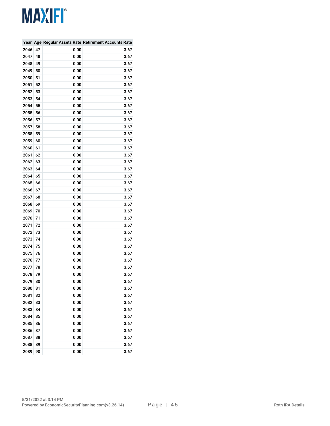|      |    |      | Year Age Regular Assets Rate Retirement Accounts Rate |
|------|----|------|-------------------------------------------------------|
| 2046 | 47 | 0.00 | 3.67                                                  |
| 2047 | 48 | 0.00 | 3.67                                                  |
| 2048 | 49 | 0.00 | 3.67                                                  |
| 2049 | 50 | 0.00 | 3.67                                                  |
| 2050 | 51 | 0.00 | 3.67                                                  |
| 2051 | 52 | 0.00 | 3.67                                                  |
| 2052 | 53 | 0.00 | 3.67                                                  |
| 2053 | 54 | 0.00 | 3.67                                                  |
| 2054 | 55 | 0.00 | 3.67                                                  |
| 2055 | 56 | 0.00 | 3.67                                                  |
| 2056 | 57 | 0.00 | 3.67                                                  |
| 2057 | 58 | 0.00 | 3.67                                                  |
| 2058 | 59 | 0.00 | 3.67                                                  |
| 2059 | 60 | 0.00 | 3.67                                                  |
| 2060 | 61 | 0.00 | 3.67                                                  |
| 2061 | 62 | 0.00 | 3.67                                                  |
| 2062 | 63 | 0.00 | 3.67                                                  |
| 2063 | 64 | 0.00 | 3.67                                                  |
| 2064 | 65 | 0.00 | 3.67                                                  |
| 2065 | 66 | 0.00 | 3.67                                                  |
| 2066 | 67 | 0.00 | 3.67                                                  |
| 2067 | 68 | 0.00 | 3.67                                                  |
| 2068 | 69 | 0.00 | 3.67                                                  |
| 2069 | 70 | 0.00 | 3.67                                                  |
| 2070 | 71 | 0.00 | 3.67                                                  |
| 2071 | 72 | 0.00 | 3.67                                                  |
| 2072 | 73 | 0.00 | 3.67                                                  |
| 2073 | 74 | 0.00 | 3.67                                                  |
| 2074 | 75 | 0.00 | 3.67                                                  |
| 2075 | 76 | 0.00 | 3.67                                                  |
| 2076 | 77 | 0.00 | 3.67                                                  |
| 2077 | 78 | 0.00 | 3.67                                                  |
| 2078 | 79 | 0.00 | 3.67                                                  |
| 2079 | 80 | 0.00 | 3.67                                                  |
| 2080 | 81 | 0.00 | 3.67                                                  |
| 2081 | 82 | 0.00 | 3.67                                                  |
| 2082 | 83 | 0.00 | 3.67                                                  |
| 2083 | 84 | 0.00 | 3.67                                                  |
| 2084 | 85 | 0.00 | 3.67                                                  |
| 2085 | 86 | 0.00 | 3.67                                                  |
| 2086 | 87 | 0.00 | 3.67                                                  |
| 2087 | 88 | 0.00 | 3.67                                                  |
| 2088 | 89 | 0.00 | 3.67                                                  |
| 2089 | 90 | 0.00 | 3.67                                                  |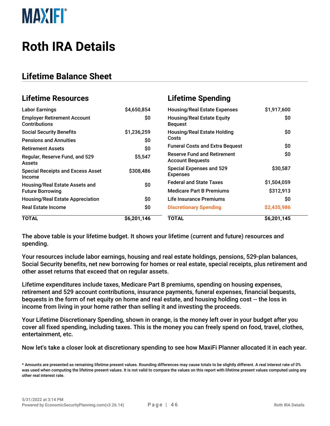

### **Roth IRA Details**

#### **Lifetime Balance Sheet**

| <b>Lifetime Resources</b>                                  |             | <b>Lifetime Spending</b>                                      |             |
|------------------------------------------------------------|-------------|---------------------------------------------------------------|-------------|
| <b>Labor Earnings</b>                                      | \$4,650,854 | <b>Housing/Real Estate Expenses</b>                           | \$1,917,600 |
| <b>Employer Retirement Account</b><br><b>Contributions</b> | \$0         | <b>Housing/Real Estate Equity</b><br><b>Bequest</b>           | \$0         |
| <b>Social Security Benefits</b>                            | \$1,236,259 | <b>Housing/Real Estate Holding</b>                            | \$0         |
| <b>Pensions and Annuities</b>                              | \$0         | Costs                                                         |             |
| <b>Retirement Assets</b>                                   | \$0         | <b>Funeral Costs and Extra Bequest</b>                        | \$0         |
| Regular, Reserve Fund, and 529<br><b>Assets</b>            | \$5,547     | <b>Reserve Fund and Retirement</b><br><b>Account Bequests</b> | \$0         |
| <b>Special Receipts and Excess Asset</b><br>Income         | \$308,486   | <b>Special Expenses and 529</b><br><b>Expenses</b>            | \$30,587    |
| Housing/Real Estate Assets and                             | \$0         | <b>Federal and State Taxes</b>                                | \$1,504,059 |
| <b>Future Borrowing</b>                                    |             | <b>Medicare Part B Premiums</b>                               | \$312,913   |
| <b>Housing/Real Estate Appreciation</b>                    | \$0         | Life Insurance Premiums                                       | \$0         |
| <b>Real Estate Income</b>                                  | \$0         | <b>Discretionary Spending</b>                                 | \$2,435,986 |
| <b>TOTAL</b>                                               | \$6,201,146 | TOTAL                                                         | \$6,201,145 |

The above table is your lifetime budget. It shows your lifetime (current and future) resources and spending.

Your resources include labor earnings, housing and real estate holdings, pensions, 529-plan balances, Social Security benefits, net new borrowing for homes or real estate, special receipts, plus retirement and other asset returns that exceed that on regular assets.

Lifetime expenditures include taxes, Medicare Part B premiums, spending on housing expenses, retirement and 529 account contributions, insurance payments, funeral expenses, financial bequests, bequests in the form of net equity on home and real estate, and housing holding cost -- the loss in income from living in your home rather than selling it and investing the proceeds.

Your Lifetime Discretionary Spending, shown in orange, is the money left over in your budget after you cover all fixed spending, including taxes. This is the money you can freely spend on food, travel, clothes, entertainment, etc.

Now let's take a closer look at discretionary spending to see how MaxiFi Planner allocated it in each year.

<sup>\*</sup> Amounts are presented as remaining lifetime present values. Rounding differences may cause totals to be slightly different. A real interest rate of 0% was used when computing the lifetime present values. It is not valid to compare the values on this report with lifetime present values computed using any other real interest rate.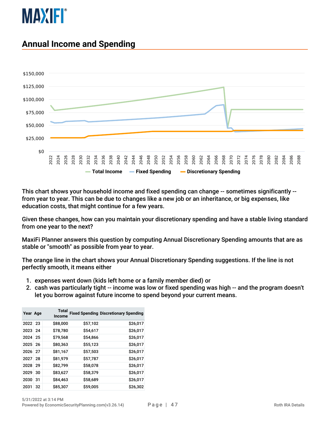

#### **Annual Income and Spending**



This chart shows your household income and fixed spending can change -- sometimes significantly - from year to year. This can be due to changes like a new job or an inheritance, or big expenses, like education costs, that might continue for a few years.

Given these changes, how can you maintain your discretionary spending and have a stable living standard from one year to the next?

MaxiFi Planner answers this question by computing Annual Discretionary Spending amounts that are as stable or "smooth" as possible from year to year.

The orange line in the chart shows your Annual Discretionary Spending suggestions. If the line is not perfectly smooth, it means either

- 1. expenses went down (kids left home or a family member died) or
- 2. cash was particularly tight -- income was low or fixed spending was high -- and the program doesn't let you borrow against future income to spend beyond your current means.

| Year Age |    | <b>Total</b><br>Income |          | <b>Fixed Spending Discretionary Spending</b> |
|----------|----|------------------------|----------|----------------------------------------------|
| 2022 23  |    | \$88,000               | \$57,102 | \$26,017                                     |
| 2023     | 24 | \$78,780               | \$54,617 | \$26,017                                     |
| 2024     | 25 | \$79,568               | \$54,866 | \$26,017                                     |
| 2025     | 26 | \$80,363               | \$55,123 | \$26,017                                     |
| 2026     | 27 | \$81,167               | \$57,503 | \$26,017                                     |
| 2027     | 28 | \$81,979               | \$57,787 | \$26,017                                     |
| 2028     | 29 | \$82,799               | \$58,078 | \$26,017                                     |
| 2029     | 30 | \$83,627               | \$58,379 | \$26,017                                     |
| 2030     | 31 | \$84,463               | \$58,689 | \$26,017                                     |
| 2031     | 32 | \$85,307               | \$59,005 | \$26,302                                     |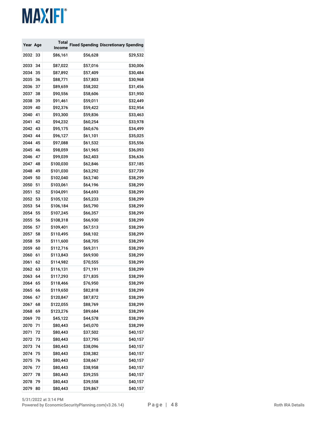| Year Age |    | Total         |          | <b>Fixed Spending Discretionary Spending</b> |
|----------|----|---------------|----------|----------------------------------------------|
|          |    | <b>Income</b> |          |                                              |
| 2032     | 33 | \$86,161      | \$56,628 | \$29,532                                     |
| 2033     | 34 | \$87,022      | \$57,016 | \$30,006                                     |
| 2034     | 35 | \$87,892      | \$57,409 | \$30,484                                     |
| 2035     | 36 | \$88,771      | \$57,803 | \$30,968                                     |
| 2036     | 37 | \$89,659      | \$58,202 | \$31,456                                     |
| 2037     | 38 | \$90,556      | \$58,606 | \$31,950                                     |
| 2038     | 39 | \$91,461      | \$59,011 | \$32,449                                     |
| 2039     | 40 | \$92,376      | \$59,422 | \$32,954                                     |
| 2040     | 41 | \$93,300      | \$59,836 | \$33,463                                     |
| 2041     | 42 | \$94,232      | \$60,254 | \$33,978                                     |
| 2042     | 43 | \$95,175      | \$60,676 | \$34,499                                     |
| 2043     | 44 | \$96,127      | \$61,101 | \$35,025                                     |
| 2044     | 45 | \$97,088      | \$61,532 | \$35,556                                     |
| 2045     | 46 | \$98,059      | \$61,965 | \$36,093                                     |
| 2046     | 47 | \$99,039      | \$62,403 | \$36,636                                     |
| 2047     | 48 | \$100,030     | \$62,846 | \$37,185                                     |
| 2048     | 49 | \$101,030     | \$63,292 | \$37,739                                     |
| 2049     | 50 | \$102,040     | \$63,740 | \$38,299                                     |
| 2050     | 51 | \$103,061     | \$64,196 | \$38,299                                     |
| 2051     | 52 | \$104,091     | \$64,693 | \$38,299                                     |
| 2052     | 53 | \$105,132     | \$65,233 | \$38,299                                     |
| 2053     | 54 | \$106,184     | \$65,790 | \$38,299                                     |
| 2054     | 55 | \$107,245     | \$66,357 | \$38,299                                     |
| 2055     | 56 | \$108,318     | \$66,930 | \$38,299                                     |
| 2056     | 57 | \$109,401     | \$67,513 | \$38,299                                     |
| 2057     | 58 | \$110,495     | \$68,102 | \$38,299                                     |
| 2058     | 59 | \$111,600     | \$68,705 | \$38,299                                     |
| 2059     | 60 | \$112,716     | \$69,311 | \$38,299                                     |
| 2060     | 61 | \$113,843     | \$69,930 | \$38,299                                     |
| 2061     | 62 | \$114,982     | \$70,555 | \$38,299                                     |
| 2062     | 63 | \$116,131     | \$71,191 | \$38,299                                     |
| 2063     | 64 | \$117,293     | \$71,835 | \$38,299                                     |
| 2064     | 65 | \$118,466     | \$76,950 | \$38,299                                     |
| 2065     | 66 | \$119,650     | \$82,818 | \$38,299                                     |
| 2066     | 67 | \$120,847     | \$87,872 | \$38,299                                     |
| 2067     | 68 | \$122,055     | \$88,769 | \$38,299                                     |
| 2068     | 69 | \$123,276     | \$89,684 | \$38,299                                     |
| 2069     | 70 | \$45,122      | \$44,578 | \$38,299                                     |
| 2070     | 71 | \$80,443      | \$45,070 | \$38,299                                     |
| 2071     | 72 | \$80,443      | \$37,502 | \$40,157                                     |
| 2072     | 73 | \$80,443      | \$37,795 | \$40,157                                     |
| 2073     | 74 | \$80,443      | \$38,096 | \$40,157                                     |
| 2074     | 75 | \$80,443      | \$38,382 | \$40,157                                     |
| 2075     | 76 | \$80,443      | \$38,667 | \$40,157                                     |
| 2076     | 77 | \$80,443      | \$38,958 | \$40,157                                     |
| 2077     | 78 | \$80,443      | \$39,255 | \$40,157                                     |
| 2078     | 79 | \$80,443      | \$39,558 | \$40,157                                     |
| 2079     | 80 | \$80,443      | \$39,867 | \$40,157                                     |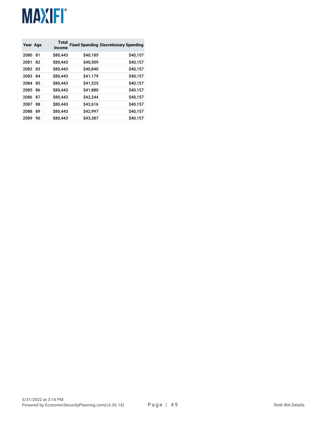| Year Age |    | <b>Total</b><br>Income |          | <b>Fixed Spending Discretionary Spending</b> |
|----------|----|------------------------|----------|----------------------------------------------|
| 2080     | 81 | \$80,443               | \$40,185 | \$40,157                                     |
| 2081     | 82 | \$80,443               | \$40,509 | \$40,157                                     |
| 2082     | 83 | \$80,443               | \$40,840 | \$40,157                                     |
| 2083     | 84 | \$80,443               | \$41,179 | \$40,157                                     |
| 2084     | 85 | \$80,443               | \$41,525 | \$40,157                                     |
| 2085     | 86 | \$80,443               | \$41,880 | \$40,157                                     |
| 2086     | 87 | \$80,443               | \$42,244 | \$40,157                                     |
| 2087     | 88 | \$80,443               | \$42.616 | \$40,157                                     |
| 2088     | 89 | \$80,443               | \$42,997 | \$40,157                                     |
| 2089     | 90 | \$80,443               | \$43,387 | \$40,157                                     |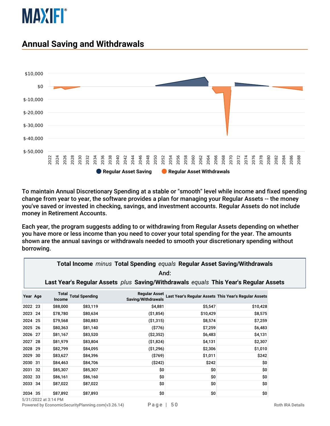

#### **Annual Saving and Withdrawals**



To maintain Annual Discretionary Spending at a stable or "smooth" level while income and fixed spending change from year to year, the software provides a plan for managing your Regular Assets -- the money you've saved or invested in checking, savings, and investment accounts. Regular Assets do not include money in Retirement Accounts.

Each year, the program suggests adding to or withdrawing from Regular Assets depending on whether you have more or less income than you need to cover your total spending for the year. The amounts shown are the annual savings or withdrawals needed to smooth your discretionary spending without borrowing.

|          | <b>Total Income <i>minus</i> Total Spending <i>equals</i> Regular Asset Saving/Withdrawals</b><br>And: |               |                             |                                                                                      |                                                       |          |  |  |  |  |
|----------|--------------------------------------------------------------------------------------------------------|---------------|-----------------------------|--------------------------------------------------------------------------------------|-------------------------------------------------------|----------|--|--|--|--|
|          |                                                                                                        |               |                             | Last Year's Regular Assets plus Saving/Withdrawals equals This Year's Regular Assets |                                                       |          |  |  |  |  |
| Year Age |                                                                                                        | <b>Income</b> | <b>Total Total Spending</b> | <b>Regular Asset</b><br>Saving/Withdrawals                                           | Last Year's Regular Assets This Year's Regular Assets |          |  |  |  |  |
| 2022     | 23                                                                                                     | \$88,000      | \$83,119                    | \$4,881                                                                              | \$5,547                                               | \$10,428 |  |  |  |  |
| 2023     | 24                                                                                                     | \$78,780      | \$80,634                    | ( \$1,854)                                                                           | \$10,429                                              | \$8,575  |  |  |  |  |
| 2024 25  |                                                                                                        | \$79,568      | \$80,883                    | ( \$1,315)                                                                           | \$8,574                                               | \$7,259  |  |  |  |  |
| 2025     | -26                                                                                                    | \$80,363      | \$81,140                    | ( \$776)                                                                             | \$7,259                                               | \$6,483  |  |  |  |  |
| 2026 27  |                                                                                                        | \$81,167      | \$83,520                    | (S2, 352)                                                                            | \$6,483                                               | \$4,131  |  |  |  |  |
| 2027     | 28                                                                                                     | \$81,979      | \$83,804                    | (S1, 824)                                                                            | \$4,131                                               | \$2,307  |  |  |  |  |
| 2028     | 29                                                                                                     | \$82,799      | \$84,095                    | ( \$1,296)                                                                           | \$2,306                                               | \$1,010  |  |  |  |  |
| 2029     | 30                                                                                                     | \$83,627      | \$84,396                    | ( \$769)                                                                             | \$1,011                                               | \$242    |  |  |  |  |
| 2030     | -31                                                                                                    | \$84,463      | \$84,706                    | (S242)                                                                               | \$242                                                 | \$0      |  |  |  |  |
| 2031 32  |                                                                                                        | \$85,307      | \$85,307                    | \$O                                                                                  | \$O                                                   | \$0      |  |  |  |  |
| 2032 33  |                                                                                                        | \$86,161      | \$86,160                    | \$O                                                                                  | \$0                                                   | \$0      |  |  |  |  |
| 2033 34  |                                                                                                        | \$87,022      | \$87,022                    | \$0                                                                                  | \$0                                                   | \$0      |  |  |  |  |
| 2034 35  |                                                                                                        | \$87,892      | \$87,893                    | \$O                                                                                  | \$0                                                   | \$0      |  |  |  |  |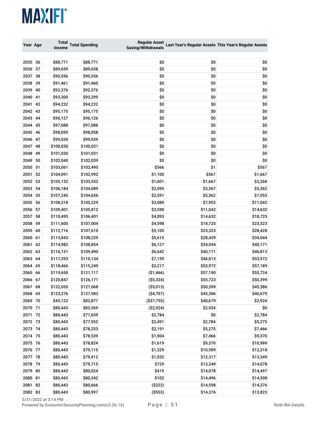| Year Age |    | Total     | <b>Total Spending</b> | <b>Regular Asset</b> |          | Last Year's Regular Assets This Year's Regular Assets |
|----------|----|-----------|-----------------------|----------------------|----------|-------------------------------------------------------|
|          |    | Income    |                       | Saving/Withdrawals   |          |                                                       |
| 2035     | 36 | \$88,771  | \$88,771              | \$0                  | \$0      | \$0                                                   |
| 2036     | 37 | \$89,659  | \$89,658              | \$0                  | \$0      | \$0                                                   |
| 2037     | 38 | \$90,556  | \$90,556              | \$0                  | \$0      | \$0                                                   |
| 2038     | 39 | \$91,461  | \$91,460              | \$0                  | \$0      | \$0                                                   |
| 2039     | 40 | \$92,376  | \$92,376              | \$0                  | \$0      | \$0                                                   |
| 2040     | 41 | \$93,300  | \$93,299              | \$0                  | \$0      | \$0                                                   |
| 2041     | 42 | \$94,232  | \$94,232              | \$0                  | \$0      | \$0                                                   |
| 2042     | 43 | \$95,175  | \$95,175              | \$0                  | \$0      | \$0                                                   |
| 2043     | 44 | \$96,127  | \$96,126              | \$0                  | \$0      | \$0                                                   |
| 2044     | 45 | \$97,088  | \$97,088              | \$0                  | \$0      | \$0                                                   |
| 2045     | 46 | \$98,059  | \$98,058              | \$0                  | \$0      | \$0                                                   |
| 2046     | 47 | \$99,039  | \$99,039              | \$0                  | \$0      | \$0                                                   |
| 2047     | 48 | \$100,030 | \$100,031             | \$0                  | \$0      | \$0                                                   |
| 2048     | 49 | \$101,030 | \$101,031             | \$0                  | \$0      | \$0                                                   |
| 2049     | 50 | \$102,040 | \$102,039             | \$0                  | \$0      | \$0                                                   |
| 2050 51  |    | \$103,061 | \$102,495             | \$566                | \$1      | \$567                                                 |
| 2051     | 52 | \$104,091 | \$102,992             | \$1,100              | \$567    | \$1,667                                               |
| 2052     | 53 | \$105,132 | \$103,532             | \$1,601              | \$1,667  | \$3,268                                               |
| 2053     | 54 | \$106,184 | \$104,089             | \$2,095              | \$3,267  | \$5,362                                               |
| 2054     | 55 | \$107,245 | \$104,656             | \$2,591              | \$5,362  | \$7,953                                               |
| 2055     | 56 | \$108,318 | \$105,229             | \$3,089              | \$7,953  | \$11,042                                              |
| 2056     | 57 | \$109,401 | \$105,812             | \$3,590              | \$11,042 | \$14,632                                              |
| 2057     | 58 | \$110,495 | \$106,401             | \$4,093              | \$14,632 | \$18,725                                              |
| 2058     | 59 | \$111,600 | \$107,004             | \$4,598              | \$18,725 | \$23,323                                              |
| 2059     | 60 | \$112,716 | \$107,610             | \$5,105              | \$23,323 | \$28,428                                              |
| 2060     | 61 | \$113,843 | \$108,229             | \$5,615              | \$28,429 | \$34,044                                              |
| 2061     | 62 | \$114,982 | \$108,854             | \$6,127              | \$34,044 | \$40,171                                              |
| 2062     | 63 | \$116,131 | \$109,490             | \$6,642              | \$40,171 | \$46,813                                              |
| 2063     | 64 | \$117,293 | \$110,134             | \$7,159              | \$46,813 | \$53,972                                              |
| 2064     | 65 | \$118,466 | \$115,249             | \$3,217              | \$53,972 | \$57,189                                              |
| 2065 66  |    | \$119,650 | \$121,117             | (\$1,466)            | \$57,190 | \$55,724                                              |
| 2066     | 67 | \$120,847 | \$126,171             | ( \$5,324)           | \$55,723 | \$50,399                                              |
| 2067 68  |    | \$122,055 | \$127,068             | ( \$5,013)           | \$50,399 | \$45,386                                              |
| 2068 69  |    | \$123,276 | \$127,983             | ( \$4,707)           | \$45,386 | \$40,679                                              |
| 2069 70  |    | \$45,122  | \$82,877              | ( \$37,755)          | \$40,679 | \$2,924                                               |
| 2070 71  |    | \$80,443  | \$83,369              | (\$2,924)            | \$2,924  | \$0                                                   |
| 2071 72  |    | \$80,443  | \$77,659              | \$2,784              | \$0      | \$2,784                                               |
| 2072 73  |    | \$80,443  | \$77,952              | \$2,491              | \$2,784  | \$5,275                                               |
| 2073 74  |    | \$80,443  | \$78,253              | \$2,191              | \$5,275  | \$7,466                                               |
| 2074 75  |    | \$80,443  | \$78,539              | \$1,904              | \$7,466  | \$9,370                                               |
| 2075 76  |    | \$80,443  | \$78,824              | \$1,619              | \$9,370  | \$10,989                                              |
| 2076 77  |    | \$80,443  | \$79,115              | \$1,329              | \$10,989 | \$12,318                                              |
| 2077 78  |    | \$80,443  | \$79,412              | \$1,032              | \$12,317 | \$13,349                                              |
| 2078 79  |    | \$80,443  | \$79,715              | \$729                | \$13,349 | \$14,078                                              |
| 2079 80  |    | \$80,443  | \$80,024              | \$419                | \$14,078 | \$14,497                                              |
| 2080 81  |    | \$80,443  | \$80,342              | \$102                | \$14,496 | \$14,598                                              |
| 2081     | 82 | \$80,443  | \$80,666              | (\$222)              | \$14,598 | \$14,376                                              |
| 2082 83  |    | \$80,443  | \$80,997              | ( \$553)             | \$14,376 | \$13,823                                              |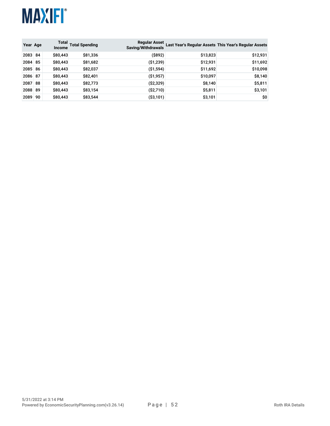

| Year Age |    | <b>Income</b> | Total Total Spending | <b>Regular Asset</b><br>Saving/Withdrawals |          | Last Year's Regular Assets This Year's Regular Assets |
|----------|----|---------------|----------------------|--------------------------------------------|----------|-------------------------------------------------------|
| 2083 84  |    | \$80,443      | \$81,336             | (S892)                                     | \$13,823 | \$12,931                                              |
| 2084 85  |    | \$80,443      | \$81,682             | ( \$1,239)                                 | \$12,931 | \$11,692                                              |
| 2085 86  |    | \$80,443      | \$82,037             | ( \$1,594)                                 | \$11,692 | \$10,098                                              |
| 2086 87  |    | \$80,443      | \$82,401             | ( \$1,957)                                 | \$10,097 | \$8,140                                               |
| 2087 88  |    | \$80,443      | \$82,773             | ( \$2,329)                                 | \$8,140  | \$5,811                                               |
| 2088 89  |    | \$80,443      | \$83,154             | (\$2,710)                                  | \$5,811  | \$3,101                                               |
| 2089     | 90 | \$80,443      | \$83,544             | ( \$3,101)                                 | \$3,101  | \$0                                                   |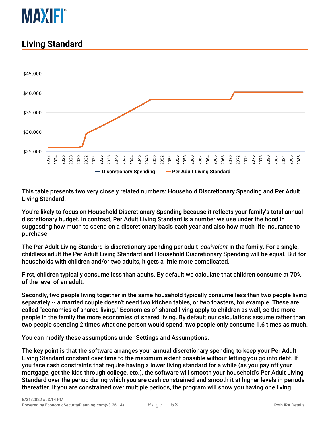

#### **Living Standard**



This table presents two very closely related numbers: Household Discretionary Spending and Per Adult Living Standard.

You're likely to focus on Household Discretionary Spending because it reflects your family's total annual discretionary budget. In contrast, Per Adult Living Standard is a number we use under the hood in suggesting how much to spend on a discretionary basis each year and also how much life insurance to purchase.

The Per Adult Living Standard is discretionary spending per adult *equivalent* in the family. For a single, childless adult the Per Adult Living Standard and Household Discretionary Spending will be equal. But for households with children and/or two adults, it gets a little more complicated.

First, children typically consume less than adults. By default we calculate that children consume at 70% of the level of an adult.

Secondly, two people living together in the same household typically consume less than two people living separately -- a married couple doesn't need two kitchen tables, or two toasters, for example. These are called "economies of shared living." Economies of shared living apply to children as well, so the more people in the family the more economies of shared living. By default our calculations assume rather than two people spending 2 times what one person would spend, two people only consume 1.6 times as much.

You can modify these assumptions under Settings and Assumptions.

The key point is that the software arranges your annual discretionary spending to keep your Per Adult Living Standard constant over time to the maximum extent possible without letting you go into debt. If you face cash constraints that require having a lower living standard for a while (as you pay off your mortgage, get the kids through college, etc.), the software will smooth your household's Per Adult Living Standard over the period during which you are cash constrained and smooth it at higher levels in periods thereafter. If you are constrained over multiple periods, the program will show you having one living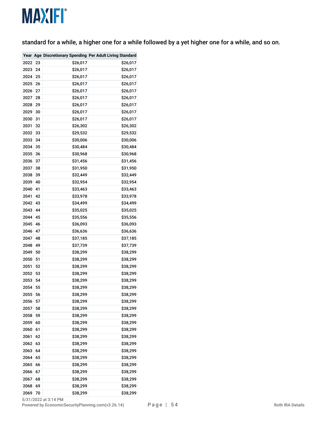standard for a while, a higher one for a while followed by a yet higher one for a while, and so on.

|      |    |          | Year Age Discretionary Spending Per Adult Living Standard |
|------|----|----------|-----------------------------------------------------------|
| 2022 | 23 | \$26,017 | \$26,017                                                  |
| 2023 | 24 | \$26,017 | \$26,017                                                  |
| 2024 | 25 | \$26,017 | \$26,017                                                  |
| 2025 | 26 | \$26,017 | \$26,017                                                  |
| 2026 | 27 | \$26,017 | \$26,017                                                  |
| 2027 | 28 | \$26,017 | \$26,017                                                  |
| 2028 | 29 | \$26,017 | \$26,017                                                  |
| 2029 | 30 | \$26,017 | \$26,017                                                  |
| 2030 | 31 | \$26,017 | \$26,017                                                  |
| 2031 | 32 | \$26,302 | \$26,302                                                  |
| 2032 | 33 | \$29,532 | \$29,532                                                  |
| 2033 | 34 | \$30,006 | \$30,006                                                  |
| 2034 | 35 | \$30,484 | \$30,484                                                  |
| 2035 | 36 | \$30,968 | \$30,968                                                  |
| 2036 | 37 | \$31,456 | \$31,456                                                  |
| 2037 | 38 | \$31,950 | \$31,950                                                  |
| 2038 | 39 | \$32,449 | \$32,449                                                  |
| 2039 | 40 | \$32,954 | \$32,954                                                  |
| 2040 | 41 | \$33,463 | \$33,463                                                  |
| 2041 | 42 | \$33,978 | \$33,978                                                  |
| 2042 | 43 | \$34,499 | \$34,499                                                  |
| 2043 | 44 | \$35,025 | \$35,025                                                  |
| 2044 | 45 | \$35,556 | \$35,556                                                  |
| 2045 | 46 | \$36,093 | \$36,093                                                  |
| 2046 | 47 | \$36,636 | \$36,636                                                  |
| 2047 | 48 | \$37,185 | \$37,185                                                  |
| 2048 | 49 | \$37,739 | \$37,739                                                  |
| 2049 | 50 | \$38,299 | \$38,299                                                  |
| 2050 | 51 | \$38,299 | \$38,299                                                  |
| 2051 | 52 | \$38,299 | \$38,299                                                  |
| 2052 | 53 | \$38,299 | \$38,299                                                  |
| 2053 | 54 | \$38,299 | \$38,299                                                  |
| 2054 | 55 | \$38,299 | \$38,299                                                  |
| 2055 | 56 | \$38,299 | \$38,299                                                  |
| 2056 | 57 | \$38,299 | \$38,299                                                  |
| 2057 | 58 | \$38,299 | \$38,299                                                  |
| 2058 | 59 | \$38,299 | \$38,299                                                  |
| 2059 | 60 | \$38,299 | \$38,299                                                  |
| 2060 | 61 | \$38,299 | \$38,299                                                  |
| 2061 | 62 | \$38,299 | \$38,299                                                  |
| 2062 | 63 | \$38,299 | \$38,299                                                  |
| 2063 | 64 | \$38,299 | \$38,299                                                  |
| 2064 | 65 | \$38,299 | \$38,299                                                  |
| 2065 | 66 | \$38,299 | \$38,299                                                  |
| 2066 | 67 | \$38,299 | \$38,299                                                  |
| 2067 | 68 | \$38,299 | \$38,299                                                  |
| 2068 | 69 | \$38,299 | \$38,299                                                  |
| 2069 | 70 | \$38,299 | \$38,299                                                  |
|      |    |          |                                                           |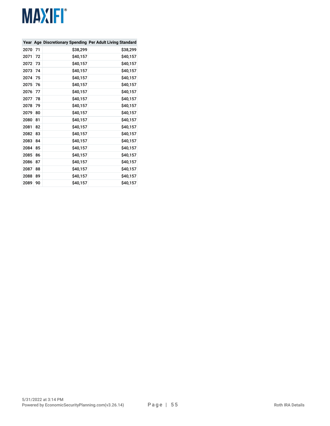|      |    |          | Year Age Discretionary Spending Per Adult Living Standard |
|------|----|----------|-----------------------------------------------------------|
| 2070 | 71 | \$38,299 | \$38,299                                                  |
| 2071 | 72 | \$40,157 | \$40,157                                                  |
| 2072 | 73 | \$40,157 | \$40,157                                                  |
| 2073 | 74 | \$40,157 | \$40,157                                                  |
| 2074 | 75 | \$40,157 | \$40,157                                                  |
| 2075 | 76 | \$40,157 | \$40,157                                                  |
| 2076 | 77 | \$40,157 | \$40,157                                                  |
| 2077 | 78 | \$40,157 | \$40,157                                                  |
| 2078 | 79 | \$40,157 | \$40,157                                                  |
| 2079 | 80 | \$40,157 | \$40,157                                                  |
| 2080 | 81 | \$40,157 | \$40,157                                                  |
| 2081 | 82 | \$40,157 | \$40,157                                                  |
| 2082 | 83 | \$40,157 | \$40,157                                                  |
| 2083 | 84 | \$40,157 | \$40,157                                                  |
| 2084 | 85 | \$40,157 | \$40,157                                                  |
| 2085 | 86 | \$40,157 | \$40,157                                                  |
| 2086 | 87 | \$40,157 | \$40,157                                                  |
| 2087 | 88 | \$40,157 | \$40,157                                                  |
| 2088 | 89 | \$40,157 | \$40,157                                                  |
| 2089 | 90 | \$40,157 | \$40,157                                                  |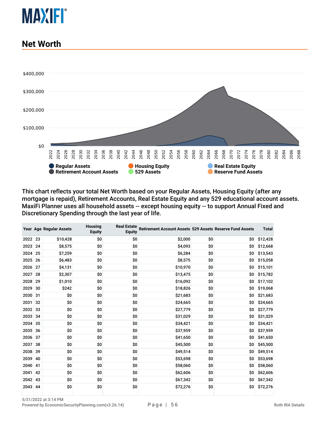

#### **Net Worth**



This chart reflects your total Net Worth based on your Regular Assets, Housing Equity (after any mortgage is repaid), Retirement Accounts, Real Estate Equity and any 529 educational account assets. MaxiFi Planner uses all household assets -- except housing equity -- to support Annual Fixed and Discretionary Spending through the last year of life.

|         |    | Year Age Regular Assets | <b>Housing</b><br><b>Equity</b> | <b>Real Estate</b><br><b>Equity</b> | Retirement Account Assets 529 Assets Reserve Fund Assets |     |     | <b>Total</b> |
|---------|----|-------------------------|---------------------------------|-------------------------------------|----------------------------------------------------------|-----|-----|--------------|
| 2022 23 |    | \$10,428                | \$0                             | \$0                                 | \$2,000                                                  | \$0 | \$0 | \$12,428     |
| 2023    | 24 | \$8,575                 | \$0                             | \$0                                 | \$4,093                                                  | \$0 | \$0 | \$12,668     |
| 2024    | 25 | \$7,259                 | \$0                             | \$0                                 | \$6,284                                                  | \$0 | \$0 | \$13,543     |
| 2025    | 26 | \$6,483                 | \$0                             | \$0                                 | \$8,575                                                  | \$0 | \$0 | \$15,058     |
| 2026    | 27 | \$4,131                 | \$0                             | \$0                                 | \$10,970                                                 | \$0 | \$0 | \$15,101     |
| 2027    | 28 | \$2,307                 | \$0                             | \$0                                 | \$13,475                                                 | \$0 | \$0 | \$15,782     |
| 2028    | 29 | \$1,010                 | \$0                             | \$0                                 | \$16,092                                                 | \$0 | \$0 | \$17,102     |
| 2029    | 30 | \$242                   | \$0                             | \$0                                 | \$18,826                                                 | \$0 | \$0 | \$19,068     |
| 2030 31 |    | \$0                     | \$0                             | \$0                                 | \$21,683                                                 | \$0 | \$0 | \$21,683     |
| 2031    | 32 | \$0                     | \$0                             | \$0                                 | \$24,665                                                 | \$0 | \$0 | \$24,665     |
| 2032 33 |    | \$0                     | \$0                             | \$0                                 | \$27,779                                                 | \$0 | \$0 | \$27,779     |
| 2033    | 34 | \$0                     | \$0                             | \$0                                 | \$31,029                                                 | \$0 | \$0 | \$31,029     |
| 2034 35 |    | \$0                     | \$0                             | \$0                                 | \$34,421                                                 | \$0 | \$0 | \$34,421     |
| 2035    | 36 | \$0                     | \$0                             | \$0                                 | \$37,959                                                 | \$0 | \$0 | \$37,959     |
| 2036 37 |    | \$0                     | \$0                             | \$0                                 | \$41,650                                                 | \$0 | \$0 | \$41,650     |
| 2037    | 38 | \$0                     | \$0                             | \$0                                 | \$45,500                                                 | \$0 | \$0 | \$45,500     |
| 2038 39 |    | \$0                     | \$0                             | \$0                                 | \$49,514                                                 | \$0 | \$0 | \$49,514     |
| 2039    | 40 | \$0                     | \$0                             | \$0                                 | \$53,698                                                 | \$0 | \$0 | \$53,698     |
| 2040    | 41 | \$0                     | \$0                             | \$O                                 | \$58,060                                                 | \$0 | \$0 | \$58,060     |
| 2041    | 42 | \$0                     | \$0                             | \$0                                 | \$62,606                                                 | \$0 | \$0 | \$62,606     |
| 2042    | 43 | \$0                     | \$0                             | \$0                                 | \$67,342                                                 | \$0 | \$0 | \$67,342     |
| 2043 44 |    | \$0                     | \$0                             | \$0                                 | \$72,276                                                 | \$0 | \$0 | \$72,276     |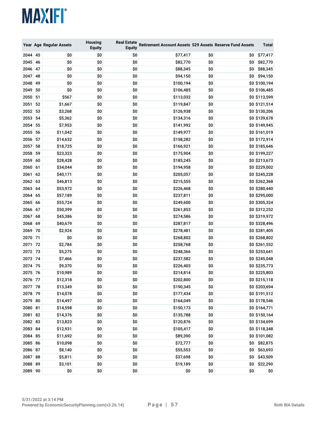|         |    | Year Age Regular Assets | <b>Housing</b><br><b>Equity</b> | <b>Real Estate</b><br><b>Equity</b> | Retirement Account Assets 529 Assets Reserve Fund Assets |     |      | Total         |
|---------|----|-------------------------|---------------------------------|-------------------------------------|----------------------------------------------------------|-----|------|---------------|
| 2044    | 45 | \$0                     | \$0                             | \$0                                 | \$77,417                                                 | \$0 | \$O. | \$77,417      |
| 2045 46 |    | \$0                     | \$0                             | \$0                                 | \$82,770                                                 | \$0 | \$0  | \$82,770      |
| 2046    | 47 | \$0                     | \$0                             | \$0                                 | \$88,345                                                 | \$0 | \$0  | \$88,345      |
| 2047    | 48 | \$0                     | \$0                             | \$0                                 | \$94,150                                                 | \$0 | \$0  | \$94,150      |
| 2048    | 49 | \$0                     | \$0                             | \$0                                 | \$100,194                                                | \$0 |      | \$0 \$100,194 |
| 2049    | 50 | \$0                     | \$0                             | \$0                                 | \$106,485                                                | \$0 |      | \$0 \$106,485 |
| 2050    | 51 | \$567                   | \$0                             | \$0                                 | \$113,032                                                | \$0 |      | \$0 \$113,599 |
| 2051    | 52 | \$1,667                 | \$0                             | \$0                                 | \$119,847                                                | \$0 |      | \$0 \$121,514 |
| 2052    | 53 | \$3,268                 | \$0                             | \$0                                 | \$126,938                                                | \$0 |      | \$0 \$130,206 |
| 2053    | 54 | \$5,362                 | \$0                             | \$0                                 | \$134,316                                                | \$0 |      | \$0 \$139,678 |
| 2054    | 55 | \$7,953                 | \$0                             | \$0                                 | \$141,992                                                | \$0 |      | \$0 \$149,945 |
| 2055    | 56 | \$11,042                | \$0                             | \$0                                 | \$149,977                                                | \$0 |      | \$0 \$161,019 |
| 2056    | 57 | \$14,632                | \$0                             | \$0                                 | \$158,282                                                | \$0 |      | \$0 \$172,914 |
| 2057    | 58 | \$18,725                | \$0                             | \$0                                 | \$166,921                                                | \$0 |      | \$0 \$185,646 |
| 2058    | 59 | \$23,323                | \$0                             | \$0                                 | \$175,904                                                | \$0 |      | \$0 \$199,227 |
| 2059    | 60 | \$28,428                | \$0                             | \$0                                 | \$185,245                                                | \$0 |      | \$0 \$213,673 |
| 2060    | 61 | \$34,044                | \$0                             | \$0                                 | \$194,958                                                | \$0 |      | \$0 \$229,002 |
| 2061    | 62 | \$40,171                | \$0                             | \$0                                 | \$205,057                                                | \$0 |      | \$0 \$245,228 |
| 2062    | 63 | \$46,813                | \$0                             | \$0                                 | \$215,555                                                | \$0 |      | \$0 \$262,368 |
| 2063    | 64 | \$53,972                | \$0                             | \$0                                 | \$226,468                                                | \$0 |      | \$0 \$280,440 |
| 2064    | 65 | \$57,189                | \$0                             | \$0                                 | \$237,811                                                | \$0 |      | \$0 \$295,000 |
| 2065    | 66 | \$55,724                | \$0                             | \$0                                 | \$249,600                                                | \$0 |      | \$0 \$305,324 |
| 2066    | 67 | \$50,399                | \$0                             | \$0                                 | \$261,853                                                | \$0 |      | \$0 \$312,252 |
| 2067    | 68 | \$45,386                | \$0                             | \$0                                 | \$274,586                                                | \$0 |      | \$0 \$319,972 |
| 2068    | 69 | \$40,679                | \$0                             | \$0                                 | \$287,817                                                | \$0 |      | \$0 \$328,496 |
| 2069 70 |    | \$2,924                 | \$0                             | \$0                                 | \$278,481                                                | \$0 |      | \$0 \$281,405 |
| 2070 71 |    | \$0                     | \$0                             | \$0                                 | \$268,802                                                | \$0 |      | \$0 \$268,802 |
| 2071    | 72 | \$2,784                 | \$0                             | \$0                                 | \$258,768                                                | \$0 |      | \$0 \$261,552 |
| 2072    | 73 | \$5,275                 | \$0                             | \$0                                 | \$248,366                                                | \$0 |      | \$0 \$253,641 |
| 2073    | 74 | \$7,466                 | \$0                             | \$0                                 | \$237,582                                                | \$0 |      | \$0 \$245,048 |
| 2074 75 |    | \$9,370                 | \$0                             | \$0                                 | \$226,403                                                | \$0 |      | \$0 \$235,773 |
| 2075 76 |    | \$10,989                | \$0                             | \$0                                 | \$214,814                                                | \$0 |      | \$0 \$225,803 |
| 2076 77 |    | \$12,318                | \$0                             | \$0                                 | \$202,800                                                | \$0 |      | \$0 \$215,118 |
| 2077 78 |    | \$13,349                | \$0                             | \$0                                 | \$190,345                                                | \$0 |      | \$0 \$203,694 |
| 2078 79 |    | \$14,078                | \$0                             | \$0                                 | \$177,434                                                | \$0 |      | \$0 \$191,512 |
| 2079 80 |    | \$14,497                | \$0                             | \$0                                 | \$164,049                                                | \$0 |      | \$0 \$178,546 |
| 2080 81 |    | \$14,598                | \$0                             | \$0                                 | \$150,173                                                | \$0 |      | \$0 \$164,771 |
| 2081 82 |    | \$14,376                | \$0                             | \$0                                 | \$135,788                                                | \$0 |      | \$0 \$150,164 |
| 2082 83 |    | \$13,823                | \$0                             | \$0                                 | \$120,876                                                | \$0 |      | \$0 \$134,699 |
| 2083 84 |    | \$12,931                | \$0                             | \$0                                 | \$105,417                                                | \$0 |      | \$0 \$118,348 |
| 2084 85 |    | \$11,692                | \$0                             | \$0                                 | \$89,390                                                 | \$0 |      | \$0 \$101,082 |
| 2085 86 |    | \$10,098                | \$0                             | \$0                                 | \$72,777                                                 | \$0 |      | \$0 \$82,875  |
| 2086 87 |    | \$8,140                 | \$0                             | \$0                                 | \$55,553                                                 | \$0 | \$0  | \$63,693      |
| 2087 88 |    | \$5,811                 | \$0                             | \$0                                 | \$37,698                                                 | \$0 | \$0  | \$43,509      |
| 2088 89 |    | \$3,101                 | \$0                             | \$0                                 | \$19,189                                                 | \$0 | \$0  | \$22,290      |
| 2089 90 |    | \$0                     | \$0                             | \$0                                 | \$0                                                      | \$0 | \$0  | \$0           |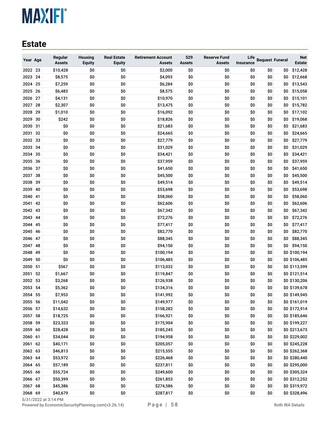#### **Estate**

| Year Age |    | Regular<br><b>Assets</b> | Housing<br><b>Equity</b> | <b>Real Estate</b><br><b>Equity</b> | <b>Retirement Account</b><br><b>Assets</b> | 529<br><b>Assets</b> | <b>Reserve Fund</b><br><b>Assets</b> | Life<br><b>Insurance</b> | <b>Bequest Funeral</b> |     | <b>Net</b><br>Estate |
|----------|----|--------------------------|--------------------------|-------------------------------------|--------------------------------------------|----------------------|--------------------------------------|--------------------------|------------------------|-----|----------------------|
| 2022 23  |    | \$10,428                 | \$0                      | \$0                                 | \$2,000                                    | \$0                  | \$0                                  | \$0                      | \$0                    | \$0 | \$12,428             |
| 2023     | 24 | \$8,575                  | \$0                      | \$0                                 | \$4,093                                    | \$0                  | \$0                                  | \$0                      | \$0                    | \$0 | \$12,668             |
| 2024     | 25 | \$7,259                  | \$0                      | \$0                                 | \$6,284                                    | \$0                  | \$0                                  | \$0                      | \$0                    | \$0 | \$13,543             |
| 2025     | 26 | \$6,483                  | \$0                      | \$0                                 | \$8,575                                    | \$0                  | \$0                                  | \$0                      | \$0                    | \$0 | \$15,058             |
| 2026     | 27 | \$4,131                  | \$0                      | \$0                                 | \$10,970                                   | \$0                  | \$0                                  | \$0                      | \$0                    | \$0 | \$15,101             |
| 2027     | 28 | \$2,307                  | \$0                      | \$0                                 | \$13,475                                   | \$0                  | \$0                                  | \$0                      | \$0                    | \$0 | \$15,782             |
| 2028     | 29 | \$1,010                  | \$0                      | \$0                                 | \$16,092                                   | \$0                  | \$0                                  | \$0                      | \$0                    | \$0 | \$17,102             |
| 2029     | 30 | \$242                    | \$0                      | \$0                                 | \$18,826                                   | \$0                  | \$0                                  | \$0                      | \$0                    | \$0 | \$19,068             |
| 2030     | 31 | \$0                      | \$0                      | \$0                                 | \$21,683                                   | \$0                  | \$0                                  | \$0                      | \$0                    | \$0 | \$21,683             |
| 2031     | 32 | \$0                      | \$0                      | \$0                                 | \$24,665                                   | \$0                  | \$0                                  | \$0                      | \$0                    | \$0 | \$24,665             |
| 2032     | 33 | \$0                      | \$0                      | \$0                                 | \$27,779                                   | \$0                  | \$0                                  | \$0                      | \$0                    | \$0 | \$27,779             |
| 2033     | 34 | \$0                      | \$0                      | \$0                                 | \$31,029                                   | \$0                  | \$0                                  | \$0                      | \$0                    | \$0 | \$31,029             |
| 2034     | 35 | \$0                      | \$0                      | \$0                                 | \$34,421                                   | \$0                  | \$0                                  | \$0                      | \$0                    | \$0 | \$34,421             |
| 2035     | 36 | \$0                      | \$0                      | \$0                                 | \$37,959                                   | \$0                  | \$0                                  | \$0                      | \$0                    | \$0 | \$37,959             |
| 2036     | 37 | \$0                      | \$0                      | \$0                                 | \$41,650                                   | \$0                  | \$0                                  | \$0                      | \$0                    | \$0 | \$41,650             |
| 2037     | 38 | \$0                      | \$0                      | \$0                                 | \$45,500                                   | \$0                  | \$0                                  | \$0                      | \$0                    | \$0 | \$45,500             |
| 2038     | 39 | \$0                      | \$0                      | \$0                                 | \$49,514                                   | \$0                  | \$0                                  | \$0                      | \$0                    | \$0 | \$49,514             |
| 2039     | 40 | \$0                      | \$0                      | \$0                                 | \$53,698                                   | \$0                  | \$0                                  | \$0                      | \$0                    | \$0 | \$53,698             |
| 2040     | 41 | \$0                      | \$0                      | \$0                                 | \$58,060                                   | \$0                  | \$0                                  | \$0                      | \$0                    | \$0 | \$58,060             |
| 2041     | 42 | \$0                      | \$0                      | \$0                                 | \$62,606                                   | \$0                  | \$0                                  | \$0                      | \$0                    | \$0 | \$62,606             |
| 2042     | 43 | \$0                      | \$0                      | \$0                                 | \$67,342                                   | \$0                  | \$0                                  | \$0                      | \$0                    | \$0 | \$67,342             |
| 2043     | 44 | \$0                      | \$0                      | \$0                                 | \$72,276                                   | \$0                  | \$0                                  | \$0                      | \$0                    | \$0 | \$72,276             |
| 2044     | 45 | \$0                      | \$0                      | \$0                                 | \$77,417                                   | \$0                  | \$0                                  | \$0                      | \$0                    | \$0 | \$77,417             |
| 2045     | 46 | \$0                      | \$0                      | \$0                                 | \$82,770                                   | \$0                  | \$0                                  | \$0                      | \$0                    | \$0 | \$82,770             |
| 2046     | 47 | \$0                      | \$0                      | \$0                                 | \$88,345                                   | \$0                  | \$0                                  | \$0                      | \$0                    | \$0 | \$88,345             |
| 2047     | 48 | \$0                      | \$0                      | \$0                                 | \$94,150                                   | \$0                  | \$0                                  | \$0                      | \$0                    | \$0 | \$94,150             |
| 2048     | 49 | \$0                      | \$0                      | \$0                                 | \$100,194                                  | \$0                  | \$0                                  | \$0                      | \$0                    |     | \$0 \$100,194        |
| 2049     | 50 | \$0                      | \$0                      | \$0                                 | \$106,485                                  | \$0                  | \$0                                  | \$0                      | \$0                    |     | \$0 \$106,485        |
| 2050     | 51 | \$567                    | \$0                      | \$0                                 | \$113,032                                  | \$0                  | \$0                                  | \$0                      | \$0                    |     | \$0 \$113,599        |
| 2051     | 52 | \$1,667                  | \$0                      | \$0                                 | \$119,847                                  | \$0                  | \$0                                  | \$0                      | \$0                    |     | \$0 \$121,514        |
| 2052     | 53 | \$3,268                  | \$0                      | \$0                                 | \$126,938                                  | \$0                  | \$0                                  | \$0                      | \$0                    |     | \$0 \$130,206        |
| 2053     | 54 | \$5,362                  | \$0                      | \$0                                 | \$134,316                                  | \$0                  | \$0                                  | \$0                      | \$0                    |     | \$0 \$139,678        |
| 2054     | 55 | \$7,953                  | \$0                      | \$0                                 | \$141,992                                  | \$0                  | \$0                                  | \$0                      | \$0                    |     | \$0 \$149,945        |
| 2055 56  |    | \$11,042                 | \$0                      | \$0                                 | \$149,977                                  | \$0                  | \$0                                  | \$0                      | \$0                    |     | \$0 \$161,019        |
| 2056 57  |    | \$14,632                 | \$0                      | \$0                                 | \$158,282                                  | \$0                  | \$0                                  | \$0                      | \$0                    |     | \$0 \$172,914        |
| 2057 58  |    | \$18,725                 | \$0                      | \$0                                 | \$166,921                                  | \$0                  | \$0                                  | \$0                      | \$0                    |     | \$0 \$185,646        |
| 2058 59  |    | \$23,323                 | \$0                      | \$0                                 | \$175,904                                  | \$0                  | \$0                                  | \$0                      | \$0                    |     | \$0 \$199,227        |
| 2059 60  |    | \$28,428                 | \$0                      | \$0                                 | \$185,245                                  | \$0                  | \$0                                  | \$0                      | \$0                    |     | \$0 \$213,673        |
| 2060 61  |    | \$34,044                 | \$0                      | \$0                                 | \$194,958                                  | \$0                  | \$0                                  | \$0                      | \$0                    |     | \$0 \$229,002        |
| 2061 62  |    | \$40,171                 | \$0                      | \$0                                 | \$205,057                                  | \$0                  | \$0                                  | \$0                      | \$0                    |     | \$0 \$245,228        |
| 2062 63  |    | \$46,813                 | \$0                      | \$0                                 | \$215,555                                  | \$0                  | \$0                                  | \$0                      | \$0                    |     | \$0 \$262,368        |
| 2063 64  |    | \$53,972                 | \$0                      | \$0                                 | \$226,468                                  | \$0                  | \$0                                  | \$0                      | \$0                    |     | \$0 \$280,440        |
| 2064 65  |    | \$57,189                 | \$0                      | \$0                                 | \$237,811                                  | \$0                  | \$0                                  | \$0                      | \$0                    |     | \$0 \$295,000        |
| 2065 66  |    | \$55,724                 | \$0                      | \$0                                 | \$249,600                                  | \$0                  | \$0                                  | \$0                      | \$0                    |     | \$0 \$305,324        |
| 2066 67  |    | \$50,399                 | \$0                      | \$0                                 | \$261,853                                  | \$0                  | \$0                                  | \$0                      | \$0                    |     | \$0 \$312,252        |
| 2067 68  |    | \$45,386                 | \$0                      | \$0                                 | \$274,586                                  | \$0                  | \$0                                  | \$0                      | \$0                    |     | \$0 \$319,972        |
| 2068 69  |    | \$40,679                 | \$0                      | \$0                                 | \$287,817                                  | \$0                  | \$0                                  | \$0                      | \$0                    |     | \$0 \$328,496        |

5/31/2022 at 3:14 PM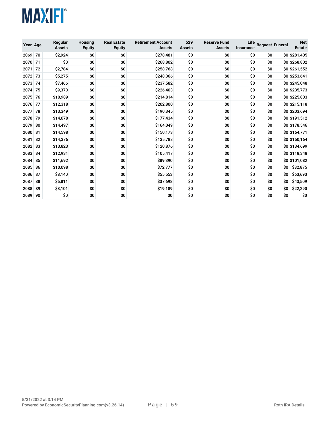

| Year Age |    | Regular<br><b>Assets</b> | <b>Housing</b><br><b>Equity</b> | <b>Real Estate</b><br><b>Equity</b> | <b>Retirement Account</b><br><b>Assets</b> | 529<br><b>Assets</b> | <b>Reserve Fund</b><br><b>Assets</b> | Life<br>Insurance | <b>Bequest Funeral</b> |     | <b>Net</b><br><b>Estate</b> |
|----------|----|--------------------------|---------------------------------|-------------------------------------|--------------------------------------------|----------------------|--------------------------------------|-------------------|------------------------|-----|-----------------------------|
| 2069     | 70 | \$2,924                  | \$0                             | \$0                                 | \$278,481                                  | \$0                  | \$0                                  | ŚO.               | \$O                    |     | \$0 \$281,405               |
| 2070     | 71 | \$0                      | \$0                             | \$0                                 | \$268,802                                  | \$0                  | \$0                                  | \$0               | \$O                    |     | \$0 \$268,802               |
| 2071     | 72 | \$2,784                  | \$0                             | \$0                                 | \$258,768                                  | \$0                  | \$0                                  | \$0               | \$O                    |     | \$0 \$261,552               |
| 2072     | 73 | \$5,275                  | \$0                             | \$0                                 | \$248,366                                  | \$0                  | \$0                                  | \$0               | \$O                    |     | \$0 \$253,641               |
| 2073     | 74 | \$7,466                  | \$0                             | \$0                                 | \$237,582                                  | \$0                  | \$0                                  | \$0               | \$0                    |     | \$0 \$245,048               |
| 2074     | 75 | \$9,370                  | \$0                             | \$0                                 | \$226,403                                  | \$0                  | \$0                                  | \$0               | \$O                    |     | \$0 \$235,773               |
| 2075     | 76 | \$10,989                 | \$0                             | \$0                                 | \$214,814                                  | \$0                  | \$0                                  | \$0               | \$0                    |     | \$0 \$225,803               |
| 2076     | 77 | \$12,318                 | \$0                             | \$0                                 | \$202,800                                  | \$0                  | \$0                                  | \$0               | \$O                    |     | \$0 \$215,118               |
| 2077     | 78 | \$13,349                 | \$0                             | \$0                                 | \$190,345                                  | \$0                  | \$0                                  | \$0               | \$O                    |     | \$0 \$203,694               |
| 2078     | 79 | \$14,078                 | \$0                             | \$0                                 | \$177,434                                  | \$0                  | \$0                                  | \$0               | \$0                    |     | \$0 \$191,512               |
| 2079     | 80 | \$14,497                 | \$0                             | \$0                                 | \$164,049                                  | \$0                  | \$0                                  | \$0               | \$O                    |     | \$0 \$178,546               |
| 2080     | 81 | \$14,598                 | \$0                             | \$0                                 | \$150,173                                  | \$0                  | \$0                                  | \$0               | \$O                    |     | \$0 \$164,771               |
| 2081     | 82 | \$14,376                 | \$0                             | \$0                                 | \$135,788                                  | \$0                  | \$0                                  | \$O               | \$O                    |     | \$0 \$150,164               |
| 2082     | 83 | \$13,823                 | \$0                             | \$0                                 | \$120,876                                  | \$0                  | \$0                                  | \$0               | \$O                    |     | \$0 \$134,699               |
| 2083     | 84 | \$12,931                 | \$0                             | \$0                                 | \$105,417                                  | \$0                  | \$0                                  | \$0               | \$0                    |     | \$0 \$118,348               |
| 2084     | 85 | \$11,692                 | \$0                             | \$0                                 | \$89,390                                   | \$0                  | \$0                                  | \$0               | \$O                    |     | \$0 \$101,082               |
| 2085     | 86 | \$10,098                 | \$0                             | \$0                                 | \$72,777                                   | \$0                  | \$0                                  | \$0               | Ś0                     | \$O | \$82,875                    |
| 2086     | 87 | \$8,140                  | \$0                             | \$0                                 | \$55,553                                   | \$0                  | \$0                                  | \$0               | \$O                    | \$O | \$63,693                    |
| 2087     | 88 | \$5,811                  | \$0                             | \$0                                 | \$37,698                                   | \$0                  | \$0                                  | \$0               | \$O                    | \$O | \$43,509                    |
| 2088     | 89 | \$3,101                  | \$0                             | \$0                                 | \$19,189                                   | \$0                  | \$0                                  | \$0               | \$0                    | \$0 | \$22,290                    |
| 2089     | 90 | \$0                      | \$0                             | \$0                                 | \$0                                        | \$0                  | \$0                                  | \$0               | \$O                    | \$O | \$0                         |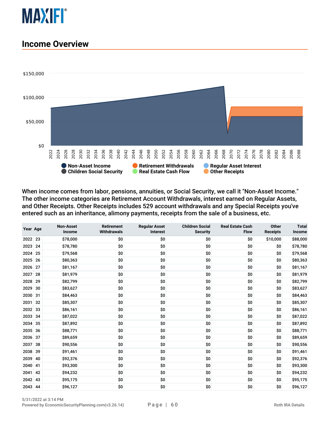

#### **Income Overview**



When income comes from labor, pensions, annuities, or Social Security, we call it "Non-Asset Income." The other income categories are Retirement Account Withdrawals, interest earned on Regular Assets, and Other Receipts. Other Receipts includes 529 account withdrawals and any Special Receipts you've entered such as an inheritance, alimony payments, receipts from the sale of a business, etc.

| Year Age |    | <b>Non-Asset</b><br>Income | <b>Retirement</b><br><b>Withdrawals</b> | <b>Regular Asset</b><br><b>Interest</b> | <b>Children Social</b><br><b>Security</b> | <b>Real Estate Cash</b><br><b>Flow</b> | <b>Other</b><br><b>Receipts</b> | <b>Total</b><br>Income |
|----------|----|----------------------------|-----------------------------------------|-----------------------------------------|-------------------------------------------|----------------------------------------|---------------------------------|------------------------|
| 2022     | 23 | \$78,000                   | \$0                                     | \$0                                     | \$0                                       | \$0                                    | \$10,000                        | \$88,000               |
| 2023     | 24 | \$78,780                   | \$0                                     | \$0                                     | \$0                                       | \$0                                    | \$0                             | \$78,780               |
| 2024     | 25 | \$79,568                   | \$0                                     | \$0                                     | \$0                                       | \$0                                    | \$0                             | \$79,568               |
| 2025     | 26 | \$80,363                   | \$0                                     | \$0                                     | \$0                                       | \$0                                    | \$0                             | \$80,363               |
| 2026     | 27 | \$81,167                   | \$0                                     | \$0                                     | \$0                                       | \$0                                    | \$0                             | \$81,167               |
| 2027     | 28 | \$81,979                   | \$0                                     | \$0                                     | \$0                                       | \$0                                    | \$0                             | \$81,979               |
| 2028     | 29 | \$82,799                   | \$0                                     | \$0                                     | \$0                                       | \$0                                    | \$0                             | \$82,799               |
| 2029     | 30 | \$83,627                   | \$0                                     | \$0                                     | \$0                                       | \$0                                    | \$0                             | \$83,627               |
| 2030     | 31 | \$84,463                   | \$0                                     | \$0                                     | \$0                                       | \$0                                    | \$0                             | \$84,463               |
| 2031     | 32 | \$85,307                   | \$0                                     | \$0                                     | \$0                                       | \$0                                    | \$0                             | \$85,307               |
| 2032     | 33 | \$86,161                   | \$0                                     | \$0                                     | \$0                                       | \$0                                    | \$0                             | \$86,161               |
| 2033     | 34 | \$87,022                   | \$0                                     | \$0                                     | \$0                                       | \$0                                    | \$0                             | \$87,022               |
| 2034     | 35 | \$87,892                   | \$0                                     | \$0                                     | \$0                                       | \$0                                    | \$0                             | \$87,892               |
| 2035     | 36 | \$88,771                   | \$0                                     | \$0                                     | \$0                                       | \$0                                    | \$0                             | \$88,771               |
| 2036     | 37 | \$89,659                   | \$0                                     | \$0                                     | \$0                                       | \$0                                    | \$0                             | \$89,659               |
| 2037     | 38 | \$90,556                   | \$0                                     | \$0                                     | \$0                                       | \$0                                    | \$0                             | \$90,556               |
| 2038     | 39 | \$91,461                   | \$0                                     | \$0                                     | \$0                                       | \$0                                    | \$0                             | \$91,461               |
| 2039     | 40 | \$92,376                   | \$0                                     | \$0                                     | \$0                                       | \$0                                    | \$0                             | \$92,376               |
| 2040     | 41 | \$93,300                   | \$0                                     | \$0                                     | \$0                                       | \$0                                    | \$0                             | \$93,300               |
| 2041     | 42 | \$94,232                   | \$0                                     | \$0                                     | \$0                                       | \$0                                    | \$0                             | \$94,232               |
| 2042     | 43 | \$95,175                   | \$0                                     | \$0                                     | \$0                                       | \$0                                    | \$0                             | \$95,175               |
| 2043 44  |    | \$96,127                   | \$0                                     | \$0                                     | \$0                                       | \$0                                    | \$0                             | \$96,127               |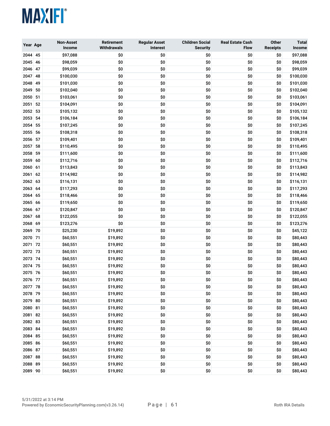

| Year Age     |          | <b>Non-Asset</b><br>Income | <b>Retirement</b><br><b>Withdrawals</b> | <b>Regular Asset</b><br>Interest | <b>Children Social</b><br><b>Security</b> | <b>Real Estate Cash</b><br><b>Flow</b> | Other<br><b>Receipts</b> | <b>Total</b><br>Income |
|--------------|----------|----------------------------|-----------------------------------------|----------------------------------|-------------------------------------------|----------------------------------------|--------------------------|------------------------|
| 2044 45      |          | \$97,088                   | \$0                                     | \$0                              | \$0                                       | \$0                                    | \$0                      | \$97,088               |
| 2045 46      |          | \$98,059                   | \$0                                     | \$0                              | \$0                                       | \$0                                    | \$0                      | \$98,059               |
| 2046         | 47       | \$99,039                   | \$0                                     | \$0                              | \$0                                       | \$0                                    | \$0                      | \$99,039               |
| 2047         | 48       | \$100,030                  | \$0                                     | \$0                              | \$0                                       | \$0                                    | \$0                      | \$100,030              |
| 2048         | 49       | \$101,030                  | \$0                                     | \$0                              | \$0                                       | \$0                                    | \$0                      | \$101,030              |
| 2049         | 50       | \$102,040                  | \$0                                     | \$0                              | \$0                                       | \$0                                    | \$0                      | \$102,040              |
| 2050         | 51       | \$103,061                  | \$0                                     | \$0                              | \$0                                       | \$0                                    | \$0                      | \$103,061              |
| 2051         | 52       | \$104,091                  | \$0                                     | \$0                              | \$0                                       | \$0                                    | \$0                      | \$104,091              |
| 2052         | 53       | \$105,132                  | \$0                                     | \$0                              | \$0                                       | \$0                                    | \$0                      | \$105,132              |
| 2053         | 54       | \$106,184                  | \$0                                     | \$0                              | \$0                                       | \$0                                    | \$0                      | \$106,184              |
| 2054         | 55       | \$107,245                  | \$0                                     | \$0                              | \$0                                       | \$0                                    | \$0                      | \$107,245              |
| 2055         | 56       | \$108,318                  | \$0                                     | \$0                              | \$0                                       | \$0                                    | \$0                      | \$108,318              |
| 2056         | 57       | \$109,401                  | \$0                                     | \$0                              | \$0                                       | \$0                                    | \$0                      | \$109,401              |
| 2057         | 58       | \$110,495                  | \$0                                     | \$0                              | \$0                                       | \$0                                    | \$0                      | \$110,495              |
| 2058         | 59       | \$111,600                  | \$0                                     | \$0                              | \$0                                       | \$0                                    | \$0                      | \$111,600              |
| 2059         | 60       | \$112,716                  | \$0                                     | \$0                              | \$0                                       | \$0                                    | \$0                      | \$112,716              |
| 2060<br>2061 | 61<br>62 | \$113,843<br>\$114,982     | \$0<br>\$0                              | \$0<br>\$0                       | \$0<br>\$0                                | \$0<br>\$0                             | \$0<br>\$0               | \$113,843<br>\$114,982 |
| 2062 63      |          | \$116,131                  | \$0                                     | \$0                              | \$0                                       | \$0                                    | \$0                      | \$116,131              |
| 2063 64      |          | \$117,293                  | \$0                                     | \$0                              | \$0                                       | \$0                                    | \$0                      | \$117,293              |
| 2064         | 65       | \$118,466                  | \$0                                     | \$0                              | \$0                                       | \$0                                    | \$0                      | \$118,466              |
| 2065         | 66       | \$119,650                  | \$0                                     | \$0                              | \$0                                       | \$0                                    | \$0                      | \$119,650              |
| 2066         | 67       | \$120,847                  | \$0                                     | \$0                              | \$0                                       | \$0                                    | \$0                      | \$120,847              |
| 2067         | 68       | \$122,055                  | \$0                                     | \$0                              | \$0                                       | \$0                                    | \$0                      | \$122,055              |
| 2068         | 69       | \$123,276                  | \$0                                     | \$0                              | \$0                                       | \$0                                    | \$0                      | \$123,276              |
| 2069         | 70       | \$25,230                   | \$19,892                                | \$0                              | \$0                                       | \$0                                    | \$0                      | \$45,122               |
| 2070         | 71       | \$60,551                   | \$19,892                                | \$0                              | \$0                                       | \$0                                    | \$0                      | \$80,443               |
| 2071         | 72       | \$60,551                   | \$19,892                                | \$0                              | \$0                                       | \$0                                    | \$0                      | \$80,443               |
| 2072         | 73       | \$60,551                   | \$19,892                                | \$0                              | \$0                                       | \$0                                    | \$0                      | \$80,443               |
| 2073         | 74       | \$60,551                   | \$19,892                                | \$0                              | \$0                                       | \$0                                    | \$0                      | \$80,443               |
| 2074         | 75       | \$60,551                   | \$19,892                                | \$0                              | \$0                                       | \$0                                    | \$0                      | \$80,443               |
| 2075         | -76      | \$60,551                   | \$19,892                                | \$0                              | \$0                                       | \$0                                    | \$0                      | \$80,443               |
| 2076 77      |          | \$60,551                   | \$19,892                                | \$0                              | \$0                                       | \$0                                    | \$0                      | \$80,443               |
| 2077 78      |          | \$60,551                   | \$19,892                                | \$0                              | \$0                                       | \$0                                    | \$0                      | \$80,443               |
| 2078 79      |          | \$60,551                   | \$19,892                                | \$0                              | \$0                                       | \$0                                    | \$0                      | \$80,443               |
| 2079 80      |          | \$60,551                   | \$19,892                                | \$0                              | \$0                                       | \$0                                    | \$0                      | \$80,443               |
| 2080 81      |          | \$60,551                   | \$19,892                                | \$0                              | \$0                                       | \$0                                    | \$0                      | \$80,443               |
| 2081 82      |          | \$60,551                   | \$19,892                                | \$0                              | \$0                                       | \$0                                    | \$0                      | \$80,443               |
| 2082 83      |          | \$60,551                   | \$19,892                                | \$0                              | \$0                                       | \$0                                    | \$0                      | \$80,443               |
| 2083 84      |          | \$60,551                   | \$19,892                                | \$0                              | \$0                                       | \$0                                    | \$0                      | \$80,443               |
| 2084 85      |          | \$60,551                   | \$19,892                                | \$0                              | \$0                                       | \$0                                    | \$0                      | \$80,443               |
| 2085 86      |          | \$60,551                   | \$19,892                                | \$0                              | \$0                                       | \$0                                    | \$0                      | \$80,443               |
| 2086 87      |          | \$60,551                   | \$19,892                                | \$0                              | \$0                                       | \$0                                    | \$0                      | \$80,443               |
| 2087 88      |          | \$60,551                   | \$19,892                                | \$0                              | \$0                                       | \$0                                    | \$0                      | \$80,443               |
| 2088 89      |          | \$60,551                   | \$19,892                                | \$0                              | \$0                                       | \$0                                    | \$0                      | \$80,443               |
| 2089 90      |          | \$60,551                   | \$19,892                                | \$0                              | \$0                                       | \$0                                    | \$0                      | \$80,443               |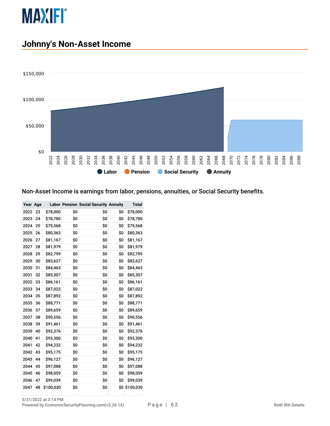

### **Johnny's Non-Asset Income**



#### Non-Asset Income is earnings from labor, pensions, annuities, or Social Security benefits.

| Year Age |    |           |     | <b>Labor Pension Social Security Annuity</b> |     | Total     |
|----------|----|-----------|-----|----------------------------------------------|-----|-----------|
| 2022     | 23 | \$78,000  | \$0 | \$O                                          | \$0 | \$78,000  |
| 2023     | 24 | \$78,780  | \$O | \$O                                          | \$O | \$78,780  |
| 2024     | 25 | \$79,568  | \$0 | \$0                                          | \$0 | \$79,568  |
| 2025     | 26 | \$80,363  | \$0 | \$0                                          | \$0 | \$80,363  |
| 2026     | 27 | \$81,167  | \$0 | \$0                                          | \$0 | \$81,167  |
| 2027     | 28 | \$81,979  | \$0 | \$0                                          | \$0 | \$81,979  |
| 2028     | 29 | \$82,799  | \$0 | \$0                                          | \$0 | \$82,799  |
| 2029     | 30 | \$83,627  | \$0 | \$0                                          | \$0 | \$83,627  |
| 2030     | 31 | \$84,463  | \$0 | \$0                                          | \$0 | \$84,463  |
| 2031     | 32 | \$85,307  | \$0 | \$0                                          | \$0 | \$85,307  |
| 2032     | 33 | \$86,161  | \$0 | \$0                                          | \$0 | \$86,161  |
| 2033     | 34 | \$87,022  | \$0 | \$O                                          | \$0 | \$87,022  |
| 2034     | 35 | \$87,892  | \$0 | \$0                                          | \$0 | \$87,892  |
| 2035     | 36 | \$88,771  | \$0 | \$0                                          | \$0 | \$88,771  |
| 2036     | 37 | \$89,659  | \$0 | \$0                                          | \$0 | \$89,659  |
| 2037     | 38 | \$90,556  | \$0 | \$0                                          | \$0 | \$90,556  |
| 2038     | 39 | \$91,461  | \$0 | \$0                                          | \$0 | \$91,461  |
| 2039     | 40 | \$92,376  | \$0 | \$0                                          | \$0 | \$92,376  |
| 2040     | 41 | \$93,300  | \$0 | \$0                                          | \$0 | \$93,300  |
| 2041     | 42 | \$94,232  | \$0 | \$0                                          | \$0 | \$94,232  |
| 2042     | 43 | \$95,175  | \$0 | \$0                                          | \$0 | \$95,175  |
| 2043     | 44 | \$96,127  | \$0 | \$0                                          | \$0 | \$96,127  |
| 2044     | 45 | \$97,088  | \$0 | \$0                                          | \$0 | \$97,088  |
| 2045     | 46 | \$98,059  | \$0 | \$0                                          | \$0 | \$98,059  |
| 2046     | 47 | \$99,039  | \$0 | \$0                                          | \$0 | \$99,039  |
| 2047     | 48 | \$100,030 | \$0 | \$0                                          | \$0 | \$100,030 |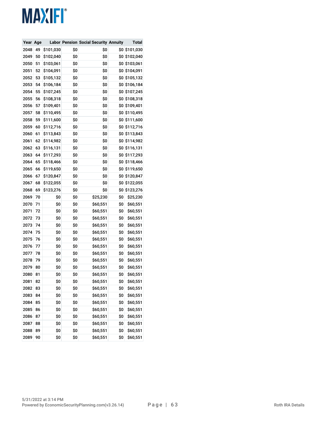| Year Age |    |           |     | <b>Labor Pension Social Security Annuity</b> |     | Total         |
|----------|----|-----------|-----|----------------------------------------------|-----|---------------|
| 2048     | 49 | \$101,030 | \$0 | \$0                                          | \$0 | \$101,030     |
| 2049     | 50 | \$102,040 | \$0 | \$0                                          | \$0 | \$102,040     |
| 2050     | 51 | \$103,061 | \$0 | \$0                                          | \$0 | \$103,061     |
| 2051     | 52 | \$104,091 | \$0 | \$0                                          |     | \$0 \$104,091 |
| 2052     | 53 | \$105,132 | \$0 | \$0                                          | \$0 | \$105,132     |
| 2053     | 54 | \$106,184 | \$0 | \$0                                          | \$0 | \$106,184     |
| 2054     | 55 | \$107,245 | \$0 | \$0                                          | \$0 | \$107,245     |
| 2055     | 56 | \$108,318 | \$0 | \$0                                          | \$0 | \$108,318     |
| 2056     | 57 | \$109,401 | \$0 | \$0                                          | \$0 | \$109,401     |
| 2057     | 58 | \$110,495 | \$0 | \$0                                          |     | \$0 \$110,495 |
| 2058     | 59 | \$111,600 | \$0 | \$0                                          | \$0 | \$111,600     |
| 2059     | 60 | \$112,716 | \$0 | \$0                                          | \$0 | \$112,716     |
| 2060     | 61 | \$113,843 | \$0 | \$0                                          |     | \$0 \$113,843 |
| 2061     | 62 | \$114,982 | \$0 | \$0                                          | \$0 | \$114,982     |
| 2062     | 63 | \$116,131 | \$0 | \$0                                          | \$0 | \$116,131     |
| 2063     | 64 | \$117,293 | \$0 | \$0                                          | \$0 | \$117,293     |
| 2064     | 65 | \$118,466 | \$0 | \$0                                          | \$0 | \$118,466     |
| 2065     | 66 | \$119,650 | \$0 | \$0                                          | \$0 | \$119,650     |
| 2066     | 67 | \$120,847 | \$0 | \$0                                          | \$0 | \$120,847     |
| 2067     | 68 | \$122,055 | \$0 | \$0                                          | \$0 | \$122,055     |
| 2068     | 69 | \$123,276 | \$0 | \$0                                          | \$0 | \$123,276     |
| 2069     | 70 | \$0       | \$0 | \$25,230                                     | \$0 | \$25,230      |
| 2070     | 71 | \$0       | \$0 | \$60,551                                     | \$0 | \$60,551      |
| 2071     | 72 | \$0       | \$0 | \$60,551                                     | \$0 | \$60,551      |
| 2072     | 73 | \$0       | \$0 | \$60,551                                     | \$0 | \$60,551      |
| 2073     | 74 | \$0       | \$0 | \$60,551                                     | \$0 | \$60,551      |
| 2074     | 75 | \$0       | \$0 | \$60,551                                     | \$0 | \$60,551      |
| 2075     | 76 | \$0       | \$0 | \$60,551                                     | \$0 | \$60,551      |
| 2076     | 77 | \$0       | \$0 | \$60,551                                     | \$0 | \$60,551      |
| 2077     | 78 | \$0       | \$0 | \$60,551                                     | \$0 | \$60,551      |
| 2078     | 79 | \$0       | \$0 | \$60,551                                     | \$0 | \$60,551      |
| 2079     | 80 | \$0       | \$0 | \$60,551                                     | \$0 | \$60,551      |
| 2080     | 81 | \$0       | \$0 | \$60,551                                     | \$0 | \$60,551      |
| 2081     | 82 | \$0       | \$0 | \$60,551                                     | \$0 | \$60,551      |
| 2082     | 83 | \$0       | \$0 | \$60,551                                     | \$0 | \$60,551      |
| 2083     | 84 | \$0       | \$0 | \$60,551                                     | \$0 | \$60,551      |
| 2084     | 85 | \$0       | \$0 | \$60,551                                     | \$0 | \$60,551      |
| 2085     | 86 | \$0       | \$0 | \$60,551                                     | \$0 | \$60,551      |
| 2086     | 87 | \$0       | \$0 | \$60,551                                     | \$0 | \$60,551      |
| 2087     | 88 | \$0       | \$0 | \$60,551                                     | \$0 | \$60,551      |
| 2088     | 89 | \$0       | \$0 | \$60,551                                     | \$0 | \$60,551      |
| 2089     | 90 | \$0       | \$0 | \$60,551                                     | \$0 | \$60,551      |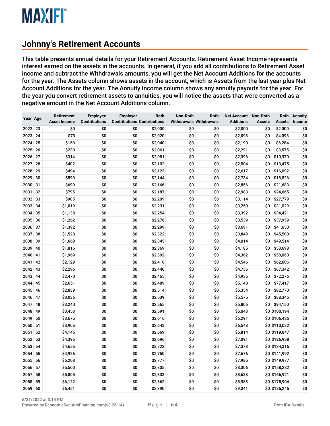#### **Johnny's Retirement Accounts**

This table presents annual details for your Retirement Accounts. Retirement Asset Income represents interest earned on the assets in the accounts. In general, if you add all contributions to Retirement Asset Income and subtract the Withdrawals amounts, you will get the Net Account Additions for the accounts for the year. The Assets column shows assets in the account, which is Assets from the last year plus Net Account Additions for the year. The Annuity Income column shows any annuity payouts for the year. For the year you convert retirement assets to annuities, you will notice the assets that were converted as a negative amount in the Net Account Additions column.

| Year Age     |          | <b>Retirement</b><br><b>Asset Income</b> | <b>Employee</b><br><b>Contributions</b> | <b>Employer</b><br><b>Contributions Contributions</b> | <b>Roth</b>        | Non-Roth<br><b>Withdrawals Withdrawals</b> | Roth | <b>Net Account</b><br><b>Additions</b> | <b>Non-Roth</b><br><b>Assets</b> | Roth<br>Assets       | <b>Annuity</b><br>Income |
|--------------|----------|------------------------------------------|-----------------------------------------|-------------------------------------------------------|--------------------|--------------------------------------------|------|----------------------------------------|----------------------------------|----------------------|--------------------------|
| 2022 23      |          | \$0                                      | \$0                                     | \$0                                                   | \$2,000            | \$0                                        | \$0  | \$2,000                                | \$0                              | \$2,000              | \$0                      |
| 2023 24      |          | \$73                                     | \$0                                     | \$0                                                   | \$2,020            | \$0                                        | \$0  | \$2,093                                | \$0                              | \$4,093              | \$0                      |
| 2024         | 25       | \$150                                    | \$0                                     | \$0                                                   | \$2,040            | \$0                                        | \$0  | \$2,190                                | \$0                              | \$6,284              | \$0                      |
| 2025         | 26       | \$230                                    | \$0                                     | \$0                                                   | \$2,061            | \$0                                        | \$0  | \$2,291                                | \$0                              | \$8,575              | \$0                      |
| 2026         | 27       | \$314                                    | \$0                                     | \$0                                                   | \$2,081            | \$0                                        | \$0  | \$2,396                                | \$0                              | \$10,970             | \$0                      |
| 2027         | 28       | \$402                                    | \$0                                     | \$0                                                   | \$2,102            | \$0                                        | \$0  | \$2,504                                | \$0                              | \$13,475             | \$0                      |
| 2028         | 29       | \$494                                    | \$0                                     | \$0                                                   | \$2,123            | \$0                                        | \$0  | \$2,617                                | \$0                              | \$16,092             | \$0                      |
| 2029         | 30       | \$590                                    | \$0                                     | \$0                                                   | \$2,144            | \$0                                        | \$0  | \$2,734                                | \$0                              | \$18,826             | \$0                      |
| 2030         | 31       | \$690                                    | \$0                                     | \$0                                                   |                    | \$0                                        | \$0  |                                        | \$0                              |                      | \$0                      |
| 2031         | 32       | \$795                                    | \$0                                     | \$0                                                   | \$2,166<br>\$2,187 | \$0                                        | \$0  | \$2,856<br>\$2,983                     | \$0                              | \$21,683<br>\$24,665 | \$0                      |
| 2032 33      |          | \$905                                    | \$0                                     | \$0                                                   | \$2,209            | \$0                                        | \$0  | \$3,114                                | \$0                              | \$27,779             | \$0                      |
| 2033         | 34       | \$1,019                                  | \$0                                     | \$0                                                   | \$2,231            | \$0                                        | \$0  |                                        | \$0                              | \$31,029             | \$0                      |
| 2034         | 35       |                                          | \$0                                     | \$0                                                   | \$2,254            | \$0                                        | \$0  | \$3,250                                | \$0                              |                      | \$0                      |
|              | 36       | \$1,138                                  |                                         |                                                       | \$2,276            | \$0                                        | \$0  | \$3,392                                |                                  | \$34,421<br>\$37,959 | \$0                      |
| 2035         |          | \$1,262                                  | \$0                                     | \$0                                                   |                    |                                            |      | \$3,539                                | \$0                              |                      |                          |
| 2036<br>2037 | 37<br>38 | \$1,392                                  | \$0<br>\$0                              | \$0<br>\$0                                            | \$2,299<br>\$2,322 | \$0                                        | \$0  | \$3,691                                | \$0<br>\$0                       | \$41,650<br>\$45,500 | \$0<br>\$0               |
|              |          | \$1,528                                  |                                         |                                                       |                    | \$0                                        | \$0  | \$3,849                                |                                  |                      |                          |
| 2038         | 39       | \$1,669                                  | \$0                                     | \$0                                                   | \$2,345            | \$0                                        | \$0  | \$4,014                                | \$0                              | \$49,514             | \$0<br>\$0               |
| 2039         | 40       | \$1,816                                  | \$0                                     | \$0                                                   | \$2,369            | \$0                                        | \$0  | \$4,185                                | \$0                              | \$53,698             |                          |
| 2040         | 41       | \$1,969                                  | \$0                                     | \$0                                                   | \$2,392            | \$0                                        | \$0  | \$4,362                                | \$0                              | \$58,060             | \$0                      |
| 2041         | 42       | \$2,129                                  | \$0                                     | \$0                                                   | \$2,416            | \$0                                        | \$0  | \$4,546                                | \$0                              | \$62,606             | \$0                      |
| 2042         | 43       | \$2,296                                  | \$0                                     | \$0                                                   | \$2,440            | \$0                                        | \$0  | \$4,736                                | \$0                              | \$67,342             | \$0                      |
| 2043         | 44       | \$2,470                                  | \$0                                     | \$0                                                   | \$2,465            | \$0                                        | \$0  | \$4,935                                | \$0                              | \$72,276             | \$0                      |
| 2044         | 45       | \$2,651                                  | \$0                                     | \$0                                                   | \$2,489            | \$0                                        | \$0  | \$5,140                                | \$0                              | \$77,417             | \$0                      |
| 2045 46      |          | \$2,839                                  | \$0                                     | \$0                                                   | \$2,514            | \$0                                        | \$0  | \$5,354                                | \$0                              | \$82,770             | \$0                      |
| 2046         | 47       | \$3,036                                  | \$0                                     | \$0                                                   | \$2,539            | \$0                                        | \$0  | \$5,575                                | \$0                              | \$88,345             | \$0                      |
| 2047         | 48       | \$3,240                                  | \$0                                     | \$0                                                   | \$2,565            | \$0                                        | \$0  | \$5,805                                | \$0                              | \$94,150             | \$0                      |
| 2048         | 49       | \$3,453                                  | \$0                                     | \$0                                                   | \$2,591            | \$0                                        | \$0  | \$6,043                                |                                  | \$0 \$100,194        | \$0                      |
| 2049         | 50       | \$3,675                                  | \$0                                     | \$0                                                   | \$2,616            | \$0                                        | \$0  | \$6,291                                |                                  | \$0 \$106,485        | \$0                      |
| 2050         | 51       | \$3,905                                  | \$0                                     | \$0                                                   | \$2,643            | \$0                                        | \$0  | \$6,548                                |                                  | \$0 \$113,032        | \$0                      |
| 2051         | 52       | \$4,145                                  | \$0                                     | \$0                                                   | \$2,669            | \$0                                        | \$0  | \$6,814                                |                                  | \$0 \$119,847        | \$0                      |
| 2052         | 53       | \$4,395                                  | \$0                                     | \$0                                                   | \$2,696            | \$0                                        | \$0  | \$7,091                                |                                  | \$0 \$126,938        | \$0                      |
| 2053         | 54       | \$4,655                                  | \$0                                     | \$0                                                   | \$2,723            | \$0                                        | \$0  | \$7,378                                |                                  | \$0 \$134,316        | \$0                      |
| 2054         | 55       | \$4,926                                  | \$0                                     | \$0                                                   | \$2,750            | \$0                                        | \$0  | \$7,676                                |                                  | \$0 \$141,992        | \$0                      |
| 2055         | 56       | \$5,208                                  | \$0                                     | \$0                                                   | \$2,777            | \$0                                        | \$0  | \$7,985                                |                                  | \$0 \$149,977        | \$0                      |
| 2056         | 57       | \$5,500                                  | \$0                                     | \$0                                                   | \$2,805            | \$0                                        | \$0  | \$8,306                                |                                  | \$0 \$158,282        | \$0                      |
| 2057         | 58       | \$5,805                                  | \$0                                     | \$0                                                   | \$2,833            | \$0                                        | \$0  | \$8,638                                |                                  | \$0 \$166,921        | \$0                      |
| 2058         | 59       | \$6,122                                  | \$0                                     | \$0                                                   | \$2,862            | \$0                                        | \$0  | \$8,983                                |                                  | \$0 \$175,904        | \$0                      |
| 2059 60      |          | \$6,451                                  | \$0                                     | \$O                                                   | \$2,890            | \$0                                        | \$0  | \$9,341                                |                                  | \$0 \$185,245        | \$0                      |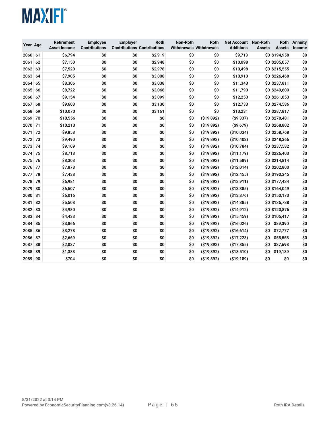| Year Age |    | Retirement<br><b>Asset Income</b> | <b>Employee</b><br><b>Contributions</b> | <b>Employer</b><br><b>Contributions Contributions</b> | Roth    | Non-Roth | Roth<br><b>Withdrawals Withdrawals</b> | <b>Net Account Non-Roth</b><br><b>Additions</b> | <b>Assets</b> | <b>Roth</b><br><b>Assets</b> | <b>Annuity</b><br>Income |
|----------|----|-----------------------------------|-----------------------------------------|-------------------------------------------------------|---------|----------|----------------------------------------|-------------------------------------------------|---------------|------------------------------|--------------------------|
| 2060     | 61 | \$6,794                           | \$0                                     | \$0                                                   | \$2,919 | \$0      | \$0                                    | \$9,713                                         |               | \$0 \$194,958                | \$0                      |
| 2061     | 62 | \$7,150                           | \$0                                     | \$0                                                   | \$2,948 | \$0      | \$0                                    | \$10,098                                        |               | \$0 \$205,057                | \$0                      |
| 2062     | 63 | \$7,520                           | \$0                                     | \$0                                                   | \$2,978 | \$0      | \$0                                    | \$10,498                                        |               | \$0 \$215,555                | \$0                      |
| 2063     | 64 | \$7,905                           | \$0                                     | \$0                                                   | \$3,008 | \$0      | \$0                                    | \$10,913                                        |               | \$0 \$226,468                | \$0                      |
| 2064     | 65 | \$8,306                           | \$0                                     | \$0                                                   | \$3,038 | \$0      | \$0                                    | \$11,343                                        |               | \$0 \$237,811                | \$0                      |
| 2065     | 66 | \$8,722                           | \$0                                     | \$0                                                   | \$3,068 | \$0      | \$0                                    | \$11,790                                        |               | \$0 \$249,600                | \$0                      |
| 2066     | 67 | \$9,154                           | \$0                                     | \$0                                                   | \$3,099 | \$0      | \$0                                    | \$12,253                                        |               | \$0 \$261,853                | \$0                      |
| 2067     | 68 | \$9,603                           | \$0                                     | \$0                                                   | \$3,130 | \$0      | \$0                                    | \$12,733                                        |               | \$0 \$274,586                | \$0                      |
| 2068     | 69 | \$10,070                          | \$0                                     | \$0                                                   | \$3,161 | \$0      | \$0                                    | \$13,231                                        |               | \$0 \$287,817                | \$0                      |
| 2069     | 70 | \$10,556                          | \$0                                     | \$0                                                   | \$0     | \$0      | (\$19,892)                             | ( \$9,337)                                      |               | \$0 \$278,481                | \$0                      |
| 2070     | 71 | \$10,213                          | \$0                                     | \$0                                                   | \$0     | \$0      | (\$19,892)                             | ( \$9,679)                                      |               | \$0 \$268,802                | \$0                      |
| 2071     | 72 | \$9,858                           | \$0                                     | \$0                                                   | \$0     | \$0      | (\$19,892)                             | ( \$10,034)                                     |               | \$0 \$258,768                | \$0                      |
| 2072     | 73 | \$9,490                           | \$0                                     | \$0                                                   | \$0     | \$0      | (\$19,892)                             | ( \$10,402)                                     |               | \$0 \$248,366                | \$0                      |
| 2073     | 74 | \$9,109                           | \$0                                     | \$0                                                   | \$0     | \$0      | (\$19,892)                             | ( \$10, 784)                                    |               | \$0 \$237,582                | \$0                      |
| 2074     | 75 | \$8,713                           | \$0                                     | \$0                                                   | \$0     | \$0      | ( \$19, 892)                           | ( \$11, 179)                                    |               | \$0 \$226,403                | \$0                      |
| 2075     | 76 | \$8,303                           | \$0                                     | \$0                                                   | \$0     | \$0      | (\$19,892)                             | ( \$11,589)                                     |               | \$0 \$214,814                | \$0                      |
| 2076     | 77 | \$7,878                           | \$0                                     | \$0                                                   | \$0     | \$0      | ( \$19, 892)                           | (\$12,014)                                      |               | \$0 \$202,800                | \$0                      |
| 2077     | 78 | \$7,438                           | \$0                                     | \$0                                                   | \$0     | \$0      | ( \$19,892)                            | (\$12,455)                                      |               | \$0 \$190,345                | \$0                      |
| 2078     | 79 | \$6,981                           | \$0                                     | \$O                                                   | \$0     | SO.      | (\$19,892)                             | ( \$12, 911)                                    |               | \$0 \$177,434                | \$0                      |
| 2079     | 80 | \$6,507                           | \$0                                     | \$0                                                   | \$0     | \$0      | (\$19,892)                             | ( \$13, 385)                                    |               | \$0 \$164,049                | \$0                      |
| 2080     | 81 | \$6,016                           | \$0                                     | \$0                                                   | \$0     | \$0      | (\$19,892)                             | ( \$13,876)                                     |               | \$0 \$150,173                | \$0                      |
| 2081     | 82 | \$5,508                           | \$0                                     | \$0                                                   | \$0     | \$0      | (\$19,892)                             | ( \$14, 385)                                    |               | \$0 \$135,788                | \$0                      |
| 2082     | 83 | \$4,980                           | \$0                                     | \$0                                                   | \$0     | \$0      | (\$19,892)                             | ( \$14, 912)                                    |               | \$0 \$120,876                | \$0                      |
| 2083     | 84 | \$4,433                           | \$0                                     | \$0                                                   | \$0     | \$0      | (\$19,892)                             | (\$15,459)                                      |               | \$0 \$105,417                | \$0                      |
| 2084     | 85 | \$3,866                           | \$0                                     | \$0                                                   | \$0     | \$0      | (\$19,892)                             | (\$16,026)                                      | ŚO.           | \$89,390                     | \$0                      |
| 2085     | 86 | \$3,278                           | \$0                                     | \$0                                                   | \$0     | \$0      | (\$19,892)                             | (\$16,614)                                      | \$0           | \$72,777                     | \$0                      |
| 2086     | 87 | \$2,669                           | \$0                                     | \$0                                                   | \$0     | \$0      | (\$19,892)                             | (\$17,223)                                      | \$0           | \$55,553                     | \$0                      |
| 2087     | 88 | \$2,037                           | \$0                                     | \$0                                                   | \$0     | \$0      | ( \$19,892)                            | (\$17,855)                                      | \$0           | \$37,698                     | \$0                      |
| 2088     | 89 | \$1,383                           | \$0                                     | \$0                                                   | \$0     | \$0      | (\$19,892)                             | ( \$18,510)                                     | \$0           | \$19,189                     | \$0                      |
| 2089 90  |    | \$704                             | \$0                                     | \$0                                                   | \$0     | \$0      | (\$19,892)                             | ( \$19, 189)                                    | \$0           | \$0                          | \$0                      |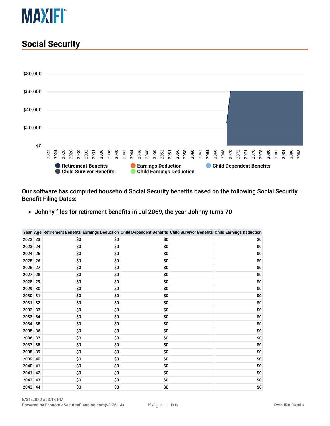

#### **Social Security**



Our software has computed household Social Security benefits based on the following Social Security Benefit Filing Dates:

Johnny files for retirement benefits in Jul 2069, the year Johnny turns 70

|      |    |     |     | Year Age Retirement Benefits Earnings Deduction Child Dependent Benefits Child Survivor Benefits Child Earnings Deduction |     |
|------|----|-----|-----|---------------------------------------------------------------------------------------------------------------------------|-----|
| 2022 | 23 | \$0 | \$0 | \$0                                                                                                                       | \$0 |
| 2023 | 24 | \$0 | \$0 | \$0                                                                                                                       | \$0 |
| 2024 | 25 | \$0 | \$0 | \$0                                                                                                                       | \$0 |
| 2025 | 26 | \$0 | \$0 | \$0                                                                                                                       | \$0 |
| 2026 | 27 | \$0 | \$0 | \$0                                                                                                                       | \$0 |
| 2027 | 28 | \$0 | \$O | \$O                                                                                                                       | \$0 |
| 2028 | 29 | \$0 | \$0 | \$0                                                                                                                       | \$0 |
| 2029 | 30 | \$0 | \$0 | \$0                                                                                                                       | \$0 |
| 2030 | 31 | \$0 | \$0 | \$0                                                                                                                       | \$0 |
| 2031 | 32 | \$0 | \$0 | \$0                                                                                                                       | \$0 |
| 2032 | 33 | \$0 | \$0 | \$0                                                                                                                       | \$0 |
| 2033 | 34 | \$0 | \$0 | \$0                                                                                                                       | \$0 |
| 2034 | 35 | \$0 | \$O | \$0                                                                                                                       | \$0 |
| 2035 | 36 | \$0 | \$0 | \$0                                                                                                                       | \$0 |
| 2036 | 37 | \$0 | \$0 | \$0                                                                                                                       | \$0 |
| 2037 | 38 | \$0 | \$0 | \$0                                                                                                                       | \$0 |
| 2038 | 39 | \$0 | \$0 | \$0                                                                                                                       | \$0 |
| 2039 | 40 | \$0 | \$0 | \$0                                                                                                                       | \$0 |
| 2040 | 41 | \$0 | \$0 | \$0                                                                                                                       | \$0 |
| 2041 | 42 | \$0 | \$0 | \$O                                                                                                                       | \$0 |
| 2042 | 43 | \$0 | \$0 | \$0                                                                                                                       | \$0 |
| 2043 | 44 | \$0 | \$0 | \$0                                                                                                                       | \$0 |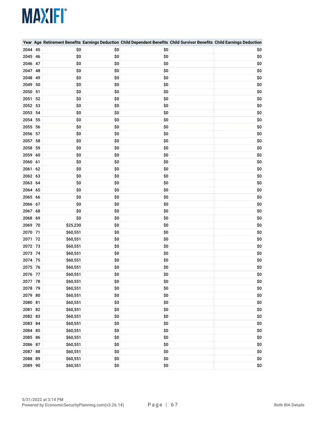|         |    |          |     | Year Age Retirement Benefits Earnings Deduction Child Dependent Benefits Child Survivor Benefits Child Earnings Deduction |     |
|---------|----|----------|-----|---------------------------------------------------------------------------------------------------------------------------|-----|
| 2044    | 45 | \$0      | \$0 | \$0                                                                                                                       | \$0 |
| 2045 46 |    | \$0      | \$0 | \$0                                                                                                                       | \$0 |
| 2046 47 |    | \$0      | \$0 | \$0                                                                                                                       | \$0 |
| 2047    | 48 | \$0      | \$0 | \$0                                                                                                                       | \$0 |
| 2048 49 |    | \$0      | \$0 | \$0                                                                                                                       | \$0 |
| 2049    | 50 | \$0      | \$0 | \$0                                                                                                                       | \$0 |
| 2050 51 |    | \$0      | \$0 | \$0                                                                                                                       | \$0 |
| 2051    | 52 | \$0      | \$0 | \$0                                                                                                                       | \$0 |
| 2052    | 53 | \$0      | \$0 | \$0                                                                                                                       | \$0 |
| 2053 54 |    | \$0      | \$0 | \$0                                                                                                                       | \$0 |
| 2054    | 55 | \$0      | \$0 | \$0                                                                                                                       | \$0 |
| 2055 56 |    | \$0      | \$0 | \$0                                                                                                                       | \$0 |
| 2056 57 |    | \$0      | \$0 | \$0                                                                                                                       | \$0 |
| 2057    | 58 | \$0      | \$0 | \$0                                                                                                                       | \$0 |
| 2058 59 |    | \$0      | \$0 | \$0                                                                                                                       | \$0 |
| 2059 60 |    | \$0      | \$0 | \$0                                                                                                                       | \$0 |
| 2060 61 |    | \$0      | \$0 | \$0                                                                                                                       | \$0 |
| 2061    | 62 | \$0      | \$0 | \$0                                                                                                                       | \$0 |
| 2062 63 |    | \$0      | \$0 | \$0                                                                                                                       | \$0 |
| 2063 64 |    | \$0      | \$0 | \$0                                                                                                                       | \$0 |
| 2064    | 65 | \$0      | \$0 | \$0                                                                                                                       | \$0 |
| 2065 66 |    | \$0      | \$0 | \$0                                                                                                                       | \$0 |
| 2066 67 |    | \$0      | \$0 | \$0                                                                                                                       | \$0 |
| 2067    | 68 | \$0      | \$0 | \$0                                                                                                                       | \$0 |
| 2068 69 |    | \$0      | \$0 | \$0                                                                                                                       | \$0 |
| 2069 70 |    | \$25,230 | \$0 | \$0                                                                                                                       | \$0 |
| 2070 71 |    | \$60,551 | \$0 | \$0                                                                                                                       | \$0 |
| 2071    | 72 | \$60,551 | \$0 | \$0                                                                                                                       | \$0 |
| 2072 73 |    | \$60,551 | \$0 | \$0                                                                                                                       | \$0 |
| 2073 74 |    | \$60,551 | \$0 | \$0                                                                                                                       | \$0 |
| 2074 75 |    | \$60,551 | \$0 | \$0                                                                                                                       | \$0 |
| 2075 76 |    | \$60,551 | \$0 | \$0                                                                                                                       | \$0 |
| 2076 77 |    | \$60,551 | \$0 | \$0                                                                                                                       | \$0 |
| 2077 78 |    | \$60,551 | \$0 | \$0                                                                                                                       | \$0 |
| 2078 79 |    | \$60,551 | \$0 | \$0                                                                                                                       | \$0 |
| 2079 80 |    | \$60,551 | \$0 | \$0                                                                                                                       | \$0 |
| 2080 81 |    | \$60,551 | \$0 | \$0                                                                                                                       | \$0 |
| 2081 82 |    | \$60,551 | \$0 | \$0                                                                                                                       | \$0 |
| 2082 83 |    | \$60,551 | \$0 | \$0                                                                                                                       | \$0 |
| 2083 84 |    | \$60,551 | \$0 | \$0                                                                                                                       | \$0 |
| 2084 85 |    | \$60,551 | \$0 | \$0                                                                                                                       | \$0 |
| 2085 86 |    | \$60,551 | \$0 | \$0                                                                                                                       | \$0 |
| 2086 87 |    | \$60,551 | \$0 | \$0                                                                                                                       | \$0 |
| 2087 88 |    | \$60,551 | \$0 | \$0                                                                                                                       | \$0 |
| 2088 89 |    | \$60,551 | \$0 | \$0                                                                                                                       | \$0 |
| 2089 90 |    | \$60,551 | \$0 | \$0                                                                                                                       | \$0 |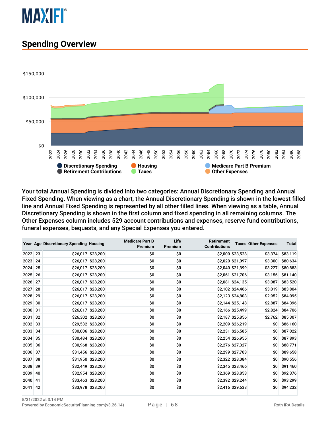

#### **Spending Overview**



Your total Annual Spending is divided into two categories: Annual Discretionary Spending and Annual Fixed Spending. When viewing as a chart, the Annual Discretionary Spending is shown in the lowest filled line and Annual Fixed Spending is represented by all other filled lines. When viewing as a table, Annual Discretionary Spending is shown in the first column and fixed spending in all remaining columns. The Other Expenses column includes 529 account contributions and expenses, reserve fund contributions, funeral expenses, bequests, and any Special Expenses you entered.

|         |     | Year Age Discretionary Spending Housing |                   | <b>Medicare Part B</b><br>Premium | Life<br>Premium | <b>Retirement</b><br><b>Contributions</b> |                  | <b>Taxes Other Expenses</b> | <b>Total</b> |
|---------|-----|-----------------------------------------|-------------------|-----------------------------------|-----------------|-------------------------------------------|------------------|-----------------------------|--------------|
| 2022 23 |     |                                         | \$26,017 \$28,200 | \$0                               | \$O             |                                           | \$2,000 \$23,528 | \$3,374                     | \$83,119     |
| 2023    | 24  |                                         | \$26,017 \$28,200 | \$0                               | \$0             |                                           | \$2,020 \$21,097 | \$3,300                     | \$80,634     |
| 2024 25 |     |                                         | \$26,017 \$28,200 | \$0                               | \$0             |                                           | \$2,040 \$21,399 | \$3,227                     | \$80,883     |
| 2025 26 |     |                                         | \$26,017 \$28,200 | \$0                               | \$0             |                                           | \$2,061 \$21,706 | \$3,156                     | \$81,140     |
| 2026    | 27  |                                         | \$26,017 \$28,200 | \$0                               | \$0             |                                           | \$2,081 \$24,135 | \$3,087                     | \$83,520     |
| 2027 28 |     |                                         | \$26,017 \$28,200 | \$0                               | \$0             |                                           | \$2,102 \$24,466 | \$3,019                     | \$83,804     |
| 2028    | 29  |                                         | \$26,017 \$28,200 | \$0                               | \$0             |                                           | \$2,123 \$24,803 | \$2,952                     | \$84,095     |
| 2029    | 30  |                                         | \$26,017 \$28,200 | \$0                               | \$0             |                                           | \$2,144 \$25,148 | \$2,887                     | \$84,396     |
| 2030 31 |     |                                         | \$26,017 \$28,200 | \$0                               | \$0             |                                           | \$2,166 \$25,499 | \$2,824                     | \$84,706     |
| 2031    | 32  |                                         | \$26,302 \$28,200 | \$0                               | \$0             |                                           | \$2,187 \$25,856 | \$2,762                     | \$85,307     |
| 2032 33 |     |                                         | \$29,532 \$28,200 | \$0                               | \$0             |                                           | \$2,209 \$26,219 | \$0                         | \$86,160     |
| 2033    | -34 |                                         | \$30,006 \$28,200 | \$0                               | \$0             |                                           | \$2,231 \$26,585 | \$0                         | \$87,022     |
| 2034 35 |     |                                         | \$30,484 \$28,200 | \$0                               | \$0             |                                           | \$2,254 \$26,955 | \$0                         | \$87,893     |
| 2035 36 |     |                                         | \$30,968 \$28,200 | \$0                               | \$0             |                                           | \$2,276 \$27,327 | \$0                         | \$88,771     |
| 2036    | 37  |                                         | \$31,456 \$28,200 | \$0                               | \$0             |                                           | \$2,299 \$27,703 | \$0                         | \$89,658     |
| 2037    | 38  |                                         | \$31,950 \$28,200 | \$0                               | \$0             |                                           | \$2,322 \$28,084 | \$0                         | \$90,556     |
| 2038 39 |     |                                         | \$32,449 \$28,200 | \$0                               | \$0             |                                           | \$2,345 \$28,466 | \$0                         | \$91,460     |
| 2039    | 40  |                                         | \$32,954 \$28,200 | \$0                               | \$0             |                                           | \$2,369 \$28,853 | \$0                         | \$92,376     |
| 2040    | 41  |                                         | \$33,463 \$28,200 | \$0                               | \$0             |                                           | \$2,392 \$29,244 | \$0                         | \$93,299     |
| 2041 42 |     |                                         | \$33,978 \$28,200 | \$0                               | \$0             |                                           | \$2,416 \$29,638 | \$0                         | \$94,232     |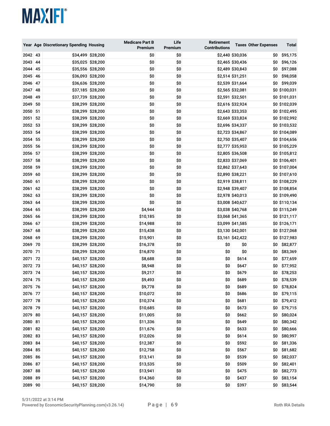|         |    | Year Age Discretionary Spending Housing |                   | <b>Medicare Part B</b><br>Premium | Life<br>Premium | Retirement<br><b>Contributions</b> |                  | <b>Taxes Other Expenses</b> | Total         |
|---------|----|-----------------------------------------|-------------------|-----------------------------------|-----------------|------------------------------------|------------------|-----------------------------|---------------|
| 2042 43 |    |                                         | \$34,499 \$28,200 | \$0                               | \$0             |                                    | \$2,440 \$30,036 | \$0                         | \$95,175      |
| 2043 44 |    |                                         | \$35,025 \$28,200 | \$0                               | \$0             |                                    | \$2,465 \$30,436 | \$0                         | \$96,126      |
| 2044 45 |    |                                         | \$35,556 \$28,200 | \$0                               | \$0             |                                    | \$2,489 \$30,843 | \$0                         | \$97,088      |
| 2045 46 |    |                                         | \$36,093 \$28,200 | \$0                               | \$0             |                                    | \$2,514 \$31,251 | \$0                         | \$98,058      |
| 2046 47 |    |                                         | \$36,636 \$28,200 | \$0                               | \$0             |                                    | \$2,539 \$31,664 | \$0                         | \$99,039      |
| 2047 48 |    |                                         | \$37,185 \$28,200 | \$0                               | \$0             |                                    | \$2,565 \$32,081 |                             | \$0 \$100,031 |
| 2048    | 49 |                                         | \$37,739 \$28,200 | \$0                               | \$0             |                                    | \$2,591 \$32,501 |                             | \$0 \$101,031 |
| 2049 50 |    |                                         | \$38,299 \$28,200 | \$0                               | \$0             |                                    | \$2,616 \$32,924 |                             | \$0 \$102,039 |
| 2050 51 |    |                                         | \$38,299 \$28,200 | \$0                               | \$0             |                                    | \$2,643 \$33,353 |                             | \$0 \$102,495 |
| 2051    | 52 |                                         | \$38,299 \$28,200 | \$0                               | \$0             |                                    | \$2,669 \$33,824 |                             | \$0 \$102,992 |
| 2052 53 |    |                                         | \$38,299 \$28,200 | \$0                               | \$0             |                                    | \$2,696 \$34,337 |                             | \$0 \$103,532 |
| 2053 54 |    |                                         | \$38,299 \$28,200 | \$0                               | \$0             |                                    | \$2,723 \$34,867 |                             | \$0 \$104,089 |
| 2054 55 |    |                                         | \$38,299 \$28,200 | \$0                               | \$0             |                                    | \$2,750 \$35,407 |                             | \$0 \$104,656 |
| 2055 56 |    |                                         | \$38,299 \$28,200 | \$0                               | \$0             |                                    | \$2,777 \$35,953 |                             | \$0 \$105,229 |
| 2056 57 |    |                                         | \$38,299 \$28,200 | \$0                               | \$0             |                                    | \$2,805 \$36,508 |                             | \$0 \$105,812 |
| 2057 58 |    |                                         | \$38,299 \$28,200 | \$0                               | \$0             |                                    | \$2,833 \$37,069 |                             | \$0 \$106,401 |
| 2058 59 |    |                                         | \$38,299 \$28,200 | \$0                               | \$0             |                                    | \$2,862 \$37,643 |                             | \$0 \$107,004 |
| 2059 60 |    |                                         | \$38,299 \$28,200 | \$0                               | \$0             |                                    | \$2,890 \$38,221 |                             | \$0 \$107,610 |
| 2060 61 |    |                                         | \$38,299 \$28,200 | \$0                               | \$0             |                                    | \$2,919 \$38,811 |                             | \$0 \$108,229 |
| 2061    | 62 |                                         | \$38,299 \$28,200 | \$0                               | \$0             |                                    | \$2,948 \$39,407 |                             | \$0 \$108,854 |
| 2062 63 |    |                                         | \$38,299 \$28,200 | \$0                               | \$0             |                                    | \$2,978 \$40,013 |                             | \$0 \$109,490 |
| 2063 64 |    |                                         | \$38,299 \$28,200 | \$0                               | \$0             |                                    | \$3,008 \$40,627 |                             | \$0 \$110,134 |
| 2064 65 |    |                                         | \$38,299 \$28,200 | \$4,944                           | \$0             |                                    | \$3,038 \$40,768 |                             | \$0 \$115,249 |
| 2065 66 |    |                                         | \$38,299 \$28,200 | \$10,185                          | \$0             |                                    | \$3,068 \$41,365 |                             | \$0 \$121,117 |
| 2066 67 |    |                                         | \$38,299 \$28,200 | \$14,988                          | \$0             |                                    | \$3,099 \$41,585 |                             | \$0 \$126,171 |
| 2067 68 |    |                                         | \$38,299 \$28,200 | \$15,438                          | \$0             |                                    | \$3,130 \$42,001 |                             | \$0 \$127,068 |
| 2068 69 |    |                                         | \$38,299 \$28,200 | \$15,901                          | \$0             |                                    | \$3,161 \$42,422 |                             | \$0 \$127,983 |
| 2069 70 |    |                                         | \$38,299 \$28,200 | \$16,378                          | \$0             | \$0                                | \$0              | \$0                         | \$82,877      |
| 2070 71 |    |                                         | \$38,299 \$28,200 | \$16,870                          | \$0             | \$0                                | \$0              | \$0                         | \$83,369      |
| 2071    | 72 |                                         | \$40,157 \$28,200 | \$8,688                           | \$0             | \$0                                | \$614            | \$0                         | \$77,659      |
| 2072 73 |    |                                         | \$40,157 \$28,200 | \$8,948                           | \$0             | \$0                                | \$647            | \$0                         | \$77,952      |
| 2073 74 |    |                                         | \$40,157 \$28,200 | \$9,217                           | \$0             | \$0                                | \$679            | \$0                         | \$78,253      |
| 2074 75 |    |                                         | \$40,157 \$28,200 | \$9,493                           | \$0             | \$0                                | \$689            | \$0                         | \$78,539      |
| 2075 76 |    |                                         | \$40,157 \$28,200 | \$9,778                           | \$0             | \$0                                | \$689            | \$0                         | \$78,824      |
| 2076 77 |    |                                         | \$40,157 \$28,200 | \$10,072                          | \$0             | \$0                                | \$686            |                             | $$0$ \$79,115 |
| 2077 78 |    |                                         | \$40,157 \$28,200 | \$10,374                          | \$0             | \$0                                | \$681            | \$0                         | \$79,412      |
| 2078 79 |    |                                         | \$40,157 \$28,200 | \$10,685                          | \$0             | \$0                                | \$673            | \$0                         | \$79,715      |
| 2079 80 |    |                                         | \$40,157 \$28,200 | \$11,005                          | \$0             | \$0                                | \$662            | \$0                         | \$80,024      |
| 2080 81 |    |                                         | \$40,157 \$28,200 | \$11,336                          | \$0             | \$0                                | \$649            | \$0                         | \$80,342      |
| 2081 82 |    |                                         | \$40,157 \$28,200 | \$11,676                          | \$0             | \$0                                | \$633            | \$0                         | \$80,666      |
| 2082 83 |    |                                         | \$40,157 \$28,200 | \$12,026                          | \$0             | \$0                                | \$614            | \$0                         | \$80,997      |
| 2083 84 |    |                                         | \$40,157 \$28,200 | \$12,387                          | \$0             | \$0                                | \$592            | \$0                         | \$81,336      |
| 2084 85 |    |                                         | \$40,157 \$28,200 | \$12,758                          | \$0             | \$0                                | \$567            | \$0                         | \$81,682      |
| 2085 86 |    |                                         | \$40,157 \$28,200 | \$13,141                          | \$0             | \$0                                | \$539            | \$0                         | \$82,037      |
| 2086 87 |    |                                         | \$40,157 \$28,200 | \$13,535                          | \$0             | \$0                                | \$509            | \$0                         | \$82,401      |
| 2087 88 |    |                                         | \$40,157 \$28,200 | \$13,941                          | \$0             | \$0                                | \$475            | \$0                         | \$82,773      |
| 2088 89 |    |                                         | \$40,157 \$28,200 | \$14,360                          | \$0             | \$0                                | \$437            | \$0                         | \$83,154      |
| 2089 90 |    |                                         | \$40,157 \$28,200 | \$14,790                          | \$0             | \$0                                | \$397            | \$0                         | \$83,544      |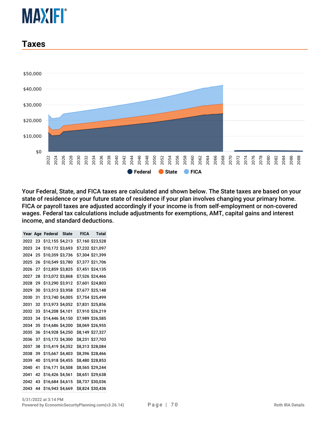#### **Taxes**



Your Federal, State, and FICA taxes are calculated and shown below. The State taxes are based on your state of residence or your future state of residence if your plan involves changing your primary home. FICA or payroll taxes are adjusted accordingly if your income is from self-employment or non-covered wages. Federal tax calculations include adjustments for exemptions, AMT, capital gains and interest income, and standard deductions.

| Year | Age | Federal State    |  | FICA Total       |
|------|-----|------------------|--|------------------|
| 2022 | 23  | \$12,155 \$4,213 |  | \$7,160 \$23,528 |
| 2023 | 24  | \$10,172 \$3,693 |  | \$7,232 \$21,097 |
| 2024 | 25  | \$10,359 \$3,736 |  | \$7,304 \$21,399 |
| 2025 | 26  | \$10,549 \$3,780 |  | \$7,377 \$21,706 |
| 2026 | 27  | \$12,859 \$3,825 |  | \$7,451 \$24,135 |
| 2027 | 28  | \$13,072 \$3,868 |  | \$7,526 \$24,466 |
| 2028 | 29  | \$13,290 \$3,912 |  | \$7,601 \$24,803 |
| 2029 | 30  | \$13,513 \$3,958 |  | \$7,677 \$25,148 |
| 2030 | 31  | \$13,740 \$4,005 |  | \$7,754 \$25,499 |
| 2031 | 32  | \$13,973 \$4,052 |  | \$7,831 \$25,856 |
| 2032 | 33  | \$14,208 \$4,101 |  | \$7,910 \$26,219 |
| 2033 | 34  | \$14,446 \$4,150 |  | \$7,989 \$26,585 |
| 2034 | 35  | \$14,686 \$4,200 |  | \$8,069 \$26,955 |
| 2035 | 36  | \$14,928 \$4,250 |  | \$8,149 \$27,327 |
| 2036 | 37  | \$15,172 \$4,300 |  | \$8,231 \$27,703 |
| 2037 | 38  | \$15,419 \$4,352 |  | \$8,313 \$28,084 |
| 2038 | 39  | \$15,667 \$4,403 |  | \$8,396 \$28,466 |
| 2039 | 40  | \$15,918 \$4,455 |  | \$8,480 \$28,853 |
| 2040 | 41  | \$16,171 \$4,508 |  | \$8,565 \$29,244 |
| 2041 | 42  | \$16,426 \$4,561 |  | \$8,651 \$29,638 |
| 2042 | 43  | \$16,684 \$4,615 |  | \$8,737 \$30,036 |
| 2043 | 44  | \$16,943 \$4,669 |  | \$8,824 \$30,436 |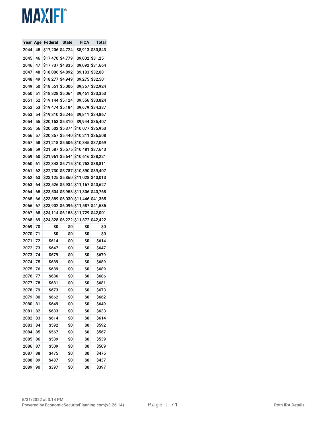| Year | Age | Federal      | State          | FICA           | Total           |
|------|-----|--------------|----------------|----------------|-----------------|
| 2044 | 45  | \$17,206     | <b>\$4,724</b> | \$8,913        | \$30,843        |
| 2045 | 46  | \$17,470     | \$4,779        | \$9,002        | \$31,251        |
| 2046 | 47  | \$17,737     | Ş4,835         | \$9,092        | \$31,664        |
| 2047 | 48  | \$18,006     | Ş4,892         | \$9,183        | \$32,081        |
| 2048 | 49  | \$18,277     | \$4,949        | \$9,275        | \$32,501        |
| 2049 | 50  | \$18,551     | \$5,006        | \$9,367        | \$32,924        |
| 2050 | 51  | \$18,828     | <b>\$5,064</b> | Ş9,461         | \$33,353        |
| 2051 | 52  | \$19,144     | \$5,124        | <b>\$9,556</b> | \$33,824        |
| 2052 | 53  | \$19,474     | S5,184         | S9,679         | \$34,337        |
| 2053 | 54  | \$19,810     | \$5,246        | \$9,811        | \$34,867        |
| 2054 | 55  | \$20,153     | \$5,310        | S9,944         | \$35,407        |
| 2055 | 56  | \$20,502     | \$5,374        | \$10,077       | \$35,953        |
| 2056 | 57  | \$20,857     | <b>\$5,440</b> | \$10,211       | \$36,508        |
| 2057 | 58  | \$21,218     | \$5,506        | \$10,345       | \$37,069        |
| 2058 | 59  | \$21,587     | \$5,575        | \$10,481       | \$37,643        |
| 2059 | 60  | \$21,961     | <b>\$5,644</b> | \$10,616       | \$38,221        |
| 2060 | 61  | \$22,343     | \$5,715        | \$10,753       | \$38,811        |
| 2061 | 62  | \$22,730     | <b>\$5,787</b> | \$10,890       | \$39,407        |
| 2062 | 63  | \$23,125     | \$5,860        | \$11,028       | \$40,013        |
| 2063 | 64  | \$23,526     | \$5,934        | \$11,167       | <b>\$40,627</b> |
| 2064 | 65  | \$23,504     | \$5,958        | \$11,306       | \$40,768        |
| 2065 | 66  | \$23,889     | \$6,030        | \$11,446       | \$41,365        |
| 2066 | 67  | \$23,902     | \$6,096        | \$11,587       | \$41,585        |
| 2067 | 68  | \$24,114     | <b>\$6,158</b> | \$11,729       | \$42,001        |
| 2068 | 69  | \$24,328     | \$6,222        | \$11,872       | \$42,422        |
| 2069 | 70  | Ş0           | \$0            | Ş0             | Ş0              |
| 2070 | 71  | Ş0           | Ş0             | Ş0             | \$0             |
| 2071 | 72  | Ş614         | Ş0             | \$0            | Ş614            |
| 2072 | 73  | Ş647         | \$0            | \$0            | Ş647            |
| 2073 | 74  | Ş679         | Ş0             | \$0            | Ş679            |
| 2074 | 75  | \$689        | Ş0             | \$0            | \$689           |
| 2075 | 76  | S689         | \$0            | \$0            | Ş689            |
| 2076 | 77  | <b>\$686</b> | Ş0             | Ş0             | <b>\$686</b>    |
| 2077 | 78  | \$681        | \$0            | \$0            | \$681           |
| 2078 | 79  | \$673        | \$0            | \$0            | \$673           |
| 2079 | 80  | \$662        | \$0            | \$0            | \$662           |
| 2080 | 81  | \$649        | \$0            | \$0            | \$649           |
| 2081 | 82  | \$633        | \$0            | \$0            | \$633           |
| 2082 | 83  | \$614        | \$0            | \$0            | \$614           |
| 2083 | 84  | \$592        | \$0            | \$0            | \$592           |
| 2084 | 85  | \$567        | \$0            | \$0            | \$567           |
| 2085 | 86  | \$539        | \$0            | \$0            | \$539           |
| 2086 | 87  | \$509        | \$0            | \$0            | \$509           |
| 2087 | 88  | \$475        | \$0            | \$0            | \$475           |
| 2088 | 89  | \$437        | \$0            | \$0            | \$437           |
| 2089 | 90  | \$397        | \$0            | \$0            | \$397           |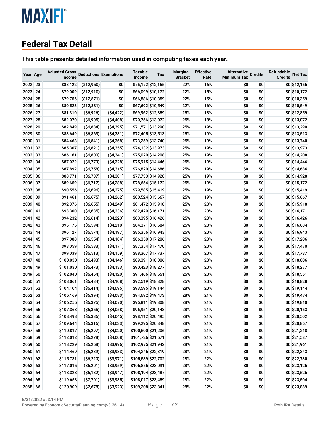#### **Federal Tax Detail**

This table presents detailed information used in computing taxes each year.

| Year Age |    | <b>Adjusted Gross</b><br>Income |                 | <b>Deductions Exemptions</b> | <b>Taxable</b><br>Income | Tax               | <b>Marginal</b><br><b>Bracket</b> | <b>Effective</b><br>Rate | <b>Alternative</b><br><b>Minimum Tax</b> | <b>Credits</b> | Refundable<br><b>Credits</b> | <b>Net Tax</b> |
|----------|----|---------------------------------|-----------------|------------------------------|--------------------------|-------------------|-----------------------------------|--------------------------|------------------------------------------|----------------|------------------------------|----------------|
| 2022 23  |    | \$88,122                        | ( \$12,950)     | \$0                          |                          | \$75,172 \$12,155 | 22%                               | 16%                      | \$0                                      | \$0            |                              | \$0 \$12,155   |
| 2023 24  |    | \$79,009                        | (\$12,910)      | \$0                          |                          | \$66,099 \$10,172 | 22%                               | 15%                      | \$0                                      | \$0            |                              | \$0 \$10,172   |
| 2024     | 25 | \$79,756                        | (\$12,871)      | \$0                          |                          | \$66,886 \$10,359 | 22%                               | 15%                      | \$0                                      | \$0            |                              | \$0 \$10,359   |
| 2025     | 26 | \$80,523                        | ( \$12, 831)    | \$0                          |                          | \$67,692 \$10,549 | 22%                               | 16%                      | \$0                                      | \$0            |                              | \$0 \$10,549   |
| 2026     | 27 | \$81,310                        | ( \$6,926)      | ( \$4,422)                   |                          | \$69,962 \$12,859 | 25%                               | 18%                      | \$0                                      | \$0            |                              | \$0 \$12,859   |
| 2027     | 28 | \$82,070                        | ( \$6,905)      | ( \$4,408)                   |                          | \$70,756 \$13,072 | 25%                               | 18%                      | \$0                                      | \$0            |                              | \$0 \$13,072   |
| 2028     | 29 | \$82,849                        | ( \$6,884)      | ( \$4,395)                   |                          | \$71,571 \$13,290 | 25%                               | 19%                      | \$0                                      | \$0            |                              | \$0 \$13,290   |
| 2029     | 30 | \$83,649                        | ( \$6,863)      | ( \$4,381)                   |                          | \$72,405 \$13,513 | 25%                               | 19%                      | \$0                                      | \$0            |                              | \$0 \$13,513   |
| 2030     | 31 | \$84,468                        | $($ \$6,841)    | ( \$4,368)                   |                          | \$73,259 \$13,740 | 25%                               | 19%                      | \$0                                      | \$0            |                              | \$0 \$13,740   |
| 2031     | 32 | \$85,307                        | $($ \$6,821)    | ( \$4,355)                   |                          | \$74,132 \$13,973 | 25%                               | 19%                      | \$0                                      | \$0            |                              | \$0 \$13,973   |
| 2032     | 33 | \$86,161                        | ( \$6,800)      | ( \$4,341)                   |                          | \$75,020 \$14,208 | 25%                               | 19%                      | \$0                                      | \$0            |                              | \$0 \$14,208   |
| 2033     | 34 | \$87,022                        | $($ \$6,779 $)$ | ( \$4,328)                   |                          | \$75,915 \$14,446 | 25%                               | 19%                      | \$0                                      | \$0            |                              | \$0 \$14,446   |
| 2034     | 35 | \$87,892                        | ( \$6,758)      | ( \$4,315)                   |                          | \$76,820 \$14,686 | 25%                               | 19%                      | \$0                                      | \$0            |                              | \$0 \$14,686   |
| 2035 36  |    | \$88,771                        | $($ \$6,737 $)$ | $($ \$4,301)                 |                          | \$77,733 \$14,928 | 25%                               | 19%                      | \$0                                      | \$0            |                              | \$0 \$14,928   |
| 2036     | 37 | \$89,659                        | $($ \$6,717 $)$ | ( \$4,288)                   |                          | \$78,654 \$15,172 | 25%                               | 19%                      | \$0                                      | \$0            |                              | \$0 \$15,172   |
| 2037     | 38 | \$90,556                        | ( \$6,696)      | ( \$4,275)                   |                          | \$79,585 \$15,419 | 25%                               | 19%                      | \$0                                      | \$0            |                              | \$0 \$15,419   |
| 2038     | 39 | \$91,461                        | ( \$6,675)      | ( \$4,262)                   |                          | \$80,524 \$15,667 | 25%                               | 19%                      | \$0                                      | \$0            |                              | \$0 \$15,667   |
| 2039     | 40 | \$92,376                        | ( \$6,655)      | ( \$4,249)                   |                          | \$81,472 \$15,918 | 25%                               | 20%                      | \$0                                      | \$0            |                              | \$0 \$15,918   |
| 2040     | 41 | \$93,300                        | ( \$6,635)      | (\$4,236)                    |                          | \$82,429 \$16,171 | 25%                               | 20%                      | \$0                                      | \$0            |                              | \$0 \$16,171   |
| 2041     | 42 | \$94,232                        | ( \$6,614)      | ( \$4,223)                   |                          | \$83,395 \$16,426 | 25%                               | 20%                      | \$0                                      | \$0            |                              | \$0 \$16,426   |
| 2042     | 43 | \$95,175                        | $($ \$6,594 $)$ | ( \$4,210)                   |                          | \$84,371 \$16,684 | 25%                               | 20%                      | \$0                                      | \$0            |                              | \$0 \$16,684   |
| 2043     | 44 | \$96,127                        | $($ \$6,574 $)$ | ( \$4,197)                   |                          | \$85,356 \$16,943 | 25%                               | 20%                      | \$0                                      | \$0            |                              | \$0 \$16,943   |
| 2044     | 45 | \$97,088                        | ( \$6,554)      | ( \$4,184)                   |                          | \$86,350 \$17,206 | 25%                               | 20%                      | \$0                                      | \$0            |                              | \$0 \$17,206   |
| 2045     | 46 | \$98,059                        | ( \$6,533)      | $($ \$4,171)                 |                          | \$87,354 \$17,470 | 25%                               | 20%                      | \$0                                      | \$0            |                              | \$0 \$17,470   |
| 2046     | 47 | \$99,039                        | ( \$6,513)      | ( \$4,159)                   |                          | \$88,367 \$17,737 | 25%                               | 20%                      | \$0                                      | \$0            |                              | \$0 \$17,737   |
| 2047     | 48 | \$100,030                       | $($ \$6,493)    | ( \$4,146)                   |                          | \$89,391 \$18,006 | 25%                               | 20%                      | \$0                                      | \$0            |                              | \$0 \$18,006   |
| 2048     | 49 | \$101,030                       | $($ \$6,473)    | ( \$4,133)                   |                          | \$90,423 \$18,277 | 25%                               | 20%                      | \$0                                      | \$0            |                              | \$0 \$18,277   |
| 2049     | 50 | \$102,040                       | $($ \$6,454 $)$ | ( \$4,120)                   |                          | \$91,466 \$18,551 | 25%                               | 20%                      | \$0                                      | \$0            |                              | \$0 \$18,551   |
| 2050     | 51 | \$103,061                       | ( \$6,434)      | ( \$4,108)                   |                          | \$92,519 \$18,828 | 25%                               | 20%                      | \$0                                      | \$0            |                              | \$0 \$18,828   |
| 2051     | 52 | \$104,104                       | ( \$6,414)      | ( \$4,095)                   |                          | \$93,595 \$19,144 | 28%                               | 20%                      | \$0                                      | \$0            |                              | \$0 \$19,144   |
| 2052     | 53 | \$105,169                       | ( \$6,394)      | ( \$4,083)                   |                          | \$94,692 \$19,473 | 28%                               | 21%                      | \$0                                      | \$0            |                              | \$0 \$19,474   |
| 2053     | 54 | \$106,255                       | ( \$6,375)      | ( \$4,070)                   |                          | \$95,811 \$19,808 | 28%                               | 21%                      | \$0                                      | \$0            |                              | \$0 \$19,810   |
| 2054     | 55 | \$107,363                       | ( \$6,355)      | ( \$4,058)                   |                          | \$96,951 \$20,148 | 28%                               | 21%                      | \$0                                      | \$0            |                              | \$0 \$20,153   |
| 2055 56  |    | \$108,493                       | ( \$6,336)      | ( \$4,045)                   |                          | \$98,112 \$20,495 | 28%                               | 21%                      | \$0                                      | \$0            |                              | \$0 \$20,502   |
| 2056 57  |    | \$109,644                       | ( \$6,316)      | ( \$4,033)                   |                          | \$99,295 \$20,848 | 28%                               | 21%                      | \$0                                      | \$0            |                              | \$0 \$20,857   |
| 2057 58  |    | \$110,817                       | ( \$6,297)      | (\$4,020)                    | \$100,500 \$21,206       |                   | 28%                               | 21%                      | \$0                                      | \$0            |                              | \$0 \$21,218   |
| 2058 59  |    | \$112,012                       | ( \$6,278)      | ( \$4,008)                   | \$101,726 \$21,571       |                   | 28%                               | 21%                      | \$0                                      | \$0            |                              | \$0 \$21,587   |
| 2059 60  |    | \$113,229                       | ( \$6,258)      | ( \$3,996)                   | \$102,975 \$21,942       |                   | 28%                               | 21%                      | \$0                                      | \$0            |                              | \$0 \$21,961   |
| 2060 61  |    | \$114,469                       | ( \$6,239)      | ( \$3,983)                   | \$104,246 \$22,319       |                   | 28%                               | 21%                      | \$0                                      | \$0            |                              | \$0 \$22,343   |
| 2061 62  |    | \$115,731                       | ( \$6,220)      | ( \$3,971)                   | \$105,539 \$22,702       |                   | 28%                               | 22%                      | \$0                                      | \$0            |                              | \$0 \$22,730   |
| 2062 63  |    | \$117,015                       | ( \$6,201)      | ( \$3,959)                   | \$106,855 \$23,091       |                   | 28%                               | 22%                      | \$0                                      | \$0            |                              | \$0 \$23,125   |
| 2063 64  |    | \$118,323                       | ( \$6,182)      | ( \$3,947)                   | \$108,194 \$23,487       |                   | 28%                               | 22%                      | \$0                                      | \$0            |                              | \$0 \$23,526   |
| 2064 65  |    | \$119,653                       | ( \$7,701)      | ( \$3,935)                   | \$108,017 \$23,459       |                   | 28%                               | 22%                      | \$0                                      | \$0            |                              | \$0 \$23,504   |
| 2065 66  |    | \$120,909                       | ( \$7,678)      | ( \$3,923)                   | \$109,308 \$23,841       |                   | 28%                               | 22%                      | \$0                                      | \$0            |                              | \$0 \$23,889   |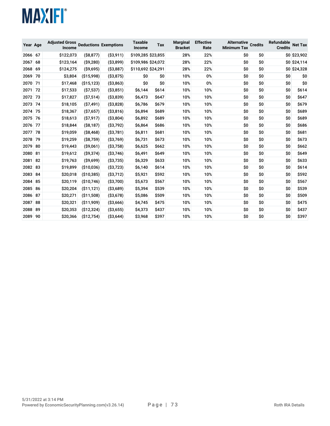| Year Age |    | <b>Adjusted Gross</b><br>Income |              | <b>Deductions Exemptions</b> | <b>Taxable</b><br>Income | <b>Tax</b> | <b>Marginal</b><br><b>Bracket</b> | <b>Effective</b><br>Rate | <b>Alternative Credits</b><br><b>Minimum Tax</b> |     | Refundable<br><b>Credits</b> | <b>Net Tax</b> |
|----------|----|---------------------------------|--------------|------------------------------|--------------------------|------------|-----------------------------------|--------------------------|--------------------------------------------------|-----|------------------------------|----------------|
| 2066     | 67 | \$122,073                       | ( \$8,877)   | ( \$3,911)                   | \$109,285 \$23,855       |            | 28%                               | 22%                      | \$0                                              | \$0 |                              | \$0 \$23,902   |
| 2067     | 68 | \$123,164                       | ( \$9,280)   | (S3, 899)                    | \$109,986 \$24,072       |            | 28%                               | 22%                      | \$0                                              | \$0 |                              | \$0 \$24,114   |
| 2068     | 69 | \$124,275                       | $($ \$9,695) | ( \$3,887)                   | \$110,692 \$24,291       |            | 28%                               | 22%                      | \$0                                              | \$0 |                              | \$0 \$24,328   |
| 2069     | 70 | \$3,804                         | ( \$15,998)  | ( \$3,875)                   | \$0                      | \$0        | 10%                               | 0%                       | \$0                                              | \$0 | \$O                          | \$0            |
| 2070     | 71 | \$17,468                        | ( \$15, 123) | ( \$3,863)                   | \$0                      | \$0        | 10%                               | 0%                       | \$0                                              | \$0 | \$0                          | \$0            |
| 2071     | 72 | \$17,533                        | ( \$7,537)   | ( \$3,851)                   | \$6,144                  | \$614      | 10%                               | 10%                      | \$0                                              | \$0 | \$O                          | \$614          |
| 2072 73  |    | \$17,827                        | ( \$7,514)   | ( \$3,839)                   | \$6,473                  | \$647      | 10%                               | 10%                      | \$0                                              | \$0 | \$O                          | \$647          |
| 2073     | 74 | \$18,105                        | ( \$7,491)   | ( \$3,828)                   | \$6,786                  | \$679      | 10%                               | 10%                      | \$0                                              | \$0 | \$0                          | \$679          |
| 2074     | 75 | \$18,367                        | ( \$7,657)   | ( \$3,816)                   | \$6,894                  | \$689      | 10%                               | 10%                      | \$0                                              | \$0 | \$O                          | \$689          |
| 2075     | 76 | \$18,613                        | ( \$7,917)   | ( \$3,804)                   | \$6,892                  | \$689      | 10%                               | 10%                      | \$0                                              | \$0 | \$O                          | \$689          |
| 2076     | 77 | \$18,844                        | ( \$8,187)   | ( \$3,792)                   | \$6,864                  | \$686      | 10%                               | 10%                      | \$0                                              | \$0 | \$O                          | \$686          |
| 2077     | 78 | \$19,059                        | $($ \$8,468) | ( \$3,781)                   | \$6,811                  | \$681      | 10%                               | 10%                      | \$0                                              | \$0 | \$O                          | \$681          |
| 2078     | 79 | \$19,259                        | ( \$8,759)   | ( \$3,769)                   | \$6,731                  | \$673      | 10%                               | 10%                      | \$0                                              | \$0 | \$O                          | \$673          |
| 2079     | 80 | \$19,443                        | (S9,061)     | ( \$3,758)                   | \$6,625                  | \$662      | 10%                               | 10%                      | \$0                                              | \$0 | \$0                          | \$662          |
| 2080     | 81 | \$19,612                        | $($ \$9,374) | ( \$3,746)                   | \$6,491                  | \$649      | 10%                               | 10%                      | \$0                                              | \$0 | \$O                          | \$649          |
| 2081     | 82 | \$19,763                        | (S9,699)     | ( \$3,735)                   | \$6,329                  | \$633      | 10%                               | 10%                      | \$0                                              | \$0 | \$O                          | \$633          |
| 2082     | 83 | \$19,899                        | (\$10,036)   | ( \$3,723)                   | \$6,140                  | \$614      | 10%                               | 10%                      | \$0                                              | \$0 | \$0                          | \$614          |
| 2083     | 84 | \$20,018                        | ( \$10, 385) | ( \$3,712)                   | \$5,921                  | \$592      | 10%                               | 10%                      | \$0                                              | \$0 | \$O                          | \$592          |
| 2084     | 85 | \$20,119                        | ( \$10, 746) | ( \$3,700)                   | \$5,673                  | \$567      | 10%                               | 10%                      | \$0                                              | \$0 | \$O                          | \$567          |
| 2085     | 86 | \$20,204                        | ( \$11, 121) | ( \$3,689)                   | \$5,394                  | \$539      | 10%                               | 10%                      | \$0                                              | \$0 | \$O                          | \$539          |
| 2086     | 87 | \$20,271                        | ( \$11,508)  | ( \$3,678)                   | \$5,086                  | \$509      | 10%                               | 10%                      | \$0                                              | \$0 | \$O                          | \$509          |
| 2087     | 88 | \$20,321                        | ( \$11,909)  | ( \$3,666)                   | \$4,745                  | \$475      | 10%                               | 10%                      | \$0                                              | \$0 | \$O                          | \$475          |
| 2088     | 89 | \$20,353                        | (\$12,324)   | ( \$3,655)                   | \$4,373                  | \$437      | 10%                               | 10%                      | \$0                                              | \$0 | \$O                          | \$437          |
| 2089     | 90 | \$20,366                        | ( \$12, 754) | ( \$3,644)                   | \$3,968                  | \$397      | 10%                               | 10%                      | \$0                                              | \$0 | \$O                          | \$397          |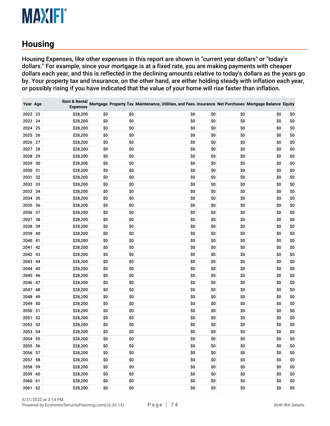# **Housing**

Housing Expenses, like other expenses in this report are shown in "current year dollars" or "today's dollars." For example, since your mortgage is at a fixed rate, you are making payments with cheaper dollars each year, and this is reflected in the declining amounts relative to today's dollars as the years go by. Your property tax and insurance, on the other hand, are either holding steady with inflation each year, or possibly rising if you have indicated that the value of your home will rise faster than inflation.

| Year Age |    | <b>Rent &amp; Rental</b><br><b>Expenses</b> |     |     | Mortgage Property Tax Maintenance, Utilities, and Fees Insurance Net Purchases Mortgage Balance Equity |     |     |     |     |
|----------|----|---------------------------------------------|-----|-----|--------------------------------------------------------------------------------------------------------|-----|-----|-----|-----|
| 2022 23  |    | \$28,200                                    | \$0 | \$0 | \$0                                                                                                    | \$0 | \$0 | \$0 | \$0 |
| 2023 24  |    | \$28,200                                    | \$0 | \$0 | \$0                                                                                                    | \$0 | \$0 | \$0 | \$0 |
| 2024     | 25 | \$28,200                                    | \$0 | \$0 | \$0                                                                                                    | \$0 | \$0 | \$0 | \$0 |
| 2025 26  |    | \$28,200                                    | \$0 | \$0 | \$0                                                                                                    | \$0 | \$0 | \$0 | \$0 |
| 2026     | 27 | \$28,200                                    | \$0 | \$0 | \$0                                                                                                    | \$0 | \$0 | \$0 | \$0 |
| 2027     | 28 | \$28,200                                    | \$0 | \$0 | \$0                                                                                                    | \$0 | \$0 | \$0 | \$0 |
| 2028     | 29 | \$28,200                                    | \$0 | \$0 | \$0                                                                                                    | \$0 | \$0 | \$0 | \$0 |
| 2029     | 30 | \$28,200                                    | \$0 | \$0 | \$0                                                                                                    | \$0 | \$0 | \$0 | \$0 |
| 2030     | 31 | \$28,200                                    | \$0 | \$0 | \$0                                                                                                    | \$0 | \$0 | \$0 | \$0 |
| 2031     | 32 | \$28,200                                    | \$0 | \$0 | \$0                                                                                                    | \$0 | \$0 | \$0 | \$0 |
| 2032 33  |    | \$28,200                                    | \$0 | \$0 | \$0                                                                                                    | \$0 | \$0 | \$0 | \$0 |
| 2033     | 34 | \$28,200                                    | \$0 | \$0 | \$0                                                                                                    | \$0 | \$0 | \$0 | \$0 |
| 2034     | 35 | \$28,200                                    | \$0 | \$0 | \$0                                                                                                    | \$0 | \$0 | \$0 | \$0 |
| 2035 36  |    | \$28,200                                    | \$0 | \$0 | \$0                                                                                                    | \$0 | \$0 | \$0 | \$0 |
| 2036     | 37 | \$28,200                                    | \$0 | \$0 | \$0                                                                                                    | \$0 | \$0 | \$0 | \$0 |
| 2037     | 38 | \$28,200                                    | \$0 | \$0 | \$0                                                                                                    | \$0 | \$0 | \$0 | \$0 |
| 2038     | 39 | \$28,200                                    | \$0 | \$0 | \$0                                                                                                    | \$0 | \$0 | \$0 | \$0 |
| 2039     | 40 | \$28,200                                    | \$0 | \$0 | \$0                                                                                                    | \$0 | \$0 | \$0 | \$0 |
| 2040     | 41 | \$28,200                                    | \$0 | \$0 | \$0                                                                                                    | \$0 | \$0 | \$0 | \$0 |
| 2041     | 42 | \$28,200                                    | \$0 | \$0 | \$0                                                                                                    | \$0 | \$0 | \$0 | \$0 |
| 2042     | 43 | \$28,200                                    | \$0 | \$0 | \$0                                                                                                    | \$0 | \$0 | \$0 | \$0 |
| 2043 44  |    | \$28,200                                    | \$0 | \$0 | \$0                                                                                                    | \$0 | \$0 | \$0 | \$0 |
| 2044     | 45 | \$28,200                                    | \$0 | \$0 | \$0                                                                                                    | \$0 | \$0 | \$0 | \$0 |
| 2045     | 46 | \$28,200                                    | \$0 | \$0 | \$0                                                                                                    | \$0 | \$0 | \$0 | \$0 |
| 2046     | 47 | \$28,200                                    | \$0 | \$0 | \$0                                                                                                    | \$0 | \$0 | \$0 | \$0 |
| 2047     | 48 | \$28,200                                    | \$0 | \$0 | \$0                                                                                                    | \$0 | \$0 | \$0 | \$0 |
| 2048     | 49 | \$28,200                                    | \$0 | \$0 | \$0                                                                                                    | \$0 | \$0 | \$0 | \$0 |
| 2049     | 50 | \$28,200                                    | \$0 | \$0 | \$0                                                                                                    | \$0 | \$0 | \$0 | \$0 |
| 2050     | 51 | \$28,200                                    | \$0 | \$0 | \$0                                                                                                    | \$0 | \$0 | \$0 | \$0 |
| 2051     | 52 | \$28,200                                    | \$0 | \$0 | \$0                                                                                                    | \$0 | \$0 | \$0 | \$0 |
| 2052     | 53 | \$28,200                                    | \$0 | \$0 | \$0                                                                                                    | \$0 | \$0 | \$0 | \$0 |
| 2053     | 54 | \$28,200                                    | \$0 | \$0 | \$0                                                                                                    | \$0 | \$0 | \$0 | \$0 |
| 2054 55  |    | \$28,200                                    | \$0 | \$0 | \$0                                                                                                    | \$0 | \$0 | \$0 | \$0 |
| 2055 56  |    | \$28,200                                    | \$0 | \$0 | \$0                                                                                                    | \$0 | \$0 | \$0 | \$0 |
| 2056 57  |    | \$28,200                                    | \$0 | \$0 | \$0                                                                                                    | \$0 | \$0 | \$0 | \$0 |
| 2057 58  |    | \$28,200                                    | \$0 | \$0 | \$0                                                                                                    | \$0 | \$0 | \$0 | \$0 |
| 2058 59  |    | \$28,200                                    | \$0 | \$0 | \$0                                                                                                    | \$0 | \$0 | \$0 | \$0 |
| 2059 60  |    | \$28,200                                    | \$0 | \$0 | \$0                                                                                                    | \$0 | \$0 | \$0 | \$0 |
| 2060 61  |    | \$28,200                                    | \$0 | \$0 | \$0                                                                                                    | \$0 | \$0 | \$0 | \$0 |
| 2061 62  |    | \$28,200                                    | \$0 | \$0 | \$0                                                                                                    | \$0 | \$0 | \$0 | \$0 |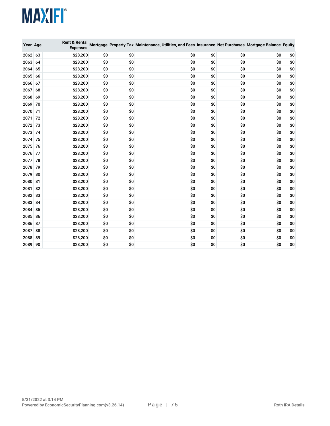| Year Age |    | <b>Rent &amp; Rental</b><br><b>Expenses</b> |     |     | Mortgage Property Tax Maintenance, Utilities, and Fees Insurance Net Purchases Mortgage Balance Equity |     |     |     |     |
|----------|----|---------------------------------------------|-----|-----|--------------------------------------------------------------------------------------------------------|-----|-----|-----|-----|
| 2062 63  |    | \$28,200                                    | \$0 | \$0 | \$0                                                                                                    | \$0 | \$0 | \$0 | \$0 |
| 2063     | 64 | \$28,200                                    | \$0 | \$0 | \$0                                                                                                    | \$0 | \$0 | \$0 | \$0 |
| 2064     | 65 | \$28,200                                    | \$0 | \$0 | \$0                                                                                                    | \$0 | \$0 | \$0 | \$0 |
| 2065     | 66 | \$28,200                                    | \$0 | \$0 | \$0                                                                                                    | \$0 | \$0 | \$0 | \$0 |
| 2066     | 67 | \$28,200                                    | \$0 | \$0 | \$0                                                                                                    | \$0 | \$0 | \$0 | \$0 |
| 2067     | 68 | \$28,200                                    | \$0 | \$0 | \$0                                                                                                    | \$0 | \$0 | \$0 | \$0 |
| 2068     | 69 | \$28,200                                    | \$0 | \$0 | \$0                                                                                                    | \$0 | \$0 | \$0 | \$0 |
| 2069     | 70 | \$28,200                                    | \$0 | \$0 | \$0                                                                                                    | \$0 | \$0 | \$0 | \$0 |
| 2070     | 71 | \$28,200                                    | \$0 | \$0 | \$0                                                                                                    | \$0 | \$0 | \$0 | \$0 |
| 2071     | 72 | \$28,200                                    | \$0 | \$0 | \$0                                                                                                    | \$0 | \$0 | \$0 | \$0 |
| 2072 73  |    | \$28,200                                    | \$0 | \$0 | \$0                                                                                                    | \$0 | \$0 | \$0 | \$0 |
| 2073     | 74 | \$28,200                                    | \$0 | \$0 | \$0                                                                                                    | \$0 | \$0 | \$0 | \$0 |
| 2074 75  |    | \$28,200                                    | \$0 | \$0 | \$0                                                                                                    | \$0 | \$0 | \$0 | \$0 |
| 2075     | 76 | \$28,200                                    | \$0 | \$0 | \$0                                                                                                    | \$0 | \$0 | \$0 | \$0 |
| 2076     | 77 | \$28,200                                    | \$0 | \$0 | \$0                                                                                                    | \$0 | \$0 | \$0 | \$0 |
| 2077     | 78 | \$28,200                                    | \$0 | \$0 | \$0                                                                                                    | \$0 | \$0 | \$0 | \$0 |
| 2078     | 79 | \$28,200                                    | \$0 | \$0 | \$0                                                                                                    | \$0 | \$0 | \$0 | \$0 |
| 2079     | 80 | \$28,200                                    | \$0 | \$0 | \$0                                                                                                    | \$0 | \$0 | \$0 | \$0 |
| 2080     | 81 | \$28,200                                    | \$0 | \$0 | \$0                                                                                                    | \$0 | \$0 | \$0 | \$0 |
| 2081     | 82 | \$28,200                                    | \$0 | \$0 | \$0                                                                                                    | \$0 | \$0 | \$0 | \$0 |
| 2082     | 83 | \$28,200                                    | \$0 | \$0 | \$0                                                                                                    | \$0 | \$0 | \$0 | \$0 |
| 2083     | 84 | \$28,200                                    | \$0 | \$0 | \$0                                                                                                    | \$0 | \$0 | \$0 | \$0 |
| 2084     | 85 | \$28,200                                    | \$0 | \$0 | \$0                                                                                                    | \$0 | \$0 | \$0 | \$0 |
| 2085     | 86 | \$28,200                                    | \$0 | \$0 | \$0                                                                                                    | \$0 | \$0 | \$0 | \$0 |
| 2086     | 87 | \$28,200                                    | \$0 | \$0 | \$0                                                                                                    | \$0 | \$0 | \$0 | \$0 |
| 2087     | 88 | \$28,200                                    | \$0 | \$0 | \$0                                                                                                    | \$0 | \$0 | \$0 | \$0 |
| 2088     | 89 | \$28,200                                    | \$0 | \$0 | \$0                                                                                                    | \$0 | \$0 | \$0 | \$0 |
| 2089 90  |    | \$28,200                                    | \$0 | \$0 | \$0                                                                                                    | \$0 | \$0 | \$0 | \$0 |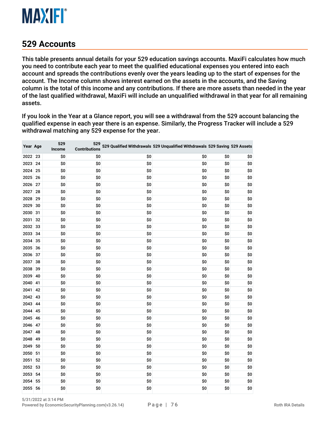

## **Accounts**

This table presents annual details for your 529 education savings accounts. MaxiFi calculates how much you need to contribute each year to meet the qualified educational expenses you entered into each account and spreads the contributions evenly over the years leading up to the start of expenses for the account. The Income column shows interest earned on the assets in the accounts, and the Saving column is the total of this income and any contributions. If there are more assets than needed in the year of the last qualified withdrawal, MaxiFi will include an unqualified withdrawal in that year for all remaining assets.

If you look in the Year at a Glance report, you will see a withdrawal from the 529 account balancing the qualified expense in each year there is an expense. Similarly, the Progress Tracker will include a 529 withdrawal matching any 529 expense for the year.

| Year Age |    | 529<br>Income | 529<br><b>Contributions</b> |     | 529 Qualified Withdrawals 529 Unqualified Withdrawals 529 Saving 529 Assets |     |     |
|----------|----|---------------|-----------------------------|-----|-----------------------------------------------------------------------------|-----|-----|
| 2022 23  |    | \$0           | \$0                         | \$0 | \$0                                                                         | \$0 | \$0 |
| 2023     | 24 | \$0           | \$0                         | \$0 | \$0                                                                         | \$0 | \$0 |
| 2024 25  |    | \$0           | \$0                         | \$0 | \$0                                                                         | \$0 | \$0 |
| 2025     | 26 | \$0           | \$0                         | \$0 | \$0                                                                         | \$0 | \$0 |
| 2026     | 27 | \$0           | \$0                         | \$0 | \$0                                                                         | \$0 | \$0 |
| 2027     | 28 | \$0           | \$0                         | \$0 | \$0                                                                         | \$0 | \$0 |
| 2028     | 29 | \$0           | \$0                         | \$0 | \$0                                                                         | \$0 | \$0 |
| 2029     | 30 | \$0           | \$0                         | \$0 | \$0                                                                         | \$0 | \$0 |
| 2030     | 31 | \$0           | \$0                         | \$0 | \$0                                                                         | \$0 | \$0 |
| 2031     | 32 | \$0           | \$0                         | \$0 | \$0                                                                         | \$0 | \$0 |
| 2032     | 33 | \$0           | \$0                         | \$0 | \$0                                                                         | \$0 | \$0 |
| 2033     | 34 | \$0           | \$0                         | \$0 | \$0                                                                         | \$0 | \$0 |
| 2034     | 35 | \$0           | \$0                         | \$0 | \$0                                                                         | \$0 | \$0 |
| 2035 36  |    | \$0           | \$0                         | \$0 | \$0                                                                         | \$0 | \$0 |
| 2036 37  |    | \$0           | \$0                         | \$0 | \$0                                                                         | \$0 | \$0 |
| 2037     | 38 | \$0           | \$0                         | \$0 | \$0                                                                         | \$0 | \$0 |
| 2038     | 39 | \$0           | \$0                         | \$0 | \$0                                                                         | \$0 | \$0 |
| 2039     | 40 | \$0           | \$0                         | \$0 | \$0                                                                         | \$0 | \$0 |
| 2040     | 41 | \$0           | \$0                         | \$0 | \$0                                                                         | \$0 | \$0 |
| 2041     | 42 | \$0           | \$0                         | \$0 | \$0                                                                         | \$0 | \$0 |
| 2042     | 43 | \$0           | \$0                         | \$0 | \$0                                                                         | \$0 | \$0 |
| 2043     | 44 | \$0           | \$0                         | \$0 | \$0                                                                         | \$0 | \$0 |
| 2044     | 45 | \$0           | \$0                         | \$0 | \$0                                                                         | \$0 | \$0 |
| 2045     | 46 | \$0           | \$0                         | \$0 | \$0                                                                         | \$0 | \$0 |
| 2046     | 47 | \$0           | \$0                         | \$0 | \$0                                                                         | \$0 | \$0 |
| 2047     | 48 | \$0           | \$0                         | \$0 | \$0                                                                         | \$0 | \$0 |
| 2048     | 49 | \$0           | \$0                         | \$0 | \$0                                                                         | \$0 | \$0 |
| 2049     | 50 | \$0           | \$0                         | \$0 | \$0                                                                         | \$0 | \$0 |
| 2050     | 51 | \$0           | \$0                         | \$0 | \$0                                                                         | \$0 | \$0 |
| 2051     | 52 | \$0           | \$0                         | \$0 | \$0                                                                         | \$0 | \$0 |
| 2052     | 53 | \$0           | \$0                         | \$0 | \$0                                                                         | \$0 | \$0 |
| 2053     | 54 | \$0           | \$0                         | \$0 | \$0                                                                         | \$0 | \$0 |
| 2054     | 55 | \$0           | \$0                         | \$0 | \$0                                                                         | \$0 | \$0 |
| 2055     | 56 | \$0           | \$0                         | \$0 | \$0                                                                         | \$0 | \$0 |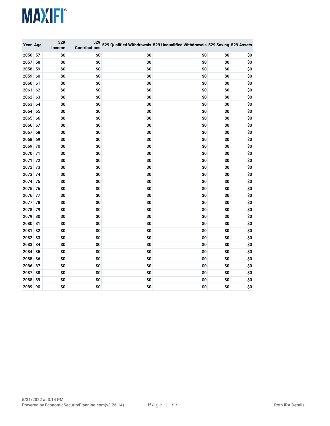| Year Age |    | 529<br>Income | 529<br><b>Contributions</b> |     | 529 Qualified Withdrawals 529 Unqualified Withdrawals 529 Saving 529 Assets |     |     |
|----------|----|---------------|-----------------------------|-----|-----------------------------------------------------------------------------|-----|-----|
| 2056     | 57 | \$0           | \$0                         | \$0 | \$0                                                                         | \$0 | \$0 |
| 2057     | 58 | \$0           | \$0                         | \$0 | \$0                                                                         | \$0 | \$0 |
| 2058     | 59 | \$0           | \$0                         | \$0 | \$0                                                                         | \$0 | \$0 |
| 2059     | 60 | \$0           | \$0                         | \$0 | \$0                                                                         | \$0 | \$0 |
| 2060     | 61 | \$0           | \$0                         | \$0 | \$0                                                                         | \$0 | \$0 |
| 2061     | 62 | \$0           | \$0                         | \$0 | \$0                                                                         | \$0 | \$0 |
| 2062     | 63 | \$0           | \$0                         | \$0 | \$0                                                                         | \$0 | \$0 |
| 2063     | 64 | \$0           | \$0                         | \$0 | \$0                                                                         | \$0 | \$0 |
| 2064     | 65 | \$0           | \$0                         | \$0 | \$0                                                                         | \$0 | \$0 |
| 2065     | 66 | \$0           | \$0                         | \$0 | \$0                                                                         | \$0 | \$0 |
| 2066     | 67 | \$0           | \$0                         | \$0 | \$0                                                                         | \$0 | \$0 |
| 2067     | 68 | \$0           | \$0                         | \$0 | \$0                                                                         | \$0 | \$0 |
| 2068     | 69 | \$0           | \$0                         | \$0 | \$0                                                                         | \$0 | \$0 |
| 2069     | 70 | \$0           | \$0                         | \$0 | \$0                                                                         | \$0 | \$0 |
| 2070     | 71 | \$0           | \$0                         | \$0 | \$0                                                                         | \$0 | \$0 |
| 2071     | 72 | \$0           | \$0                         | \$0 | \$0                                                                         | \$0 | \$0 |
| 2072     | 73 | \$0           | \$0                         | \$0 | \$0                                                                         | \$0 | \$0 |
| 2073     | 74 | \$0           | \$0                         | \$0 | \$0                                                                         | \$0 | \$0 |
| 2074     | 75 | \$0           | \$0                         | \$0 | \$0                                                                         | \$0 | \$0 |
| 2075     | 76 | \$0           | \$0                         | \$0 | \$0                                                                         | \$0 | \$0 |
| 2076     | 77 | \$0           | \$0                         | \$0 | \$0                                                                         | \$0 | \$0 |
| 2077     | 78 | \$0           | \$0                         | \$0 | \$0                                                                         | \$0 | \$0 |
| 2078     | 79 | \$0           | \$0                         | \$0 | \$0                                                                         | \$0 | \$0 |
| 2079     | 80 | \$0           | \$0                         | \$0 | \$0                                                                         | \$0 | \$0 |
| 2080     | 81 | \$0           | \$0                         | \$0 | \$0                                                                         | \$0 | \$0 |
| 2081     | 82 | \$0           | \$0                         | \$0 | \$0                                                                         | \$0 | \$0 |
| 2082     | 83 | \$0           | \$0                         | \$0 | \$0                                                                         | \$0 | \$0 |
| 2083     | 84 | \$0           | \$0                         | \$0 | \$0                                                                         | \$0 | \$0 |
| 2084     | 85 | \$0           | \$0                         | \$0 | \$0                                                                         | \$0 | \$0 |
| 2085     | 86 | \$0           | \$0                         | \$0 | \$0                                                                         | \$0 | \$0 |
| 2086     | 87 | \$0           | \$0                         | \$0 | \$0                                                                         | \$0 | \$0 |
| 2087     | 88 | \$0           | \$0                         | \$0 | \$0                                                                         | \$0 | \$0 |
| 2088     | 89 | \$0           | \$0                         | \$0 | \$0                                                                         | \$0 | \$0 |
| 2089 90  |    | \$0           | \$0                         | \$0 | \$0                                                                         | \$0 | \$0 |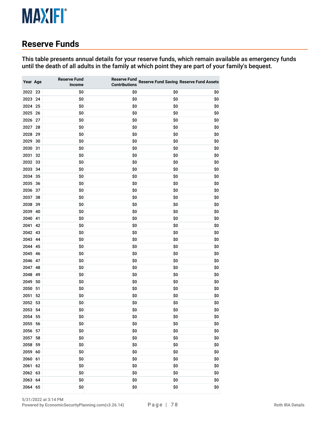# **Reserve Funds**

This table presents annual details for your reserve funds, which remain available as emergency funds until the death of all adults in the family at which point they are part of your family's bequest.

| Year Age |    | <b>Reserve Fund</b><br>Income | <b>Reserve Fund</b><br><b>Contributions</b> |     | <b>Reserve Fund Saving Reserve Fund Assets</b> |
|----------|----|-------------------------------|---------------------------------------------|-----|------------------------------------------------|
| 2022 23  |    | \$0                           | \$0                                         | \$0 | \$0                                            |
| 2023     | 24 | \$0                           | \$0                                         | \$0 | \$0                                            |
| 2024     | 25 | \$0                           | \$0                                         | \$0 | \$0                                            |
| 2025     | 26 | \$0                           | \$0                                         | \$0 | \$0                                            |
| 2026     | 27 | \$0                           | \$0                                         | \$0 | \$0                                            |
| 2027     | 28 | \$0                           | \$0                                         | \$0 | \$0                                            |
| 2028     | 29 | \$0                           | \$0                                         | \$0 | \$0                                            |
| 2029     | 30 | \$0                           | \$0                                         | \$0 | \$0                                            |
| 2030     | 31 | \$0                           | \$0                                         | \$0 | \$0                                            |
| 2031     | 32 | \$0                           | \$0                                         | \$0 | \$0                                            |
| 2032     | 33 | \$0                           | \$0                                         | \$0 | \$0                                            |
| 2033     | 34 | \$0                           | \$0                                         | \$0 | \$0                                            |
| 2034     | 35 | \$0                           | \$0                                         | \$0 | \$0                                            |
| 2035     | 36 | \$0                           | \$0                                         | \$0 | \$0                                            |
| 2036     | 37 | \$0                           | \$0                                         | \$0 | \$0                                            |
| 2037     | 38 | \$0                           | \$0                                         | \$0 | \$0                                            |
| 2038     | 39 | \$0                           | \$0                                         | \$0 | \$0                                            |
| 2039     | 40 | \$0                           | \$0                                         | \$0 | \$0                                            |
| 2040     | 41 | \$0                           | \$0                                         | \$0 | \$0                                            |
| 2041     | 42 | \$0                           | \$0                                         | \$0 | \$0                                            |
| 2042     | 43 | \$0                           | \$0                                         | \$0 | \$0                                            |
| 2043     | 44 | \$0                           | \$0                                         | \$0 | \$0                                            |
| 2044     | 45 | \$0                           | \$0                                         | \$0 | \$0                                            |
| 2045     | 46 | \$0                           | \$0                                         | \$0 | \$0                                            |
| 2046     | 47 | \$0                           | \$0                                         | \$0 | \$0                                            |
| 2047     | 48 | \$0                           | \$0                                         | \$0 | \$0                                            |
| 2048     | 49 | \$0                           | \$0                                         | \$0 | \$0                                            |
| 2049     | 50 | \$0                           | \$0                                         | \$0 | \$0                                            |
| 2050     | 51 | \$0                           | \$0                                         | \$0 | \$0                                            |
| 2051     | 52 | \$0                           | \$0                                         | \$0 | \$0                                            |
| 2052     | 53 | \$0                           | \$0                                         | \$0 | \$0                                            |
| 2053     | 54 | \$0                           | \$0                                         | \$0 | \$0                                            |
| 2054     | 55 | \$0                           | \$0                                         | \$0 | \$0                                            |
| 2055     | 56 | \$0                           | \$0                                         | \$0 | \$0                                            |
| 2056     | 57 | \$0                           | \$0                                         | \$0 | \$0                                            |
| 2057     | 58 | \$0                           | \$0                                         | \$0 | \$0                                            |
| 2058     | 59 | \$0                           | \$0                                         | \$0 | \$0                                            |
| 2059     | 60 | \$0                           | \$0                                         | \$0 | \$0                                            |
| 2060     | 61 | \$0                           | \$0                                         | \$0 | \$0                                            |
| 2061     | 62 | \$0                           | \$0                                         | \$0 | \$0                                            |
| 2062     | 63 | \$0                           | \$0                                         | \$0 | \$0                                            |
| 2063     | 64 | \$0                           | \$0                                         | \$0 | \$0                                            |
| 2064     | 65 | \$0                           | \$0                                         | \$0 | \$0                                            |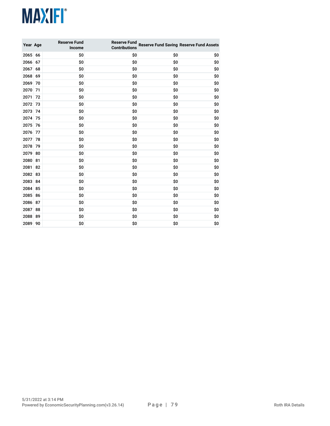| Year Age |    | <b>Reserve Fund</b><br>Income | <b>Reserve Fund</b><br><b>Contributions</b> |     | <b>Reserve Fund Saving Reserve Fund Assets</b> |
|----------|----|-------------------------------|---------------------------------------------|-----|------------------------------------------------|
| 2065     | 66 | \$0                           | \$0                                         | \$0 | \$0                                            |
| 2066     | 67 | \$0                           | \$0                                         | \$0 | \$0                                            |
| 2067     | 68 | \$0                           | \$0                                         | \$0 | \$0                                            |
| 2068     | 69 | \$0                           | \$0                                         | \$0 | \$0                                            |
| 2069     | 70 | \$0                           | \$0                                         | \$0 | \$0                                            |
| 2070     | 71 | \$0                           | \$0                                         | \$0 | \$0                                            |
| 2071     | 72 | \$0                           | \$0                                         | \$0 | \$0                                            |
| 2072     | 73 | \$0                           | \$0                                         | \$0 | \$0                                            |
| 2073     | 74 | \$0                           | \$0                                         | \$0 | \$0                                            |
| 2074     | 75 | \$0                           | \$0                                         | \$0 | \$0                                            |
| 2075     | 76 | \$0                           | \$0                                         | \$0 | \$0                                            |
| 2076     | 77 | \$0                           | \$0                                         | \$0 | \$0                                            |
| 2077     | 78 | \$0                           | \$0                                         | \$0 | \$0                                            |
| 2078     | 79 | \$0                           | \$0                                         | \$0 | \$0                                            |
| 2079     | 80 | \$0                           | \$0                                         | \$0 | \$0                                            |
| 2080     | 81 | \$0                           | \$0                                         | \$0 | \$0                                            |
| 2081     | 82 | \$0                           | \$0                                         | \$0 | \$0                                            |
| 2082     | 83 | \$0                           | \$0                                         | \$0 | \$0                                            |
| 2083     | 84 | \$0                           | \$0                                         | \$0 | \$0                                            |
| 2084     | 85 | \$0                           | \$0                                         | \$0 | \$0                                            |
| 2085     | 86 | \$0                           | \$0                                         | \$0 | \$0                                            |
| 2086     | 87 | \$0                           | \$0                                         | \$0 | \$0                                            |
| 2087     | 88 | \$0                           | \$0                                         | \$0 | \$0                                            |
| 2088     | 89 | \$0                           | \$0                                         | \$0 | \$0                                            |
| 2089     | 90 | \$0                           | \$0                                         | \$0 | \$0                                            |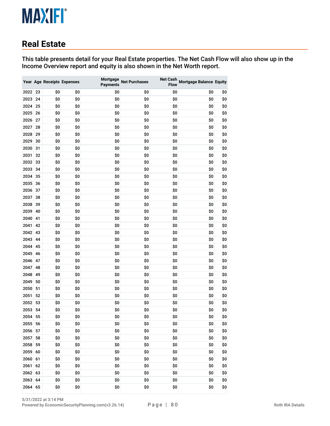# **Real Estate**

This table presents detail for your Real Estate properties. The Net Cash Flow will also show up in the Income Overview report and equity is also shown in the Net Worth report.

|         |    |     | Year Age Receipts Expenses | Mortgage<br><b>Payments</b> | <b>Net Purchases</b> | <b>Net Cash</b><br><b>Flow</b> | <b>Mortgage Balance Equity</b> |     |
|---------|----|-----|----------------------------|-----------------------------|----------------------|--------------------------------|--------------------------------|-----|
| 2022 23 |    | \$0 | \$0                        | \$0                         | \$0                  | \$0                            | \$0                            | \$0 |
| 2023    | 24 | \$0 | \$0                        | \$0                         | \$0                  | \$0                            | \$0                            | \$0 |
| 2024    | 25 | \$0 | \$0                        | \$0                         | \$0                  | \$0                            | \$0                            | \$0 |
| 2025    | 26 | \$0 | \$0                        | \$0                         | \$0                  | \$0                            | \$0                            | \$0 |
| 2026    | 27 | \$0 | \$0                        | \$0                         | \$0                  | \$0                            | \$0                            | \$0 |
| 2027    | 28 | \$0 | \$0                        | \$0                         | \$0                  | \$0                            | \$0                            | \$0 |
| 2028    | 29 | \$0 | \$0                        | \$0                         | \$0                  | \$0                            | \$0                            | \$0 |
| 2029    | 30 | \$0 | \$0                        | \$0                         | \$0                  | \$0                            | \$0                            | \$0 |
| 2030    | 31 | \$0 | \$0                        | \$0                         | \$0                  | \$0                            | \$0                            | \$0 |
| 2031    | 32 | \$0 | \$0                        | \$0                         | \$0                  | \$0                            | \$0                            | \$0 |
| 2032    | 33 | \$0 | \$0                        | \$0                         | \$0                  | \$0                            | \$0                            | \$0 |
| 2033    | 34 | \$0 | \$0                        | \$0                         | \$0                  | \$0                            | \$0                            | \$0 |
| 2034    | 35 | \$0 | \$0                        | \$0                         | \$0                  | \$0                            | \$0                            | \$0 |
| 2035    | 36 | \$0 | \$0                        | \$0                         | \$0                  | \$0                            | \$0                            | \$0 |
| 2036    | 37 | \$0 | \$0                        | \$0                         | \$0                  | \$0                            | \$0                            | \$0 |
| 2037    | 38 | \$0 | \$0                        | \$0                         | \$0                  | \$0                            | \$0                            | \$0 |
| 2038    | 39 | \$0 | \$0                        | \$0                         | \$0                  | \$0                            | \$0                            | \$0 |
| 2039    | 40 | \$0 | \$0                        | \$0                         | \$0                  | \$0                            | \$0                            | \$0 |
| 2040    | 41 | \$0 | \$0                        | \$0                         | \$0                  | \$0                            | \$0                            | \$0 |
| 2041    | 42 | \$0 | \$0                        | \$0                         | \$0                  | \$0                            | \$0                            | \$0 |
| 2042    | 43 | \$0 | \$0                        | \$0                         | \$0                  | \$0                            | \$0                            | \$0 |
| 2043    | 44 | \$0 | \$0                        | \$0                         | \$0                  | \$0                            | \$0                            | \$0 |
| 2044    | 45 | \$0 | \$0                        | \$0                         | \$0                  | \$0                            | \$0                            | \$0 |
| 2045    | 46 | \$0 | \$0                        | \$0                         | \$0                  | \$0                            | \$0                            | \$0 |
| 2046    | 47 | \$0 | \$0                        | \$0                         | \$0                  | \$0                            | \$0                            | \$0 |
| 2047    | 48 | \$0 | \$0                        | \$0                         | \$0                  | \$0                            | \$0                            | \$0 |
| 2048    | 49 | \$0 | \$0                        | \$0                         | \$0                  | \$0                            | \$0                            | \$0 |
| 2049    | 50 | \$0 | \$0                        | \$0                         | \$0                  | \$0                            | \$0                            | \$0 |
| 2050    | 51 | \$0 | \$0                        | \$0                         | \$0                  | \$0                            | \$0                            | \$0 |
| 2051    | 52 | \$0 | \$0                        | \$0                         | \$0                  | \$0                            | \$0                            | \$0 |
| 2052    | 53 | \$0 | \$0                        | \$0                         | \$0                  | \$0                            | \$0                            | \$0 |
| 2053    | 54 | \$0 | \$0                        | \$0                         | \$0                  | \$0                            | \$0                            | \$0 |
| 2054    | 55 | \$0 | \$0                        | \$0                         | \$0                  | \$0                            | \$0                            | \$0 |
| 2055    | 56 | \$0 | \$0                        | \$0                         | \$0                  | \$0                            | \$0                            | \$0 |
| 2056    | 57 | \$0 | \$0                        | \$0                         | \$0                  | \$0                            | \$0                            | \$0 |
| 2057    | 58 | \$0 | \$0                        | \$0                         | \$0                  | \$0                            | \$0                            | \$0 |
| 2058    | 59 | \$0 | \$0                        | \$0                         | \$0                  | \$0                            | \$0                            | \$0 |
| 2059    | 60 | \$0 | \$0                        | \$0                         | \$0                  | \$0                            | \$0                            | \$0 |
| 2060    | 61 | \$0 | \$0                        | \$0                         | \$0                  | \$0                            | \$0                            | \$0 |
| 2061    | 62 | \$0 | \$0                        | \$0                         | \$0                  | \$0                            | \$0                            | \$0 |
| 2062    | 63 | \$0 | \$0                        | \$0                         | \$0                  | \$0                            | \$0                            | \$0 |
| 2063    | 64 | \$0 | \$0                        | \$0                         | \$0                  | \$0                            | \$0                            | \$0 |
| 2064    | 65 | \$0 | \$0                        | \$0                         | \$0                  | \$0                            | \$0                            | \$0 |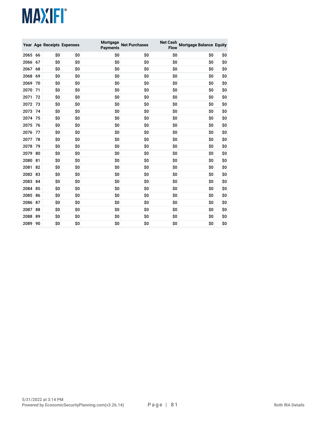|      |    |     | Year Age Receipts Expenses | Mortgage<br>Payments | <b>Net Purchases</b> | <b>Net Cash</b><br>Flow | <b>Mortgage Balance Equity</b> |     |
|------|----|-----|----------------------------|----------------------|----------------------|-------------------------|--------------------------------|-----|
| 2065 | 66 | \$0 | \$0                        | \$0                  | \$0                  | \$0                     | \$0                            | \$0 |
| 2066 | 67 | \$0 | \$0                        | \$0                  | \$0                  | \$0                     | \$0                            | \$0 |
| 2067 | 68 | \$0 | \$0                        | \$0                  | \$0                  | \$0                     | \$0                            | \$0 |
| 2068 | 69 | \$0 | \$0                        | \$0                  | \$0                  | \$0                     | \$0                            | \$0 |
| 2069 | 70 | \$0 | \$0                        | \$0                  | \$0                  | \$0                     | \$0                            | \$0 |
| 2070 | 71 | \$0 | \$0                        | \$0                  | \$0                  | \$0                     | \$O                            | \$0 |
| 2071 | 72 | \$0 | \$0                        | \$0                  | \$0                  | \$0                     | \$0                            | \$0 |
| 2072 | 73 | \$0 | \$0                        | \$0                  | \$0                  | \$0                     | \$O                            | \$0 |
| 2073 | 74 | \$0 | \$0                        | \$0                  | \$0                  | \$0                     | \$0                            | \$0 |
| 2074 | 75 | \$0 | \$O                        | \$0                  | \$0                  | \$O                     | \$O                            | \$0 |
| 2075 | 76 | \$0 | \$0                        | \$0                  | \$0                  | \$0                     | \$0                            | \$0 |
| 2076 | 77 | \$0 | \$0                        | \$0                  | \$0                  | \$0                     | \$0                            | \$0 |
| 2077 | 78 | \$0 | \$0                        | \$O                  | \$0                  | \$O                     | \$O                            | \$0 |
| 2078 | 79 | \$0 | \$0                        | \$0                  | \$0                  | \$0                     | \$0                            | \$0 |
| 2079 | 80 | \$0 | \$0                        | \$0                  | \$0                  | \$0                     | \$0                            | \$0 |
| 2080 | 81 | \$0 | \$0                        | \$0                  | \$0                  | \$0                     | \$0                            | \$0 |
| 2081 | 82 | \$0 | \$0                        | \$0                  | \$0                  | \$0                     | \$0                            | \$0 |
| 2082 | 83 | \$0 | \$0                        | \$0                  | \$0                  | \$0                     | \$0                            | \$0 |
| 2083 | 84 | \$0 | \$0                        | \$0                  | \$0                  | \$0                     | \$0                            | \$0 |
| 2084 | 85 | \$0 | \$0                        | \$0                  | \$0                  | \$0                     | \$0                            | \$0 |
| 2085 | 86 | \$0 | \$0                        | \$0                  | \$0                  | \$0                     | \$O                            | \$0 |
| 2086 | 87 | \$0 | \$0                        | \$0                  | \$0                  | \$0                     | \$0                            | \$0 |
| 2087 | 88 | \$0 | \$0                        | \$0                  | \$0                  | \$0                     | \$O                            | \$0 |
| 2088 | 89 | \$0 | \$0                        | \$0                  | \$0                  | \$0                     | \$0                            | \$0 |
| 2089 | 90 | \$0 | \$0                        | \$0                  | \$0                  | \$0                     | \$0                            | \$0 |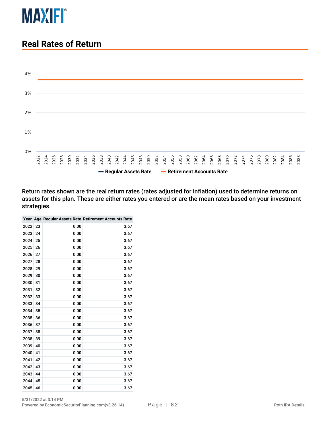

## **Real Rates of Return**



Return rates shown are the real return rates (rates adjusted for inflation) used to determine returns on assets for this plan. These are either rates you entered or are the mean rates based on your investment strategies.

|      |    |      | Year Age Regular Assets Rate Retirement Accounts Rate |
|------|----|------|-------------------------------------------------------|
| 2022 | 23 | 0.00 | 3.67                                                  |
| 2023 | 24 | 0.00 | 3.67                                                  |
| 2024 | 25 | 0.00 | 3.67                                                  |
| 2025 | 26 | 0.00 | 3.67                                                  |
| 2026 | 27 | 0.00 | 3.67                                                  |
| 2027 | 28 | 0.00 | 3.67                                                  |
| 2028 | 29 | 0.00 | 3.67                                                  |
| 2029 | 30 | 0.00 | 3.67                                                  |
| 2030 | 31 | 0.00 | 3.67                                                  |
| 2031 | 32 | 0.00 | 3.67                                                  |
| 2032 | 33 | 0.00 | 3.67                                                  |
| 2033 | 34 | 0.00 | 3.67                                                  |
| 2034 | 35 | 0.00 | 3.67                                                  |
| 2035 | 36 | 0.00 | 3.67                                                  |
| 2036 | 37 | 0.00 | 3.67                                                  |
| 2037 | 38 | 0.00 | 3.67                                                  |
| 2038 | 39 | 0.00 | 3.67                                                  |
| 2039 | 40 | 0.00 | 3.67                                                  |
| 2040 | 41 | 0.00 | 3.67                                                  |
| 2041 | 42 | 0.00 | 3.67                                                  |
| 2042 | 43 | 0.00 | 3.67                                                  |
| 2043 | 44 | 0.00 | 3.67                                                  |
| 2044 | 45 | 0.00 | 3.67                                                  |
| 2045 | 46 | 0.00 | 3.67                                                  |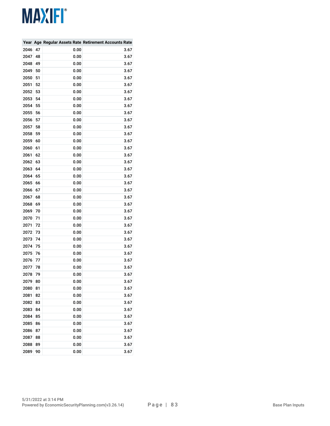|      |    |      | Year Age Regular Assets Rate Retirement Accounts Rate |
|------|----|------|-------------------------------------------------------|
| 2046 | 47 | 0.00 | 3.67                                                  |
| 2047 | 48 | 0.00 | 3.67                                                  |
| 2048 | 49 | 0.00 | 3.67                                                  |
| 2049 | 50 | 0.00 | 3.67                                                  |
| 2050 | 51 | 0.00 | 3.67                                                  |
| 2051 | 52 | 0.00 | 3.67                                                  |
| 2052 | 53 | 0.00 | 3.67                                                  |
| 2053 | 54 | 0.00 | 3.67                                                  |
| 2054 | 55 | 0.00 | 3.67                                                  |
| 2055 | 56 | 0.00 | 3.67                                                  |
| 2056 | 57 | 0.00 | 3.67                                                  |
| 2057 | 58 | 0.00 | 3.67                                                  |
| 2058 | 59 | 0.00 | 3.67                                                  |
| 2059 | 60 | 0.00 | 3.67                                                  |
| 2060 | 61 | 0.00 | 3.67                                                  |
| 2061 | 62 | 0.00 | 3.67                                                  |
| 2062 | 63 | 0.00 | 3.67                                                  |
| 2063 | 64 | 0.00 | 3.67                                                  |
| 2064 | 65 | 0.00 | 3.67                                                  |
| 2065 | 66 | 0.00 | 3.67                                                  |
| 2066 | 67 | 0.00 | 3.67                                                  |
| 2067 | 68 | 0.00 | 3.67                                                  |
| 2068 | 69 | 0.00 | 3.67                                                  |
| 2069 | 70 | 0.00 | 3.67                                                  |
| 2070 | 71 | 0.00 | 3.67                                                  |
| 2071 | 72 | 0.00 | 3.67                                                  |
| 2072 | 73 | 0.00 | 3.67                                                  |
| 2073 | 74 | 0.00 | 3.67                                                  |
| 2074 | 75 | 0.00 | 3.67                                                  |
| 2075 | 76 | 0.00 | 3.67                                                  |
| 2076 | 77 | 0.00 | 3.67                                                  |
| 2077 | 78 | 0.00 | 3.67                                                  |
| 2078 | 79 | 0.00 | 3.67                                                  |
| 2079 | 80 | 0.00 | 3.67                                                  |
| 2080 | 81 | 0.00 | 3.67                                                  |
| 2081 | 82 | 0.00 | 3.67                                                  |
| 2082 | 83 | 0.00 | 3.67                                                  |
| 2083 | 84 | 0.00 | 3.67                                                  |
| 2084 | 85 | 0.00 | 3.67                                                  |
| 2085 | 86 | 0.00 | 3.67                                                  |
| 2086 | 87 | 0.00 | 3.67                                                  |
| 2087 | 88 | 0.00 | 3.67                                                  |
| 2088 | 89 | 0.00 | 3.67                                                  |
| 2089 | 90 | 0.00 | 3.67                                                  |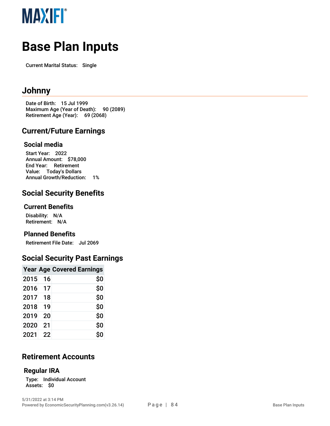

# **Base Plan Inputs**

Current Marital Status: Single

### **J o h n n y**

Date of Birth: 15 Jul 1999 Maximum Age (Year of Death): 90 (2089) Retirement Age (Year): 69 (2068)

### **Current/Future Earnings**

#### **S o cial m e dia**

Start Year: 2022 Annual Amount: \$78,000 End Year: Retirement Value: Today's Dollars Annual Growth/Reduction: 1%

### **Social Security Benefits**

#### **C u r r e n t B e n e fit s**

Disability: N/A Retirement: N/A

#### **Planned Benefits**

Retirement File Date: Jul 2069

### Social Security Past Earnings

|      |    | <b>Year Age Covered Earnings</b> |
|------|----|----------------------------------|
| 2015 | 16 | \$0                              |
| 2016 | 17 | \$0                              |
| 2017 | 18 | \$O                              |
| 2018 | 19 | \$0                              |
| 2019 | 20 | \$0                              |
| 2020 | 21 | \$0                              |
| 2021 | 22 | \$0                              |

### **Retirement Accounts**

#### **R e g ula r IR A**

Type: Individual Account Assets: \$0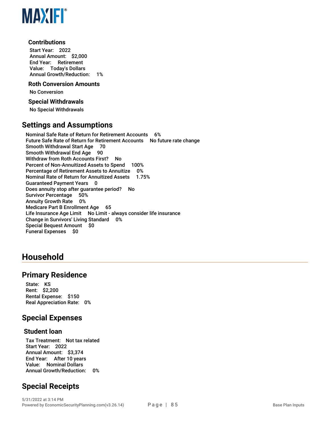

#### **Contributions**

Start Year: 2022 Annual Amount: \$2,000 End Year: Retirement Value: Today's Dollars Annual Growth/Reduction: 1%

#### **Roth Conversion Amounts**

No Conversion

#### **Special Withdrawals**

No Special Withdrawals

#### **Settings and Assumptions**

Nominal Safe Rate of Return for Retirement Accounts 6% Future Safe Rate of Return for Retirement Accounts No future rate change Smooth Withdrawal Start Age 70 Smooth Withdrawal End Age 90 Withdraw from Roth Accounts First? No Percent of Non-Annuitized Assets to Spend 100% Percentage of Retirement Assets to Annuitize 0% Nominal Rate of Return for Annuitized Assets 1.75% Guaranteed Payment Years 0 Does annuity stop after guarantee period? No Survivor Percentage 50% Annuity Growth Rate 0% Medicare Part B Enrollment Age 65 Life Insurance Age Limit No Limit - always consider life insurance Change in Survivors' Living Standard 0% Special Bequest Amount \$0 Funeral Expenses \$0

### **Household**

#### **Primary Residence**

State: KS Rent: \$2,200 Rental Expense: \$150 Real Appreciation Rate: 0%

#### **Special Expenses**

#### **Student loan**

Tax Treatment: Not tax related Start Year: 2022 Annual Amount: \$3,374 End Year: After 10 years Value: Nominal Dollars Annual Growth/Reduction: 0%

### **Special Receipts**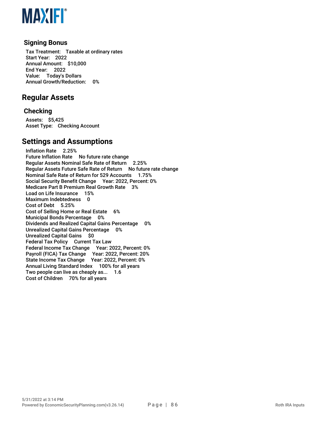

#### **Signing Bonus**

Tax Treatment: Taxable at ordinary rates Start Year: 2022 Annual Amount: \$10,000 End Year: 2022 Value: Today's Dollars Annual Growth/Reduction: 0%

### **Regular Assets**

#### **Checking**

Assets: \$5,425 Asset Type: Checking Account

#### **Settings and Assumptions**

Inflation Rate 2.25% Future Inflation Rate No future rate change Regular Assets Nominal Safe Rate of Return 2.25% Regular Assets Future Safe Rate of Return No future rate change Nominal Safe Rate of Return for 529 Accounts 1.75% Social Security Benefit Change Year: 2022, Percent: 0% Medicare Part B Premium Real Growth Rate 3% Load on Life Insurance 15% Maximum Indebtedness 0 Cost of Debt 5.25% Cost of Selling Home or Real Estate 6% Municipal Bonds Percentage 0% Dividends and Realized Capital Gains Percentage 0% Unrealized Capital Gains Percentage 0% Unrealized Capital Gains \$0 Federal Tax Policy Current Tax Law Federal Income Tax Change Year: 2022, Percent: 0% Payroll (FICA) Tax Change Year: 2022, Percent: 20% State Income Tax Change Year: 2022, Percent: 0% Annual Living Standard Index 100% for all years Two people can live as cheaply as... 1.6 Cost of Children 70% for all years